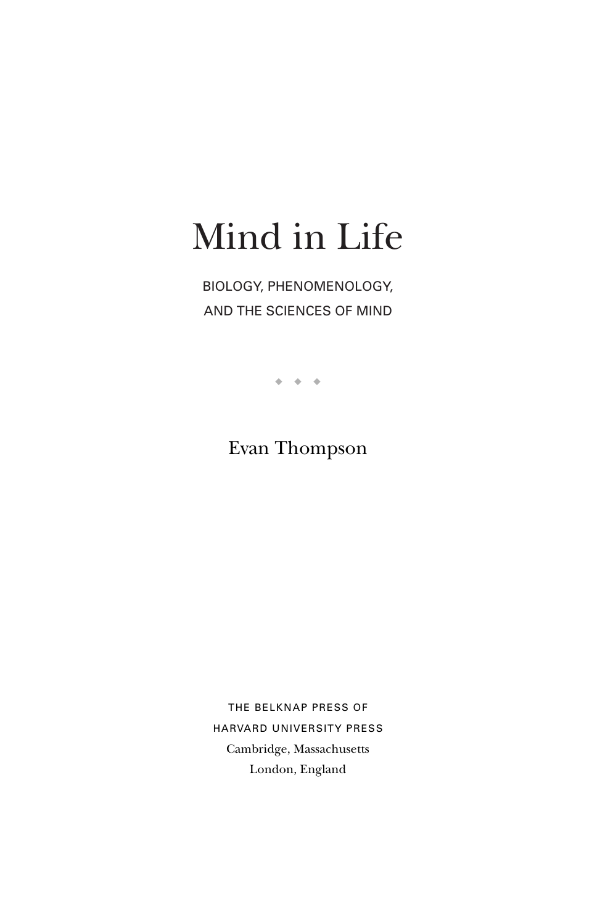# Mind in Life

BIOLOGY, PHENOMENOLOGY, AND THE SCIENCES OF MIND

◆ ◆ ◆

Evan Thompson

THE BELKNAP PRESS OF HARVARD UNIVERSITY PRESS Cambridge, Massachusetts London, England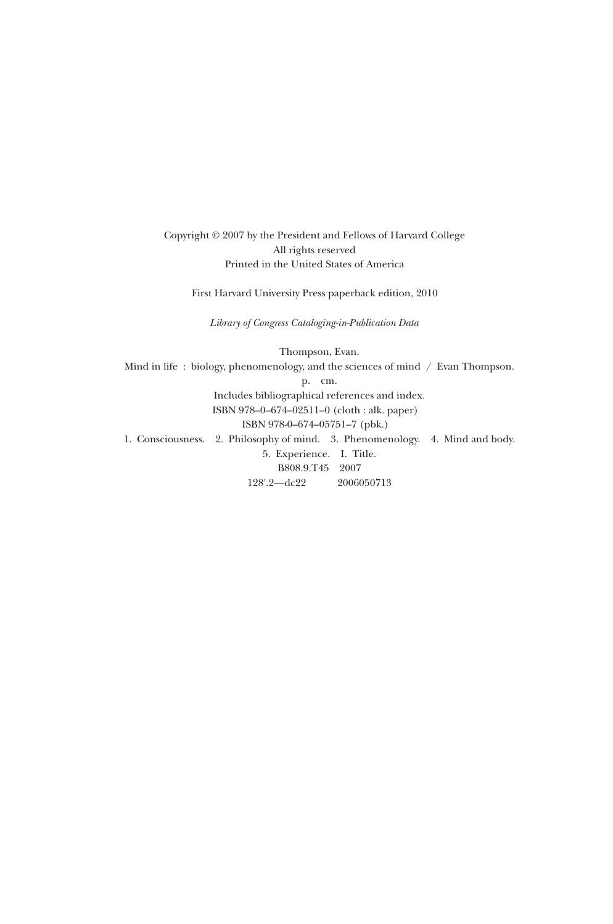#### Copyright © 2007 by the President and Fellows of Harvard College All rights reserved Printed in the United States of America

First Harvard University Press paperback edition, 2010

*Library of Congress Cataloging-in-Publication Data*

Thompson, Evan.

Mind in life: biology, phenomenology, and the sciences of mind / Evan Thompson. p. cm. Includes bibliographical references and index. ISBN 978–0–674–02511–0 (cloth : alk. paper) ISBN 978-0–674–05751–7 (pbk.) 1. Consciousness. 2. Philosophy of mind. 3. Phenomenology. 4. Mind and body. 5. Experience. I. Title.  $B808.9.T45$  2007<br>-dc22 2006050713  $128'.2 - dc22$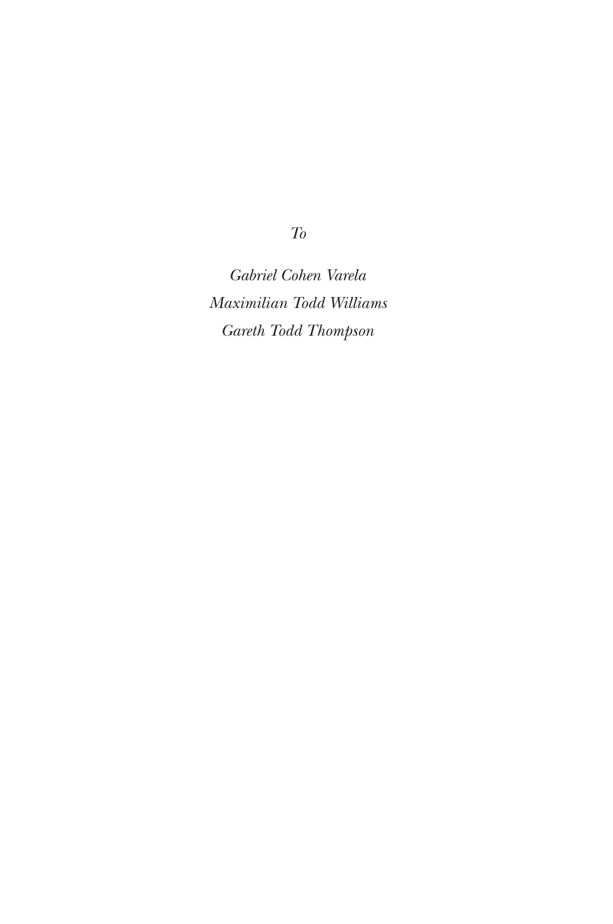*Gabriel Cohen Varela Maximilian Todd Williams Gareth Todd Thompson*

*To*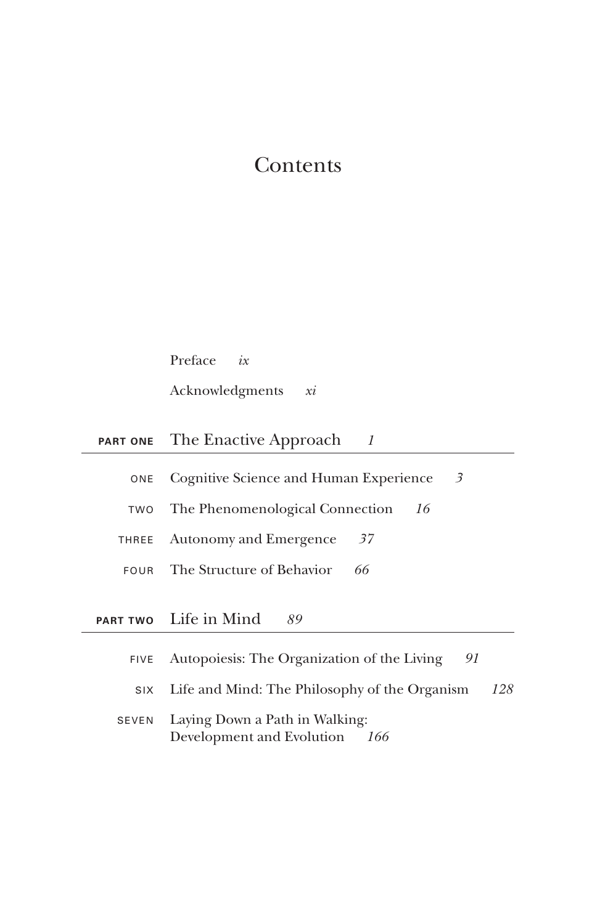## Contents

Preface *ix*

Acknowledgments *xi*

| The Enactive Approach<br><b>PART ONE</b> |  |
|------------------------------------------|--|
|------------------------------------------|--|

- ONE Cognitive Science and Human Experience *3*
- TWO The Phenomenological Connection *16*
- THREE Autonomy and Emergence *37*
- FOUR The Structure of Behavior *66*

|                    | <b>PART TWO</b> Life in Mind<br>89                                                                        |
|--------------------|-----------------------------------------------------------------------------------------------------------|
| FIVE<br><b>SIX</b> | Autopoiesis: The Organization of the Living<br>91<br>Life and Mind: The Philosophy of the Organism<br>128 |
| <b>SEVEN</b>       | Laying Down a Path in Walking:<br>Development and Evolution<br>166                                        |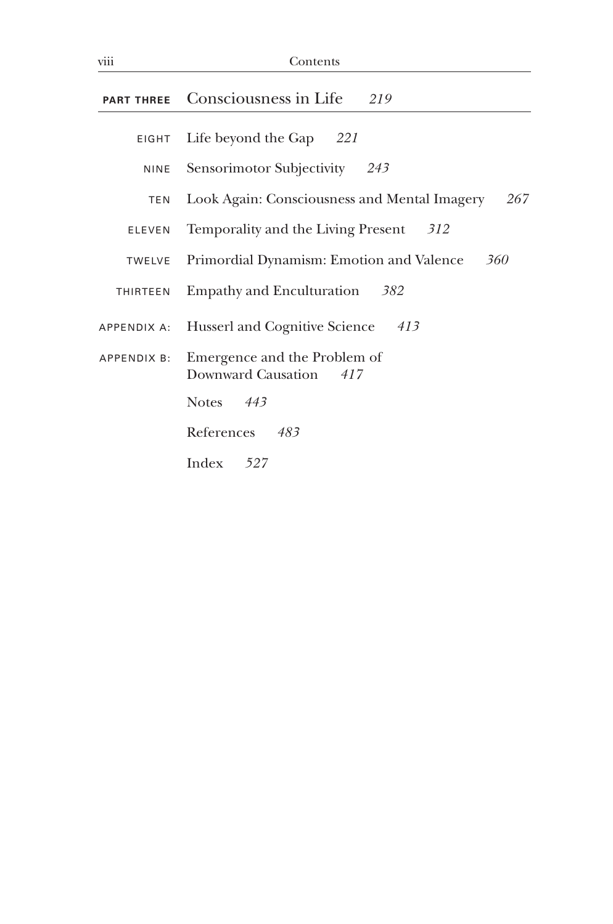|                 | <b>PART THREE</b> Consciousness in Life 219               |
|-----------------|-----------------------------------------------------------|
| <b>EIGHT</b>    | Life beyond the Gap 221                                   |
| <b>NINE</b>     | Sensorimotor Subjectivity 243                             |
| <b>TEN</b>      | Look Again: Consciousness and Mental Imagery<br>267       |
| <b>ELEVEN</b>   | Temporality and the Living Present 312                    |
| TWELVE          | Primordial Dynamism: Emotion and Valence<br>360           |
| <b>THIRTEEN</b> | Empathy and Enculturation $382$                           |
|                 | APPENDIX A: Husserl and Cognitive Science<br>413          |
| APPENDIX B:     | Emergence and the Problem of<br>Downward Causation<br>417 |
|                 | Notes $443$                                               |
|                 | References<br>483                                         |
|                 | Index $527$                                               |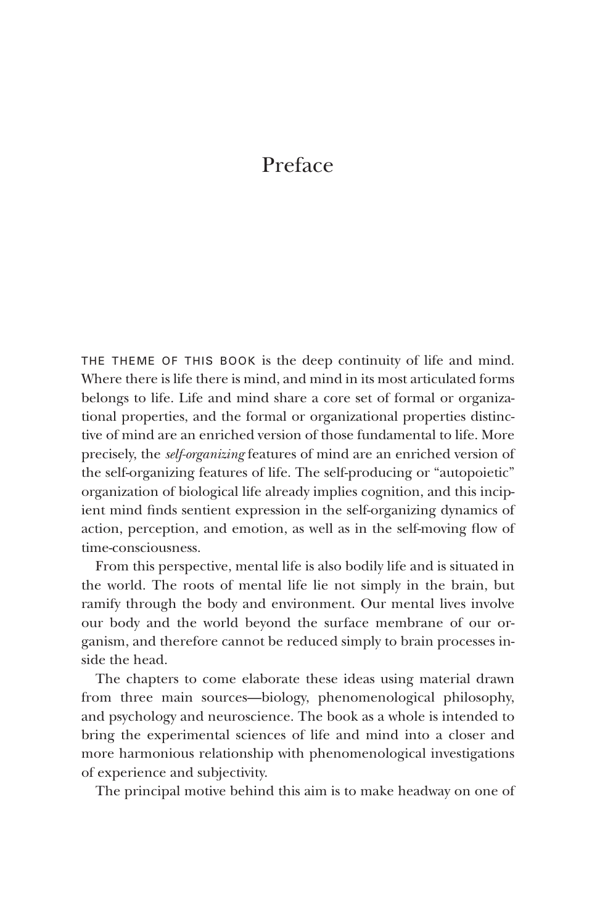## Preface

THE THEME OF THIS BOOK is the deep continuity of life and mind. Where there is life there is mind, and mind in its most articulated forms belongs to life. Life and mind share a core set of formal or organizational properties, and the formal or organizational properties distinctive of mind are an enriched version of those fundamental to life. More precisely, the *self-organizing* features of mind are an enriched version of the self-organizing features of life. The self-producing or "autopoietic" organization of biological life already implies cognition, and this incipient mind finds sentient expression in the self-organizing dynamics of action, perception, and emotion, as well as in the self-moving flow of time-consciousness.

From this perspective, mental life is also bodily life and is situated in the world. The roots of mental life lie not simply in the brain, but ramify through the body and environment. Our mental lives involve our body and the world beyond the surface membrane of our organism, and therefore cannot be reduced simply to brain processes inside the head.

The chapters to come elaborate these ideas using material drawn from three main sources—biology, phenomenological philosophy, and psychology and neuroscience. The book as a whole is intended to bring the experimental sciences of life and mind into a closer and more harmonious relationship with phenomenological investigations of experience and subjectivity.

The principal motive behind this aim is to make headway on one of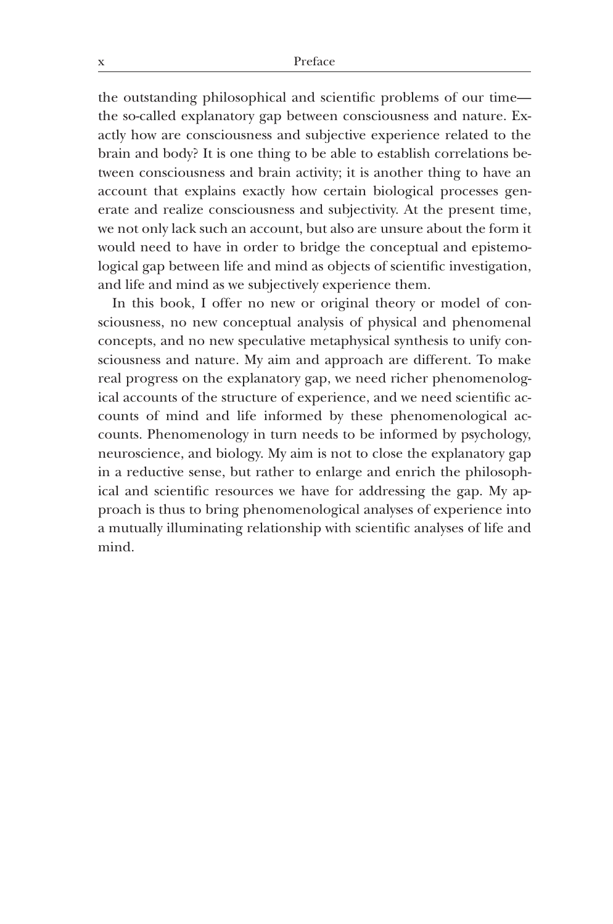the outstanding philosophical and scientific problems of our time the so-called explanatory gap between consciousness and nature. Exactly how are consciousness and subjective experience related to the brain and body? It is one thing to be able to establish correlations between consciousness and brain activity; it is another thing to have an account that explains exactly how certain biological processes generate and realize consciousness and subjectivity. At the present time, we not only lack such an account, but also are unsure about the form it would need to have in order to bridge the conceptual and epistemological gap between life and mind as objects of scientific investigation, and life and mind as we subjectively experience them.

In this book, I offer no new or original theory or model of consciousness, no new conceptual analysis of physical and phenomenal concepts, and no new speculative metaphysical synthesis to unify consciousness and nature. My aim and approach are different. To make real progress on the explanatory gap, we need richer phenomenological accounts of the structure of experience, and we need scientific accounts of mind and life informed by these phenomenological accounts. Phenomenology in turn needs to be informed by psychology, neuroscience, and biology. My aim is not to close the explanatory gap in a reductive sense, but rather to enlarge and enrich the philosophical and scientific resources we have for addressing the gap. My approach is thus to bring phenomenological analyses of experience into a mutually illuminating relationship with scientific analyses of life and mind.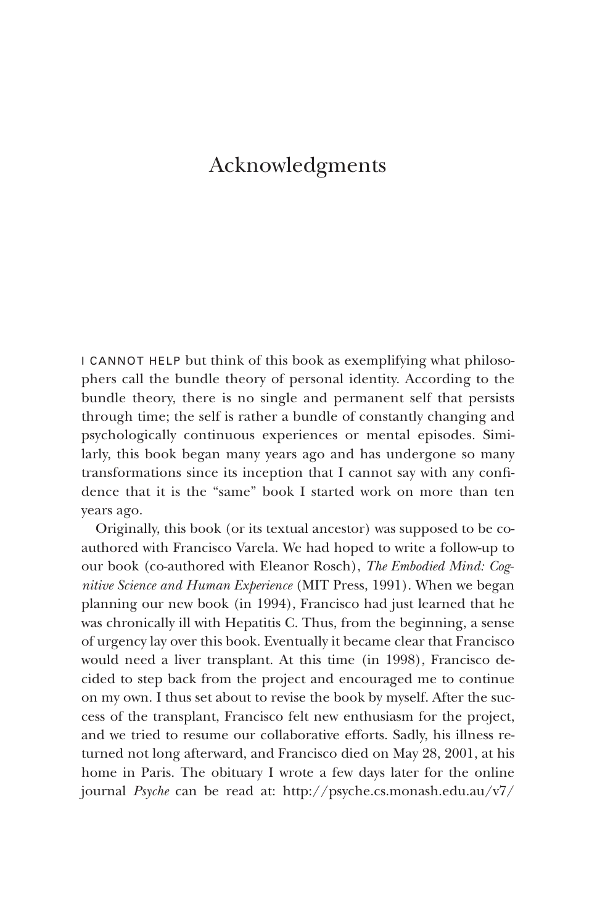## Acknowledgments

I CANNOT HELP but think of this book as exemplifying what philosophers call the bundle theory of personal identity. According to the bundle theory, there is no single and permanent self that persists through time; the self is rather a bundle of constantly changing and psychologically continuous experiences or mental episodes. Similarly, this book began many years ago and has undergone so many transformations since its inception that I cannot say with any confidence that it is the "same" book I started work on more than ten years ago.

Originally, this book (or its textual ancestor) was supposed to be coauthored with Francisco Varela. We had hoped to write a follow-up to our book (co-authored with Eleanor Rosch), *The Embodied Mind: Cognitive Science and Human Experience* (MIT Press, 1991). When we began planning our new book (in 1994), Francisco had just learned that he was chronically ill with Hepatitis C. Thus, from the beginning, a sense of urgency lay over this book. Eventually it became clear that Francisco would need a liver transplant. At this time (in 1998), Francisco decided to step back from the project and encouraged me to continue on my own. I thus set about to revise the book by myself. After the success of the transplant, Francisco felt new enthusiasm for the project, and we tried to resume our collaborative efforts. Sadly, his illness returned not long afterward, and Francisco died on May 28, 2001, at his home in Paris. The obituary I wrote a few days later for the online journal *Psyche* can be read at: http://psyche.cs.monash.edu.au/v7/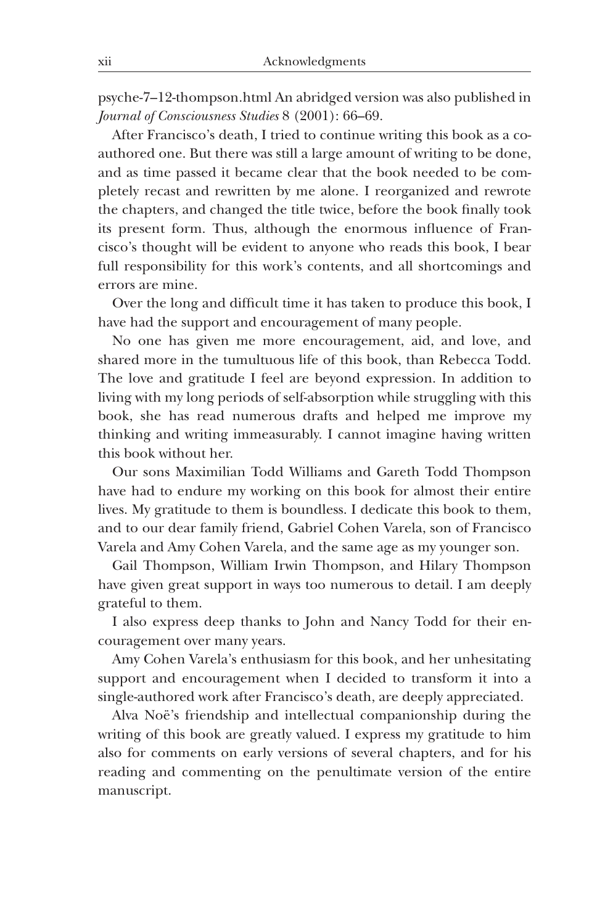psyche-7–12-thompson.html An abridged version was also published in *Journal of Consciousness Studies* 8 (2001): 66–69.

After Francisco's death, I tried to continue writing this book as a coauthored one. But there was still a large amount of writing to be done, and as time passed it became clear that the book needed to be completely recast and rewritten by me alone. I reorganized and rewrote the chapters, and changed the title twice, before the book finally took its present form. Thus, although the enormous influence of Francisco's thought will be evident to anyone who reads this book, I bear full responsibility for this work's contents, and all shortcomings and errors are mine.

Over the long and difficult time it has taken to produce this book, I have had the support and encouragement of many people.

No one has given me more encouragement, aid, and love, and shared more in the tumultuous life of this book, than Rebecca Todd. The love and gratitude I feel are beyond expression. In addition to living with my long periods of self-absorption while struggling with this book, she has read numerous drafts and helped me improve my thinking and writing immeasurably. I cannot imagine having written this book without her.

Our sons Maximilian Todd Williams and Gareth Todd Thompson have had to endure my working on this book for almost their entire lives. My gratitude to them is boundless. I dedicate this book to them, and to our dear family friend, Gabriel Cohen Varela, son of Francisco Varela and Amy Cohen Varela, and the same age as my younger son.

Gail Thompson, William Irwin Thompson, and Hilary Thompson have given great support in ways too numerous to detail. I am deeply grateful to them.

I also express deep thanks to John and Nancy Todd for their encouragement over many years.

Amy Cohen Varela's enthusiasm for this book, and her unhesitating support and encouragement when I decided to transform it into a single-authored work after Francisco's death, are deeply appreciated.

Alva Noë's friendship and intellectual companionship during the writing of this book are greatly valued. I express my gratitude to him also for comments on early versions of several chapters, and for his reading and commenting on the penultimate version of the entire manuscript.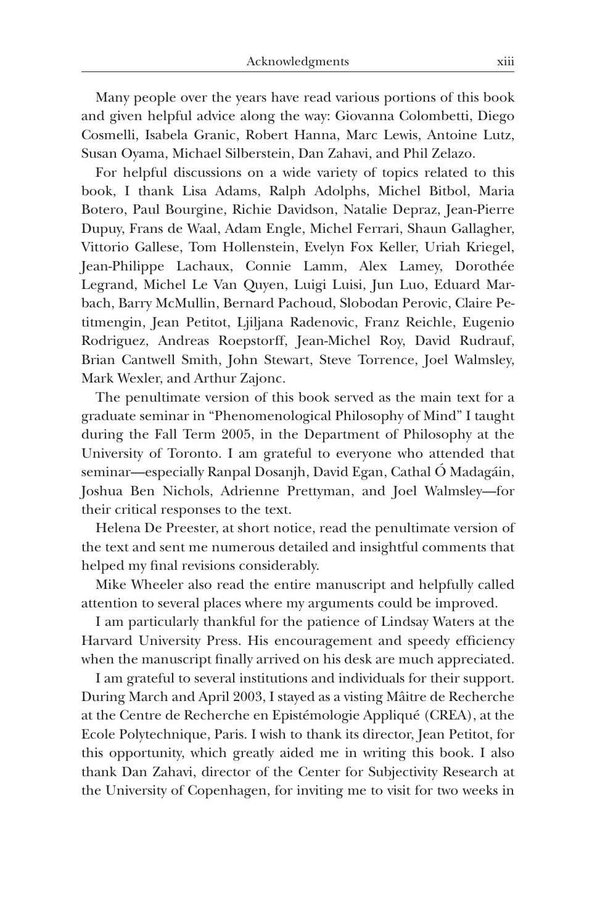Many people over the years have read various portions of this book and given helpful advice along the way: Giovanna Colombetti, Diego Cosmelli, Isabela Granic, Robert Hanna, Marc Lewis, Antoine Lutz, Susan Oyama, Michael Silberstein, Dan Zahavi, and Phil Zelazo.

For helpful discussions on a wide variety of topics related to this book, I thank Lisa Adams, Ralph Adolphs, Michel Bitbol, Maria Botero, Paul Bourgine, Richie Davidson, Natalie Depraz, Jean-Pierre Dupuy, Frans de Waal, Adam Engle, Michel Ferrari, Shaun Gallagher, Vittorio Gallese, Tom Hollenstein, Evelyn Fox Keller, Uriah Kriegel, Jean-Philippe Lachaux, Connie Lamm, Alex Lamey, Dorothée Legrand, Michel Le Van Quyen, Luigi Luisi, Jun Luo, Eduard Marbach, Barry McMullin, Bernard Pachoud, Slobodan Perovic, Claire Petitmengin, Jean Petitot, Ljiljana Radenovic, Franz Reichle, Eugenio Rodriguez, Andreas Roepstorff, Jean-Michel Roy, David Rudrauf, Brian Cantwell Smith, John Stewart, Steve Torrence, Joel Walmsley, Mark Wexler, and Arthur Zajonc.

The penultimate version of this book served as the main text for a graduate seminar in "Phenomenological Philosophy of Mind" I taught during the Fall Term 2005, in the Department of Philosophy at the University of Toronto. I am grateful to everyone who attended that seminar—especially Ranpal Dosanjh, David Egan, Cathal Ó Madagáin, Joshua Ben Nichols, Adrienne Prettyman, and Joel Walmsley—for their critical responses to the text.

Helena De Preester, at short notice, read the penultimate version of the text and sent me numerous detailed and insightful comments that helped my final revisions considerably.

Mike Wheeler also read the entire manuscript and helpfully called attention to several places where my arguments could be improved.

I am particularly thankful for the patience of Lindsay Waters at the Harvard University Press. His encouragement and speedy efficiency when the manuscript finally arrived on his desk are much appreciated.

I am grateful to several institutions and individuals for their support. During March and April 2003, I stayed as a visting Mâitre de Recherche at the Centre de Recherche en Epistémologie Appliqué (CREA), at the Ecole Polytechnique, Paris. I wish to thank its director, Jean Petitot, for this opportunity, which greatly aided me in writing this book. I also thank Dan Zahavi, director of the Center for Subjectivity Research at the University of Copenhagen, for inviting me to visit for two weeks in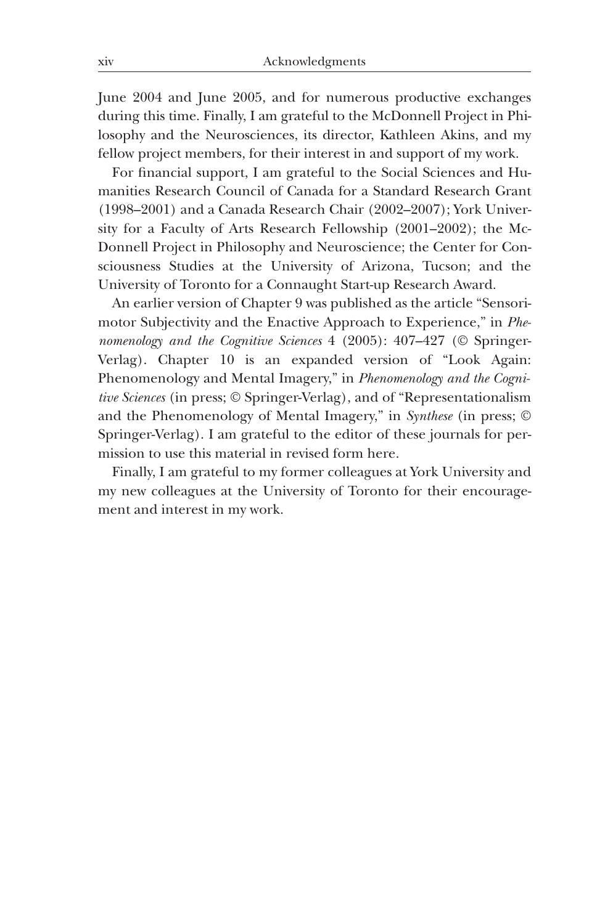June 2004 and June 2005, and for numerous productive exchanges during this time. Finally, I am grateful to the McDonnell Project in Philosophy and the Neurosciences, its director, Kathleen Akins, and my fellow project members, for their interest in and support of my work.

For financial support, I am grateful to the Social Sciences and Humanities Research Council of Canada for a Standard Research Grant (1998–2001) and a Canada Research Chair (2002–2007); York University for a Faculty of Arts Research Fellowship (2001–2002); the Mc-Donnell Project in Philosophy and Neuroscience; the Center for Consciousness Studies at the University of Arizona, Tucson; and the University of Toronto for a Connaught Start-up Research Award.

An earlier version of Chapter 9 was published as the article "Sensorimotor Subjectivity and the Enactive Approach to Experience," in *Phenomenology and the Cognitive Sciences* 4 (2005): 407–427 (© Springer-Verlag). Chapter 10 is an expanded version of "Look Again: Phenomenology and Mental Imagery," in *Phenomenology and the Cognitive Sciences* (in press; © Springer-Verlag), and of "Representationalism and the Phenomenology of Mental Imagery," in *Synthese* (in press; © Springer-Verlag). I am grateful to the editor of these journals for permission to use this material in revised form here.

Finally, I am grateful to my former colleagues at York University and my new colleagues at the University of Toronto for their encouragement and interest in my work.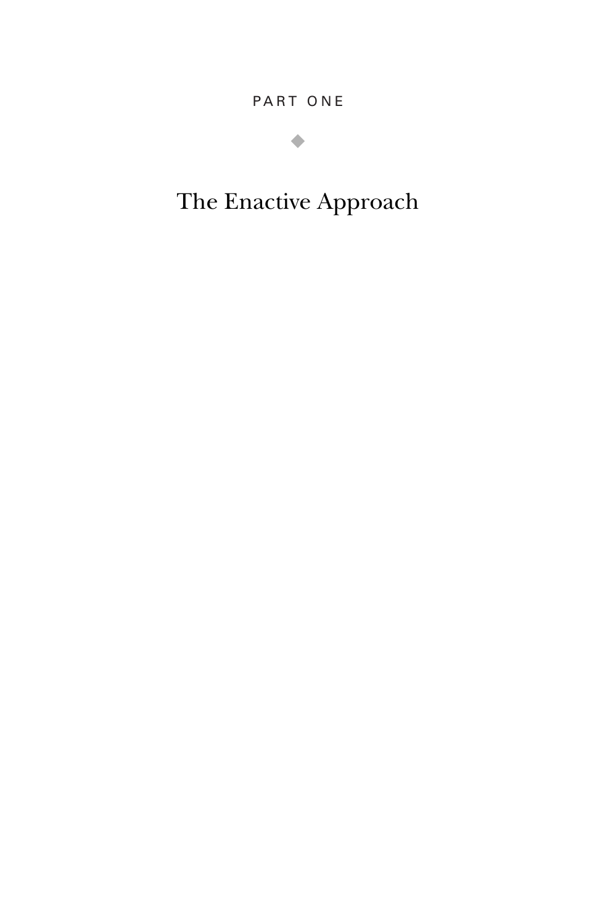## PART ONE

## The Enactive Approach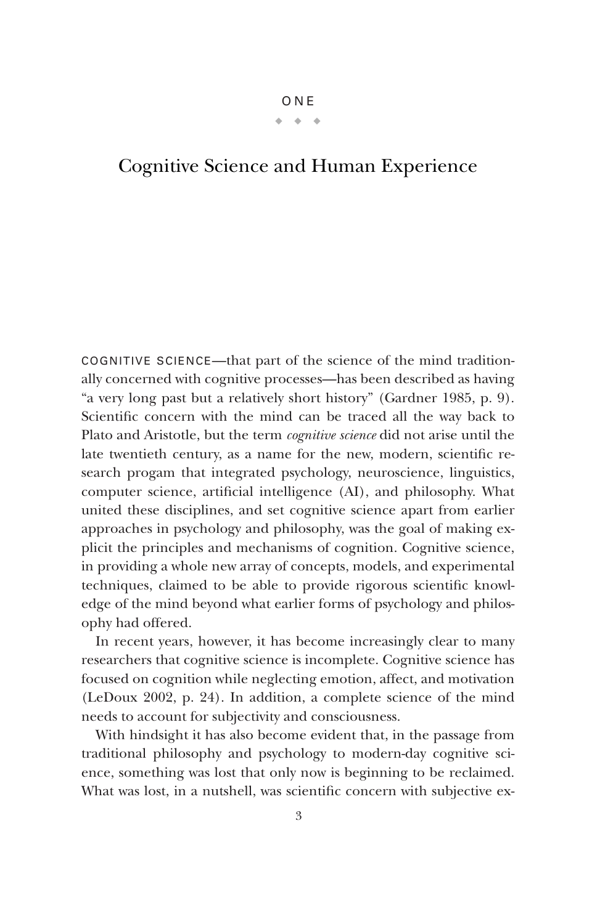#### ONE ◆ ◆ ◆

### Cognitive Science and Human Experience

COGNITIVE SCIENCE—that part of the science of the mind traditionally concerned with cognitive processes—has been described as having "a very long past but a relatively short history" (Gardner 1985, p. 9). Scientific concern with the mind can be traced all the way back to Plato and Aristotle, but the term *cognitive science* did not arise until the late twentieth century, as a name for the new, modern, scientific research progam that integrated psychology, neuroscience, linguistics, computer science, artificial intelligence (AI), and philosophy. What united these disciplines, and set cognitive science apart from earlier approaches in psychology and philosophy, was the goal of making explicit the principles and mechanisms of cognition. Cognitive science, in providing a whole new array of concepts, models, and experimental techniques, claimed to be able to provide rigorous scientific knowledge of the mind beyond what earlier forms of psychology and philosophy had offered.

In recent years, however, it has become increasingly clear to many researchers that cognitive science is incomplete. Cognitive science has focused on cognition while neglecting emotion, affect, and motivation (LeDoux 2002, p. 24). In addition, a complete science of the mind needs to account for subjectivity and consciousness.

With hindsight it has also become evident that, in the passage from traditional philosophy and psychology to modern-day cognitive science, something was lost that only now is beginning to be reclaimed. What was lost, in a nutshell, was scientific concern with subjective ex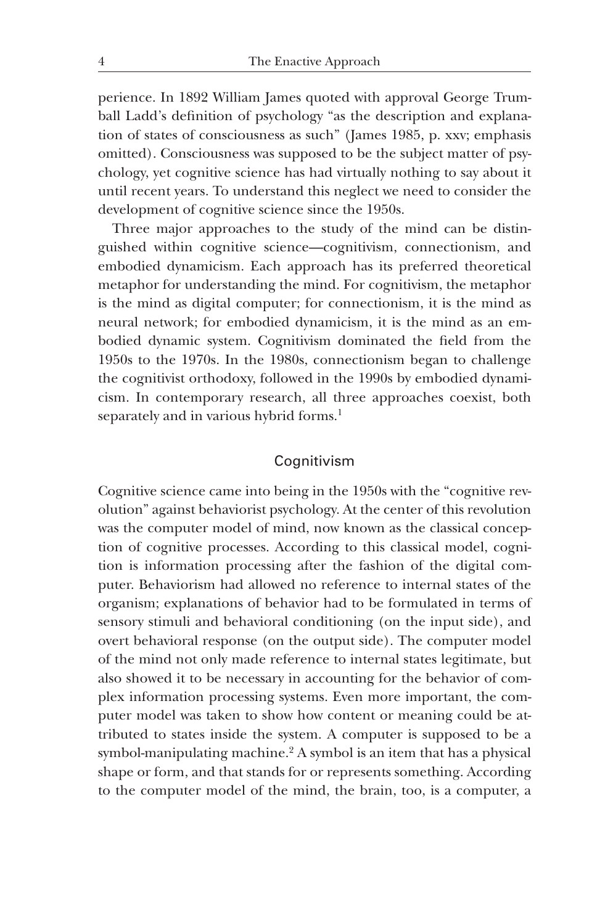perience. In 1892 William James quoted with approval George Trumball Ladd's definition of psychology "as the description and explanation of states of consciousness as such" (James 1985, p. xxv; emphasis omitted). Consciousness was supposed to be the subject matter of psychology, yet cognitive science has had virtually nothing to say about it until recent years. To understand this neglect we need to consider the development of cognitive science since the 1950s.

Three major approaches to the study of the mind can be distinguished within cognitive science—cognitivism, connectionism, and embodied dynamicism. Each approach has its preferred theoretical metaphor for understanding the mind. For cognitivism, the metaphor is the mind as digital computer; for connectionism, it is the mind as neural network; for embodied dynamicism, it is the mind as an embodied dynamic system. Cognitivism dominated the field from the 1950s to the 1970s. In the 1980s, connectionism began to challenge the cognitivist orthodoxy, followed in the 1990s by embodied dynamicism. In contemporary research, all three approaches coexist, both separately and in various hybrid forms.<sup>1</sup>

#### Cognitivism

Cognitive science came into being in the 1950s with the "cognitive revolution" against behaviorist psychology. At the center of this revolution was the computer model of mind, now known as the classical conception of cognitive processes. According to this classical model, cognition is information processing after the fashion of the digital computer. Behaviorism had allowed no reference to internal states of the organism; explanations of behavior had to be formulated in terms of sensory stimuli and behavioral conditioning (on the input side), and overt behavioral response (on the output side). The computer model of the mind not only made reference to internal states legitimate, but also showed it to be necessary in accounting for the behavior of complex information processing systems. Even more important, the computer model was taken to show how content or meaning could be attributed to states inside the system. A computer is supposed to be a symbol-manipulating machine.<sup>2</sup> A symbol is an item that has a physical shape or form, and that stands for or represents something. According to the computer model of the mind, the brain, too, is a computer, a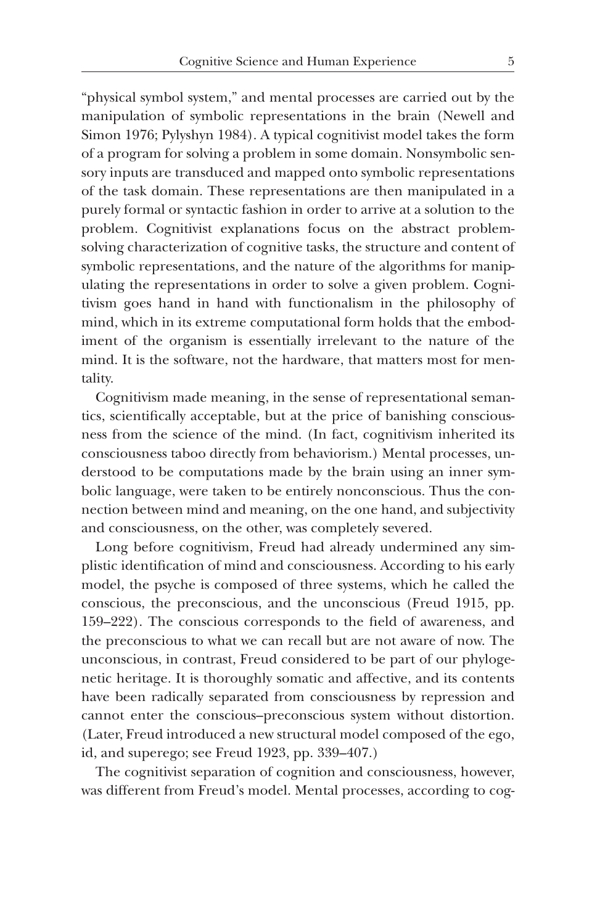"physical symbol system," and mental processes are carried out by the manipulation of symbolic representations in the brain (Newell and Simon 1976; Pylyshyn 1984). A typical cognitivist model takes the form of a program for solving a problem in some domain. Nonsymbolic sensory inputs are transduced and mapped onto symbolic representations of the task domain. These representations are then manipulated in a purely formal or syntactic fashion in order to arrive at a solution to the problem. Cognitivist explanations focus on the abstract problemsolving characterization of cognitive tasks, the structure and content of symbolic representations, and the nature of the algorithms for manipulating the representations in order to solve a given problem. Cognitivism goes hand in hand with functionalism in the philosophy of mind, which in its extreme computational form holds that the embodiment of the organism is essentially irrelevant to the nature of the mind. It is the software, not the hardware, that matters most for mentality.

Cognitivism made meaning, in the sense of representational semantics, scientifically acceptable, but at the price of banishing consciousness from the science of the mind. (In fact, cognitivism inherited its consciousness taboo directly from behaviorism.) Mental processes, understood to be computations made by the brain using an inner symbolic language, were taken to be entirely nonconscious. Thus the connection between mind and meaning, on the one hand, and subjectivity and consciousness, on the other, was completely severed.

Long before cognitivism, Freud had already undermined any simplistic identification of mind and consciousness. According to his early model, the psyche is composed of three systems, which he called the conscious, the preconscious, and the unconscious (Freud 1915, pp. 159–222). The conscious corresponds to the field of awareness, and the preconscious to what we can recall but are not aware of now. The unconscious, in contrast, Freud considered to be part of our phylogenetic heritage. It is thoroughly somatic and affective, and its contents have been radically separated from consciousness by repression and cannot enter the conscious–preconscious system without distortion. (Later, Freud introduced a new structural model composed of the ego, id, and superego; see Freud 1923, pp. 339–407.)

The cognitivist separation of cognition and consciousness, however, was different from Freud's model. Mental processes, according to cog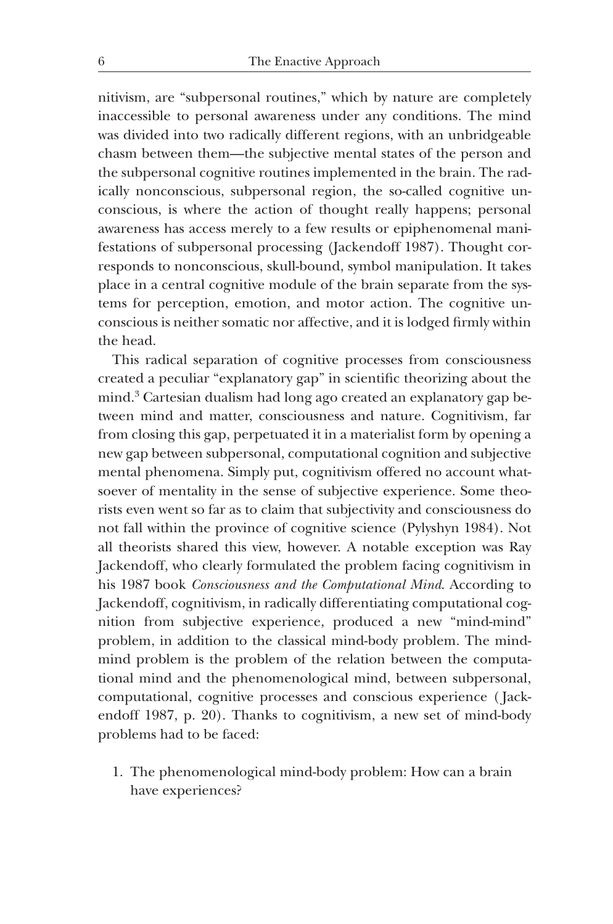nitivism, are "subpersonal routines," which by nature are completely inaccessible to personal awareness under any conditions. The mind was divided into two radically different regions, with an unbridgeable chasm between them—the subjective mental states of the person and the subpersonal cognitive routines implemented in the brain. The radically nonconscious, subpersonal region, the so-called cognitive unconscious, is where the action of thought really happens; personal awareness has access merely to a few results or epiphenomenal manifestations of subpersonal processing (Jackendoff 1987). Thought corresponds to nonconscious, skull-bound, symbol manipulation. It takes place in a central cognitive module of the brain separate from the systems for perception, emotion, and motor action. The cognitive unconscious is neither somatic nor affective, and it is lodged firmly within the head.

This radical separation of cognitive processes from consciousness created a peculiar "explanatory gap" in scientific theorizing about the mind.3 Cartesian dualism had long ago created an explanatory gap between mind and matter, consciousness and nature. Cognitivism, far from closing this gap, perpetuated it in a materialist form by opening a new gap between subpersonal, computational cognition and subjective mental phenomena. Simply put, cognitivism offered no account whatsoever of mentality in the sense of subjective experience. Some theorists even went so far as to claim that subjectivity and consciousness do not fall within the province of cognitive science (Pylyshyn 1984). Not all theorists shared this view, however. A notable exception was Ray Jackendoff, who clearly formulated the problem facing cognitivism in his 1987 book *Consciousness and the Computational Mind*. According to Jackendoff, cognitivism, in radically differentiating computational cognition from subjective experience, produced a new "mind-mind" problem, in addition to the classical mind-body problem. The mindmind problem is the problem of the relation between the computational mind and the phenomenological mind, between subpersonal, computational, cognitive processes and conscious experience ( Jackendoff 1987, p. 20). Thanks to cognitivism, a new set of mind-body problems had to be faced:

1. The phenomenological mind-body problem: How can a brain have experiences?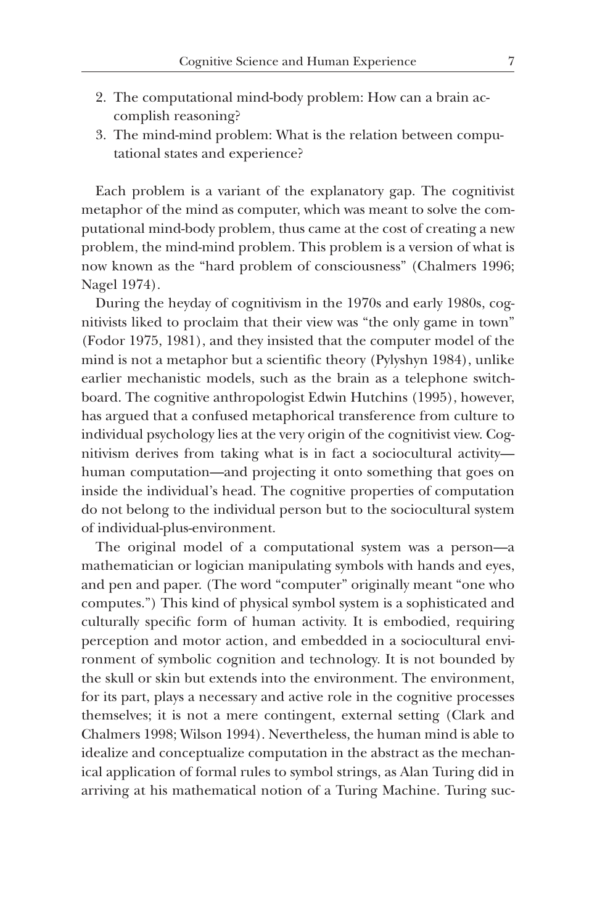- 2. The computational mind-body problem: How can a brain accomplish reasoning?
- 3. The mind-mind problem: What is the relation between computational states and experience?

Each problem is a variant of the explanatory gap. The cognitivist metaphor of the mind as computer, which was meant to solve the computational mind-body problem, thus came at the cost of creating a new problem, the mind-mind problem. This problem is a version of what is now known as the "hard problem of consciousness" (Chalmers 1996; Nagel 1974).

During the heyday of cognitivism in the 1970s and early 1980s, cognitivists liked to proclaim that their view was "the only game in town" (Fodor 1975, 1981), and they insisted that the computer model of the mind is not a metaphor but a scientific theory (Pylyshyn 1984), unlike earlier mechanistic models, such as the brain as a telephone switchboard. The cognitive anthropologist Edwin Hutchins (1995), however, has argued that a confused metaphorical transference from culture to individual psychology lies at the very origin of the cognitivist view. Cognitivism derives from taking what is in fact a sociocultural activity human computation—and projecting it onto something that goes on inside the individual's head. The cognitive properties of computation do not belong to the individual person but to the sociocultural system of individual-plus-environment.

The original model of a computational system was a person—a mathematician or logician manipulating symbols with hands and eyes, and pen and paper. (The word "computer" originally meant "one who computes.") This kind of physical symbol system is a sophisticated and culturally specific form of human activity. It is embodied, requiring perception and motor action, and embedded in a sociocultural environment of symbolic cognition and technology. It is not bounded by the skull or skin but extends into the environment. The environment, for its part, plays a necessary and active role in the cognitive processes themselves; it is not a mere contingent, external setting (Clark and Chalmers 1998; Wilson 1994). Nevertheless, the human mind is able to idealize and conceptualize computation in the abstract as the mechanical application of formal rules to symbol strings, as Alan Turing did in arriving at his mathematical notion of a Turing Machine. Turing suc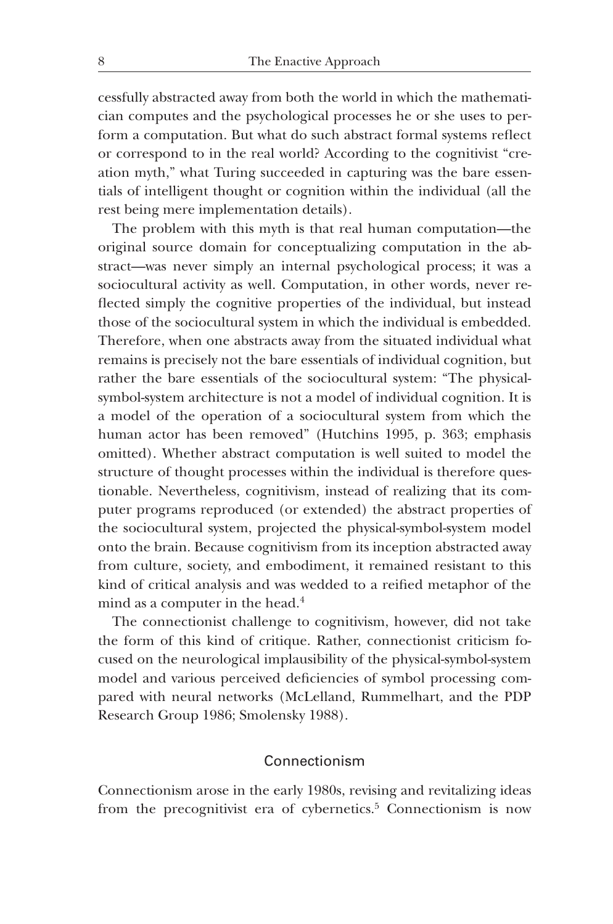cessfully abstracted away from both the world in which the mathematician computes and the psychological processes he or she uses to perform a computation. But what do such abstract formal systems reflect or correspond to in the real world? According to the cognitivist "creation myth," what Turing succeeded in capturing was the bare essentials of intelligent thought or cognition within the individual (all the rest being mere implementation details).

The problem with this myth is that real human computation—the original source domain for conceptualizing computation in the abstract—was never simply an internal psychological process; it was a sociocultural activity as well. Computation, in other words, never reflected simply the cognitive properties of the individual, but instead those of the sociocultural system in which the individual is embedded. Therefore, when one abstracts away from the situated individual what remains is precisely not the bare essentials of individual cognition, but rather the bare essentials of the sociocultural system: "The physicalsymbol-system architecture is not a model of individual cognition. It is a model of the operation of a sociocultural system from which the human actor has been removed" (Hutchins 1995, p. 363; emphasis omitted). Whether abstract computation is well suited to model the structure of thought processes within the individual is therefore questionable. Nevertheless, cognitivism, instead of realizing that its computer programs reproduced (or extended) the abstract properties of the sociocultural system, projected the physical-symbol-system model onto the brain. Because cognitivism from its inception abstracted away from culture, society, and embodiment, it remained resistant to this kind of critical analysis and was wedded to a reified metaphor of the mind as a computer in the head.<sup>4</sup>

The connectionist challenge to cognitivism, however, did not take the form of this kind of critique. Rather, connectionist criticism focused on the neurological implausibility of the physical-symbol-system model and various perceived deficiencies of symbol processing compared with neural networks (McLelland, Rummelhart, and the PDP Research Group 1986; Smolensky 1988).

#### Connectionism

Connectionism arose in the early 1980s, revising and revitalizing ideas from the precognitivist era of cybernetics.<sup>5</sup> Connectionism is now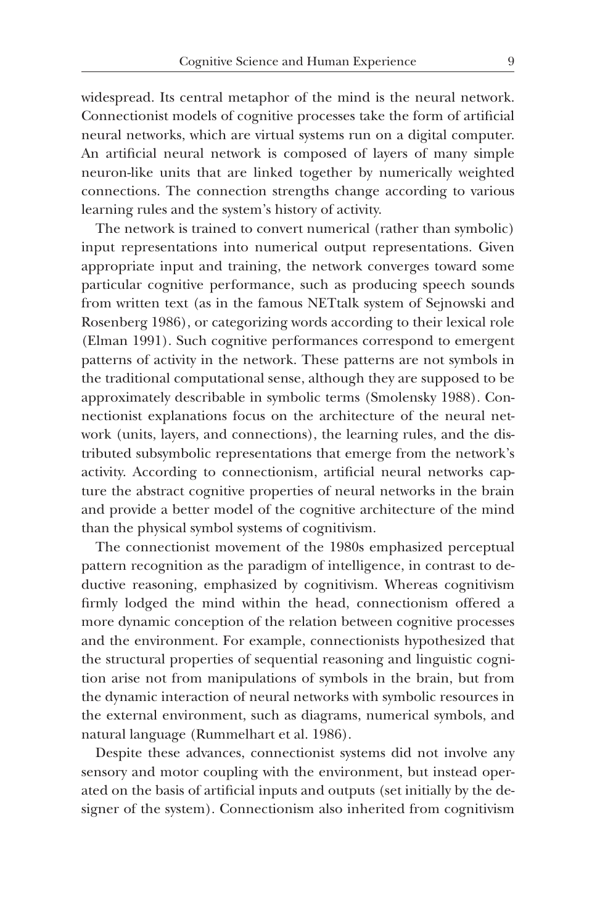widespread. Its central metaphor of the mind is the neural network. Connectionist models of cognitive processes take the form of artificial neural networks, which are virtual systems run on a digital computer. An artificial neural network is composed of layers of many simple neuron-like units that are linked together by numerically weighted connections. The connection strengths change according to various learning rules and the system's history of activity.

The network is trained to convert numerical (rather than symbolic) input representations into numerical output representations. Given appropriate input and training, the network converges toward some particular cognitive performance, such as producing speech sounds from written text (as in the famous NETtalk system of Sejnowski and Rosenberg 1986), or categorizing words according to their lexical role (Elman 1991). Such cognitive performances correspond to emergent patterns of activity in the network. These patterns are not symbols in the traditional computational sense, although they are supposed to be approximately describable in symbolic terms (Smolensky 1988). Connectionist explanations focus on the architecture of the neural network (units, layers, and connections), the learning rules, and the distributed subsymbolic representations that emerge from the network's activity. According to connectionism, artificial neural networks capture the abstract cognitive properties of neural networks in the brain and provide a better model of the cognitive architecture of the mind than the physical symbol systems of cognitivism.

The connectionist movement of the 1980s emphasized perceptual pattern recognition as the paradigm of intelligence, in contrast to deductive reasoning, emphasized by cognitivism. Whereas cognitivism firmly lodged the mind within the head, connectionism offered a more dynamic conception of the relation between cognitive processes and the environment. For example, connectionists hypothesized that the structural properties of sequential reasoning and linguistic cognition arise not from manipulations of symbols in the brain, but from the dynamic interaction of neural networks with symbolic resources in the external environment, such as diagrams, numerical symbols, and natural language (Rummelhart et al. 1986).

Despite these advances, connectionist systems did not involve any sensory and motor coupling with the environment, but instead operated on the basis of artificial inputs and outputs (set initially by the designer of the system). Connectionism also inherited from cognitivism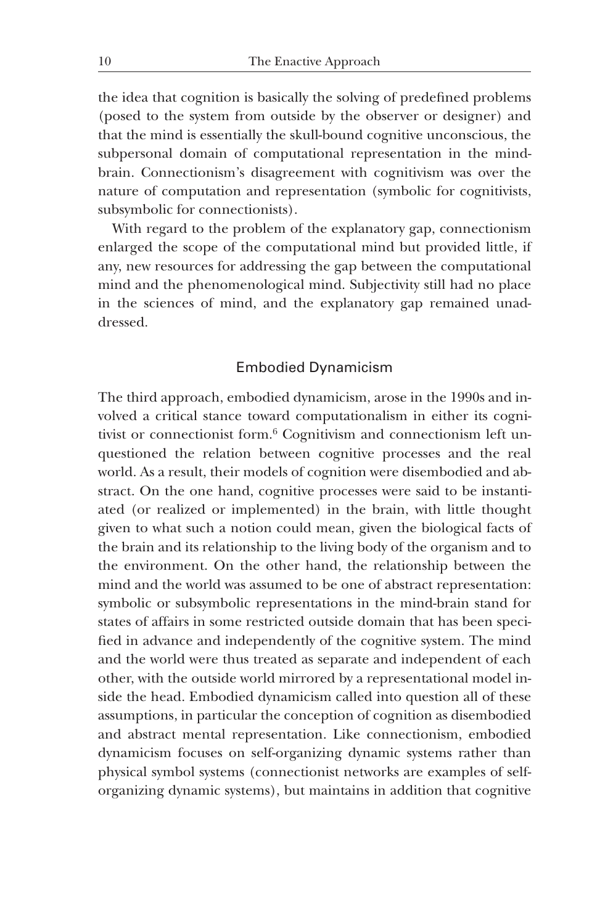the idea that cognition is basically the solving of predefined problems (posed to the system from outside by the observer or designer) and that the mind is essentially the skull-bound cognitive unconscious, the subpersonal domain of computational representation in the mindbrain. Connectionism's disagreement with cognitivism was over the nature of computation and representation (symbolic for cognitivists, subsymbolic for connectionists).

With regard to the problem of the explanatory gap, connectionism enlarged the scope of the computational mind but provided little, if any, new resources for addressing the gap between the computational mind and the phenomenological mind. Subjectivity still had no place in the sciences of mind, and the explanatory gap remained unaddressed.

#### Embodied Dynamicism

The third approach, embodied dynamicism, arose in the 1990s and involved a critical stance toward computationalism in either its cognitivist or connectionist form.6 Cognitivism and connectionism left unquestioned the relation between cognitive processes and the real world. As a result, their models of cognition were disembodied and abstract. On the one hand, cognitive processes were said to be instantiated (or realized or implemented) in the brain, with little thought given to what such a notion could mean, given the biological facts of the brain and its relationship to the living body of the organism and to the environment. On the other hand, the relationship between the mind and the world was assumed to be one of abstract representation: symbolic or subsymbolic representations in the mind-brain stand for states of affairs in some restricted outside domain that has been specified in advance and independently of the cognitive system. The mind and the world were thus treated as separate and independent of each other, with the outside world mirrored by a representational model inside the head. Embodied dynamicism called into question all of these assumptions, in particular the conception of cognition as disembodied and abstract mental representation. Like connectionism, embodied dynamicism focuses on self-organizing dynamic systems rather than physical symbol systems (connectionist networks are examples of selforganizing dynamic systems), but maintains in addition that cognitive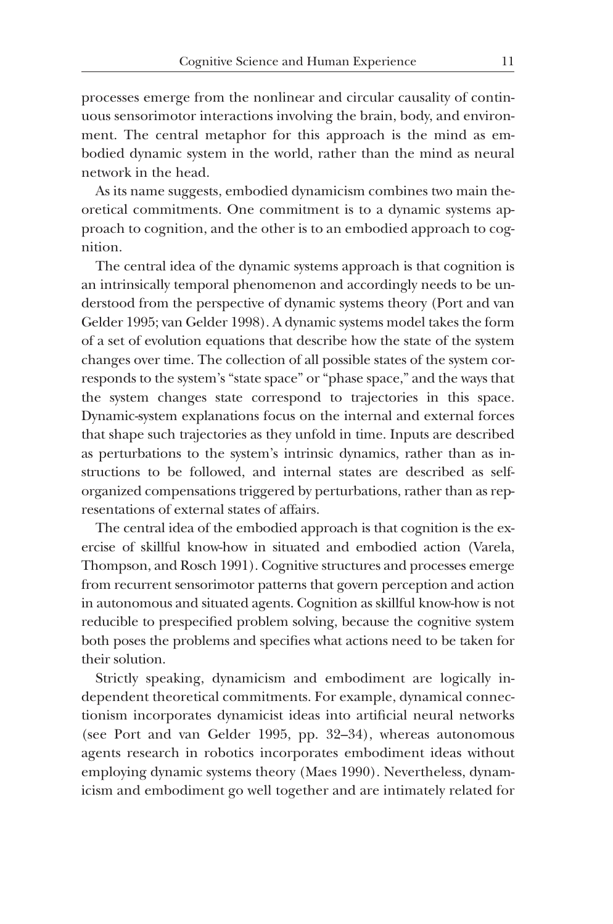processes emerge from the nonlinear and circular causality of continuous sensorimotor interactions involving the brain, body, and environment. The central metaphor for this approach is the mind as embodied dynamic system in the world, rather than the mind as neural network in the head.

As its name suggests, embodied dynamicism combines two main theoretical commitments. One commitment is to a dynamic systems approach to cognition, and the other is to an embodied approach to cognition.

The central idea of the dynamic systems approach is that cognition is an intrinsically temporal phenomenon and accordingly needs to be understood from the perspective of dynamic systems theory (Port and van Gelder 1995; van Gelder 1998). A dynamic systems model takes the form of a set of evolution equations that describe how the state of the system changes over time. The collection of all possible states of the system corresponds to the system's "state space" or "phase space," and the ways that the system changes state correspond to trajectories in this space. Dynamic-system explanations focus on the internal and external forces that shape such trajectories as they unfold in time. Inputs are described as perturbations to the system's intrinsic dynamics, rather than as instructions to be followed, and internal states are described as selforganized compensations triggered by perturbations, rather than as representations of external states of affairs.

The central idea of the embodied approach is that cognition is the exercise of skillful know-how in situated and embodied action (Varela, Thompson, and Rosch 1991). Cognitive structures and processes emerge from recurrent sensorimotor patterns that govern perception and action in autonomous and situated agents. Cognition as skillful know-how is not reducible to prespecified problem solving, because the cognitive system both poses the problems and specifies what actions need to be taken for their solution.

Strictly speaking, dynamicism and embodiment are logically independent theoretical commitments. For example, dynamical connectionism incorporates dynamicist ideas into artificial neural networks (see Port and van Gelder 1995, pp. 32–34), whereas autonomous agents research in robotics incorporates embodiment ideas without employing dynamic systems theory (Maes 1990). Nevertheless, dynamicism and embodiment go well together and are intimately related for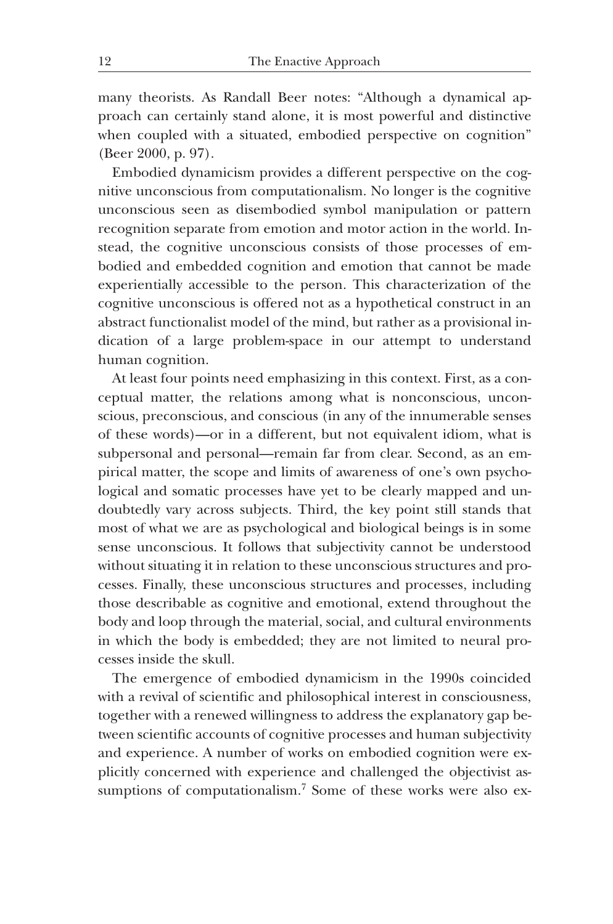many theorists. As Randall Beer notes: "Although a dynamical approach can certainly stand alone, it is most powerful and distinctive when coupled with a situated, embodied perspective on cognition" (Beer 2000, p. 97).

Embodied dynamicism provides a different perspective on the cognitive unconscious from computationalism. No longer is the cognitive unconscious seen as disembodied symbol manipulation or pattern recognition separate from emotion and motor action in the world. Instead, the cognitive unconscious consists of those processes of embodied and embedded cognition and emotion that cannot be made experientially accessible to the person. This characterization of the cognitive unconscious is offered not as a hypothetical construct in an abstract functionalist model of the mind, but rather as a provisional indication of a large problem-space in our attempt to understand human cognition.

At least four points need emphasizing in this context. First, as a conceptual matter, the relations among what is nonconscious, unconscious, preconscious, and conscious (in any of the innumerable senses of these words)—or in a different, but not equivalent idiom, what is subpersonal and personal—remain far from clear. Second, as an empirical matter, the scope and limits of awareness of one's own psychological and somatic processes have yet to be clearly mapped and undoubtedly vary across subjects. Third, the key point still stands that most of what we are as psychological and biological beings is in some sense unconscious. It follows that subjectivity cannot be understood without situating it in relation to these unconscious structures and processes. Finally, these unconscious structures and processes, including those describable as cognitive and emotional, extend throughout the body and loop through the material, social, and cultural environments in which the body is embedded; they are not limited to neural processes inside the skull.

The emergence of embodied dynamicism in the 1990s coincided with a revival of scientific and philosophical interest in consciousness, together with a renewed willingness to address the explanatory gap between scientific accounts of cognitive processes and human subjectivity and experience. A number of works on embodied cognition were explicitly concerned with experience and challenged the objectivist assumptions of computationalism.<sup>7</sup> Some of these works were also ex-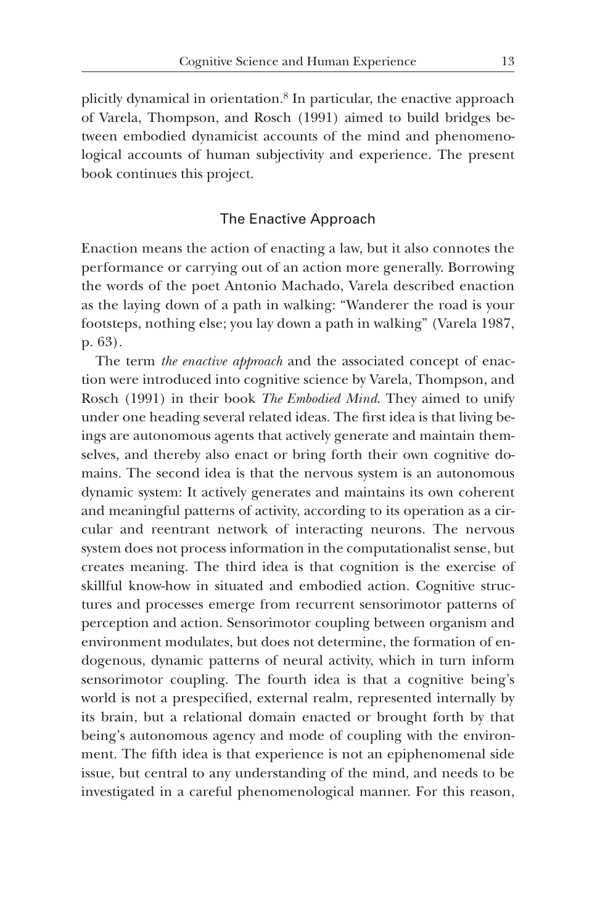plicitly dynamical in orientation.8 In particular, the enactive approach of Varela, Thompson, and Rosch (1991) aimed to build bridges between embodied dynamicist accounts of the mind and phenomenological accounts of human subjectivity and experience. The present book continues this project.

#### The Enactive Approach

Enaction means the action of enacting a law, but it also connotes the performance or carrying out of an action more generally. Borrowing the words of the poet Antonio Machado, Varela described enaction as the laying down of a path in walking: "Wanderer the road is your footsteps, nothing else; you lay down a path in walking" (Varela 1987, p. 63).

The term *the enactive approach* and the associated concept of enaction were introduced into cognitive science by Varela, Thompson, and Rosch (1991) in their book *The Embodied Mind*. They aimed to unify under one heading several related ideas. The first idea is that living beings are autonomous agents that actively generate and maintain themselves, and thereby also enact or bring forth their own cognitive domains. The second idea is that the nervous system is an autonomous dynamic system: It actively generates and maintains its own coherent and meaningful patterns of activity, according to its operation as a circular and reentrant network of interacting neurons. The nervous system does not process information in the computationalist sense, but creates meaning. The third idea is that cognition is the exercise of skillful know-how in situated and embodied action. Cognitive structures and processes emerge from recurrent sensorimotor patterns of perception and action. Sensorimotor coupling between organism and environment modulates, but does not determine, the formation of endogenous, dynamic patterns of neural activity, which in turn inform sensorimotor coupling. The fourth idea is that a cognitive being's world is not a prespecified, external realm, represented internally by its brain, but a relational domain enacted or brought forth by that being's autonomous agency and mode of coupling with the environment. The fifth idea is that experience is not an epiphenomenal side issue, but central to any understanding of the mind, and needs to be investigated in a careful phenomenological manner. For this reason,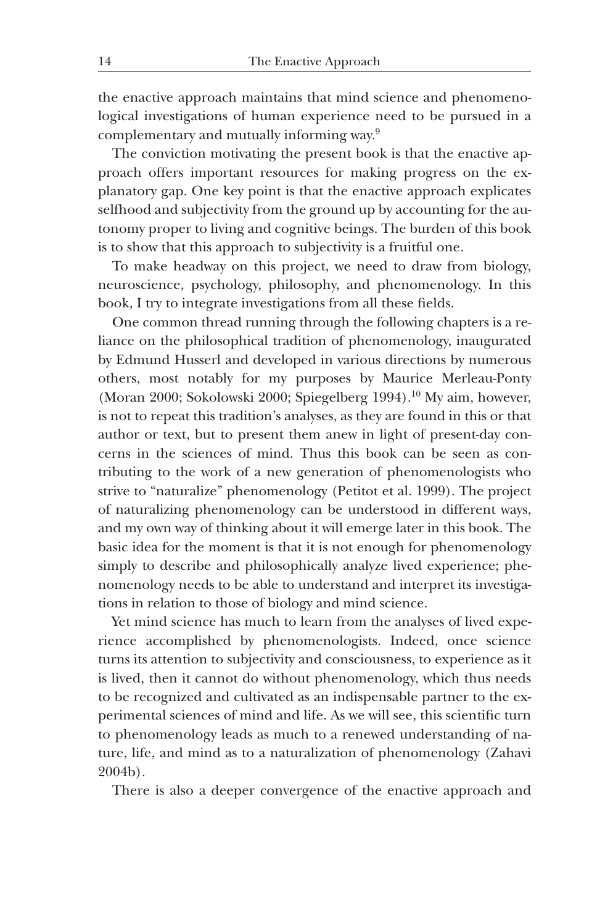the enactive approach maintains that mind science and phenomenological investigations of human experience need to be pursued in a complementary and mutually informing way.9

The conviction motivating the present book is that the enactive approach offers important resources for making progress on the explanatory gap. One key point is that the enactive approach explicates selfhood and subjectivity from the ground up by accounting for the autonomy proper to living and cognitive beings. The burden of this book is to show that this approach to subjectivity is a fruitful one.

To make headway on this project, we need to draw from biology, neuroscience, psychology, philosophy, and phenomenology. In this book, I try to integrate investigations from all these fields.

One common thread running through the following chapters is a reliance on the philosophical tradition of phenomenology, inaugurated by Edmund Husserl and developed in various directions by numerous others, most notably for my purposes by Maurice Merleau-Ponty (Moran 2000; Sokolowski 2000; Spiegelberg 1994).10 My aim, however, is not to repeat this tradition's analyses, as they are found in this or that author or text, but to present them anew in light of present-day concerns in the sciences of mind. Thus this book can be seen as contributing to the work of a new generation of phenomenologists who strive to "naturalize" phenomenology (Petitot et al. 1999). The project of naturalizing phenomenology can be understood in different ways, and my own way of thinking about it will emerge later in this book. The basic idea for the moment is that it is not enough for phenomenology simply to describe and philosophically analyze lived experience; phenomenology needs to be able to understand and interpret its investigations in relation to those of biology and mind science.

Yet mind science has much to learn from the analyses of lived experience accomplished by phenomenologists. Indeed, once science turns its attention to subjectivity and consciousness, to experience as it is lived, then it cannot do without phenomenology, which thus needs to be recognized and cultivated as an indispensable partner to the experimental sciences of mind and life. As we will see, this scientific turn to phenomenology leads as much to a renewed understanding of nature, life, and mind as to a naturalization of phenomenology (Zahavi 2004b).

There is also a deeper convergence of the enactive approach and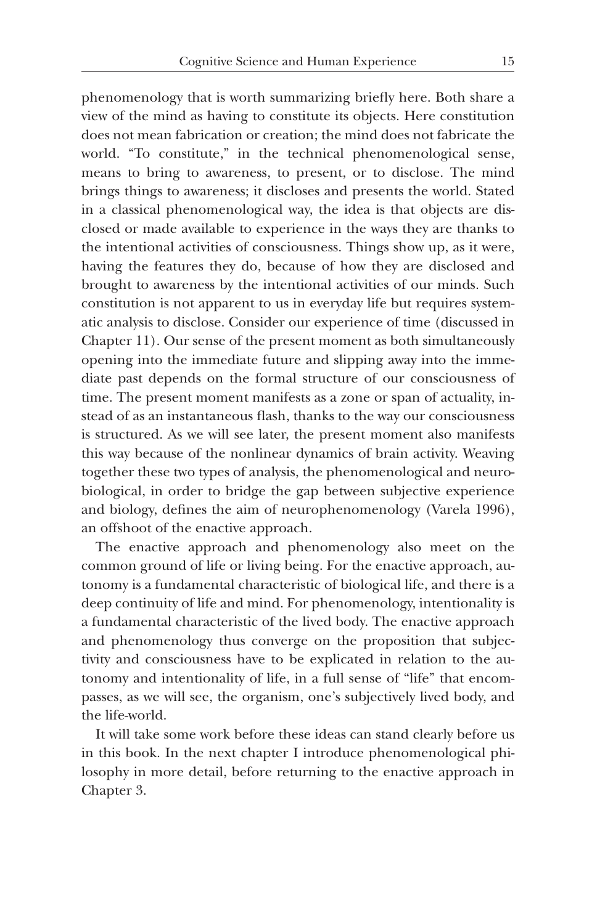phenomenology that is worth summarizing briefly here. Both share a view of the mind as having to constitute its objects. Here constitution does not mean fabrication or creation; the mind does not fabricate the world. "To constitute," in the technical phenomenological sense, means to bring to awareness, to present, or to disclose. The mind brings things to awareness; it discloses and presents the world. Stated in a classical phenomenological way, the idea is that objects are disclosed or made available to experience in the ways they are thanks to the intentional activities of consciousness. Things show up, as it were, having the features they do, because of how they are disclosed and brought to awareness by the intentional activities of our minds. Such constitution is not apparent to us in everyday life but requires systematic analysis to disclose. Consider our experience of time (discussed in Chapter 11). Our sense of the present moment as both simultaneously opening into the immediate future and slipping away into the immediate past depends on the formal structure of our consciousness of time. The present moment manifests as a zone or span of actuality, instead of as an instantaneous flash, thanks to the way our consciousness is structured. As we will see later, the present moment also manifests this way because of the nonlinear dynamics of brain activity. Weaving together these two types of analysis, the phenomenological and neurobiological, in order to bridge the gap between subjective experience and biology, defines the aim of neurophenomenology (Varela 1996), an offshoot of the enactive approach.

The enactive approach and phenomenology also meet on the common ground of life or living being. For the enactive approach, autonomy is a fundamental characteristic of biological life, and there is a deep continuity of life and mind. For phenomenology, intentionality is a fundamental characteristic of the lived body. The enactive approach and phenomenology thus converge on the proposition that subjectivity and consciousness have to be explicated in relation to the autonomy and intentionality of life, in a full sense of "life" that encompasses, as we will see, the organism, one's subjectively lived body, and the life-world.

It will take some work before these ideas can stand clearly before us in this book. In the next chapter I introduce phenomenological philosophy in more detail, before returning to the enactive approach in Chapter 3.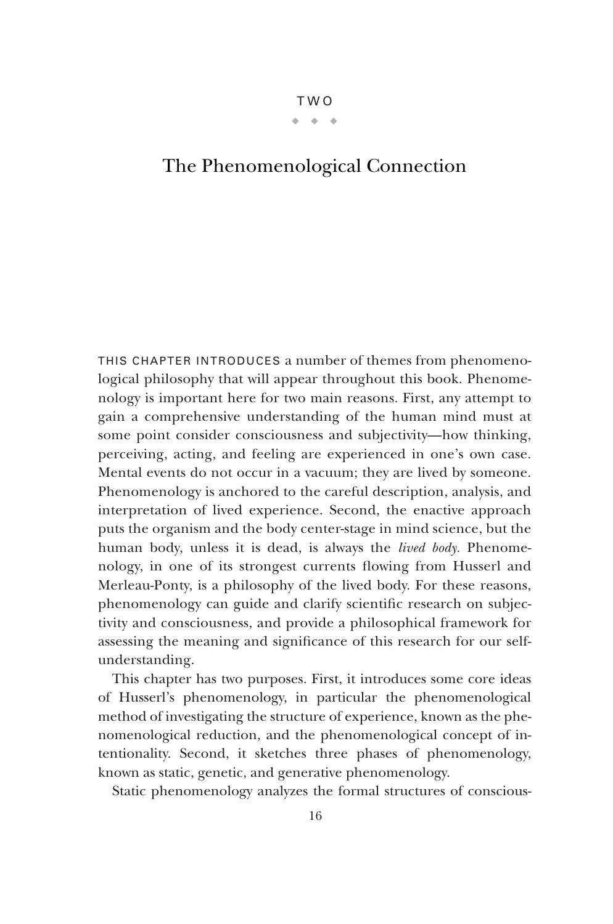## TWO

◆ ◆ ◆

## The Phenomenological Connection

THIS CHAPTER INTRODUCES a number of themes from phenomenological philosophy that will appear throughout this book. Phenomenology is important here for two main reasons. First, any attempt to gain a comprehensive understanding of the human mind must at some point consider consciousness and subjectivity—how thinking, perceiving, acting, and feeling are experienced in one's own case. Mental events do not occur in a vacuum; they are lived by someone. Phenomenology is anchored to the careful description, analysis, and interpretation of lived experience. Second, the enactive approach puts the organism and the body center-stage in mind science, but the human body, unless it is dead, is always the *lived body.* Phenomenology, in one of its strongest currents flowing from Husserl and Merleau-Ponty, is a philosophy of the lived body. For these reasons, phenomenology can guide and clarify scientific research on subjectivity and consciousness, and provide a philosophical framework for assessing the meaning and significance of this research for our selfunderstanding.

This chapter has two purposes. First, it introduces some core ideas of Husserl's phenomenology, in particular the phenomenological method of investigating the structure of experience, known as the phenomenological reduction, and the phenomenological concept of intentionality. Second, it sketches three phases of phenomenology, known as static, genetic, and generative phenomenology.

Static phenomenology analyzes the formal structures of conscious-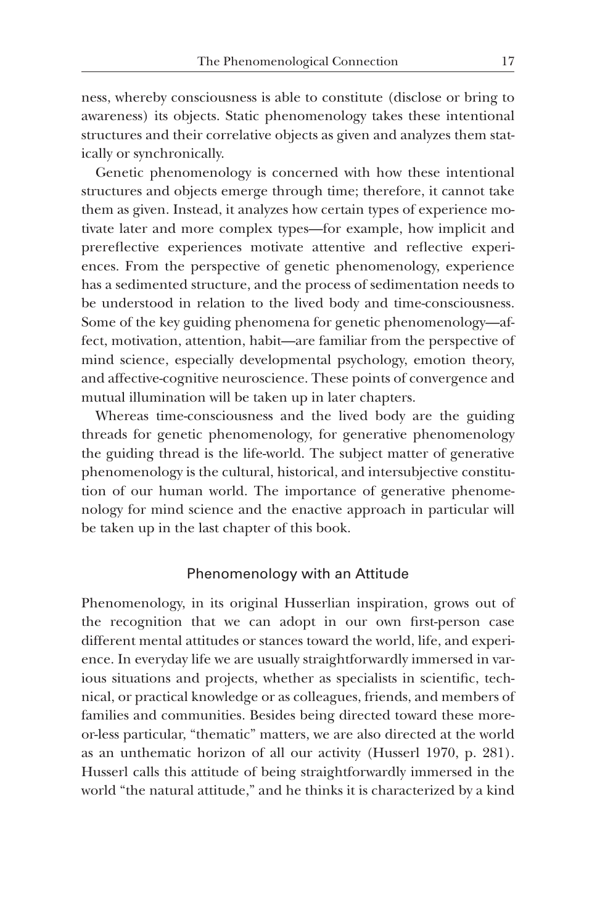ness, whereby consciousness is able to constitute (disclose or bring to awareness) its objects. Static phenomenology takes these intentional structures and their correlative objects as given and analyzes them statically or synchronically.

Genetic phenomenology is concerned with how these intentional structures and objects emerge through time; therefore, it cannot take them as given. Instead, it analyzes how certain types of experience motivate later and more complex types—for example, how implicit and prereflective experiences motivate attentive and reflective experiences. From the perspective of genetic phenomenology, experience has a sedimented structure, and the process of sedimentation needs to be understood in relation to the lived body and time-consciousness. Some of the key guiding phenomena for genetic phenomenology—affect, motivation, attention, habit—are familiar from the perspective of mind science, especially developmental psychology, emotion theory, and affective-cognitive neuroscience. These points of convergence and mutual illumination will be taken up in later chapters.

Whereas time-consciousness and the lived body are the guiding threads for genetic phenomenology, for generative phenomenology the guiding thread is the life-world. The subject matter of generative phenomenology is the cultural, historical, and intersubjective constitution of our human world. The importance of generative phenomenology for mind science and the enactive approach in particular will be taken up in the last chapter of this book.

#### Phenomenology with an Attitude

Phenomenology, in its original Husserlian inspiration, grows out of the recognition that we can adopt in our own first-person case different mental attitudes or stances toward the world, life, and experience. In everyday life we are usually straightforwardly immersed in various situations and projects, whether as specialists in scientific, technical, or practical knowledge or as colleagues, friends, and members of families and communities. Besides being directed toward these moreor-less particular, "thematic" matters, we are also directed at the world as an unthematic horizon of all our activity (Husserl 1970, p. 281). Husserl calls this attitude of being straightforwardly immersed in the world "the natural attitude," and he thinks it is characterized by a kind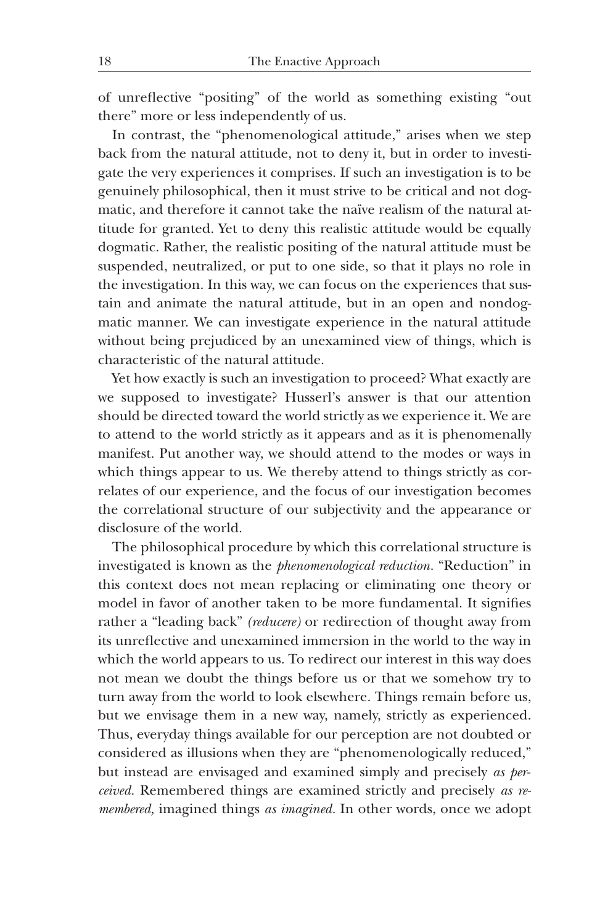of unreflective "positing" of the world as something existing "out there" more or less independently of us.

In contrast, the "phenomenological attitude," arises when we step back from the natural attitude, not to deny it, but in order to investigate the very experiences it comprises. If such an investigation is to be genuinely philosophical, then it must strive to be critical and not dogmatic, and therefore it cannot take the naïve realism of the natural attitude for granted. Yet to deny this realistic attitude would be equally dogmatic. Rather, the realistic positing of the natural attitude must be suspended, neutralized, or put to one side, so that it plays no role in the investigation. In this way, we can focus on the experiences that sustain and animate the natural attitude, but in an open and nondogmatic manner. We can investigate experience in the natural attitude without being prejudiced by an unexamined view of things, which is characteristic of the natural attitude.

Yet how exactly is such an investigation to proceed? What exactly are we supposed to investigate? Husserl's answer is that our attention should be directed toward the world strictly as we experience it. We are to attend to the world strictly as it appears and as it is phenomenally manifest. Put another way, we should attend to the modes or ways in which things appear to us. We thereby attend to things strictly as correlates of our experience, and the focus of our investigation becomes the correlational structure of our subjectivity and the appearance or disclosure of the world.

The philosophical procedure by which this correlational structure is investigated is known as the *phenomenological reduction.* "Reduction" in this context does not mean replacing or eliminating one theory or model in favor of another taken to be more fundamental. It signifies rather a "leading back" *(reducere)* or redirection of thought away from its unreflective and unexamined immersion in the world to the way in which the world appears to us. To redirect our interest in this way does not mean we doubt the things before us or that we somehow try to turn away from the world to look elsewhere. Things remain before us, but we envisage them in a new way, namely, strictly as experienced. Thus, everyday things available for our perception are not doubted or considered as illusions when they are "phenomenologically reduced," but instead are envisaged and examined simply and precisely *as perceived.* Remembered things are examined strictly and precisely *as remembered,* imagined things *as imagined.* In other words, once we adopt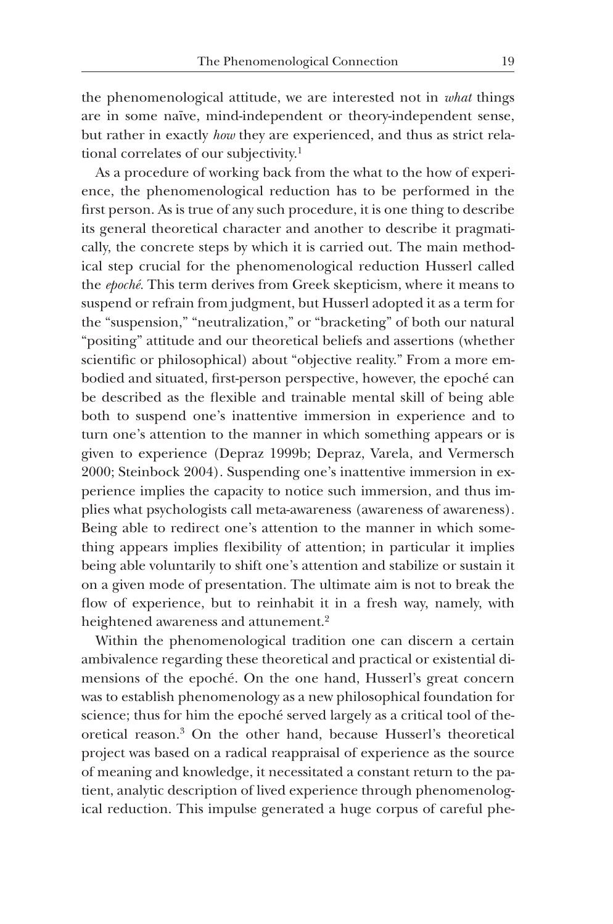the phenomenological attitude, we are interested not in *what* things are in some naïve, mind-independent or theory-independent sense, but rather in exactly *how* they are experienced, and thus as strict relational correlates of our subjectivity.<sup>1</sup>

As a procedure of working back from the what to the how of experience, the phenomenological reduction has to be performed in the first person. As is true of any such procedure, it is one thing to describe its general theoretical character and another to describe it pragmatically, the concrete steps by which it is carried out. The main methodical step crucial for the phenomenological reduction Husserl called the *epoché.* This term derives from Greek skepticism, where it means to suspend or refrain from judgment, but Husserl adopted it as a term for the "suspension," "neutralization," or "bracketing" of both our natural "positing" attitude and our theoretical beliefs and assertions (whether scientific or philosophical) about "objective reality." From a more embodied and situated, first-person perspective, however, the epoché can be described as the flexible and trainable mental skill of being able both to suspend one's inattentive immersion in experience and to turn one's attention to the manner in which something appears or is given to experience (Depraz 1999b; Depraz, Varela, and Vermersch 2000; Steinbock 2004). Suspending one's inattentive immersion in experience implies the capacity to notice such immersion, and thus implies what psychologists call meta-awareness (awareness of awareness). Being able to redirect one's attention to the manner in which something appears implies flexibility of attention; in particular it implies being able voluntarily to shift one's attention and stabilize or sustain it on a given mode of presentation. The ultimate aim is not to break the flow of experience, but to reinhabit it in a fresh way, namely, with heightened awareness and attunement.<sup>2</sup>

Within the phenomenological tradition one can discern a certain ambivalence regarding these theoretical and practical or existential dimensions of the epoché. On the one hand, Husserl's great concern was to establish phenomenology as a new philosophical foundation for science; thus for him the epoché served largely as a critical tool of theoretical reason.3 On the other hand, because Husserl's theoretical project was based on a radical reappraisal of experience as the source of meaning and knowledge, it necessitated a constant return to the patient, analytic description of lived experience through phenomenological reduction. This impulse generated a huge corpus of careful phe-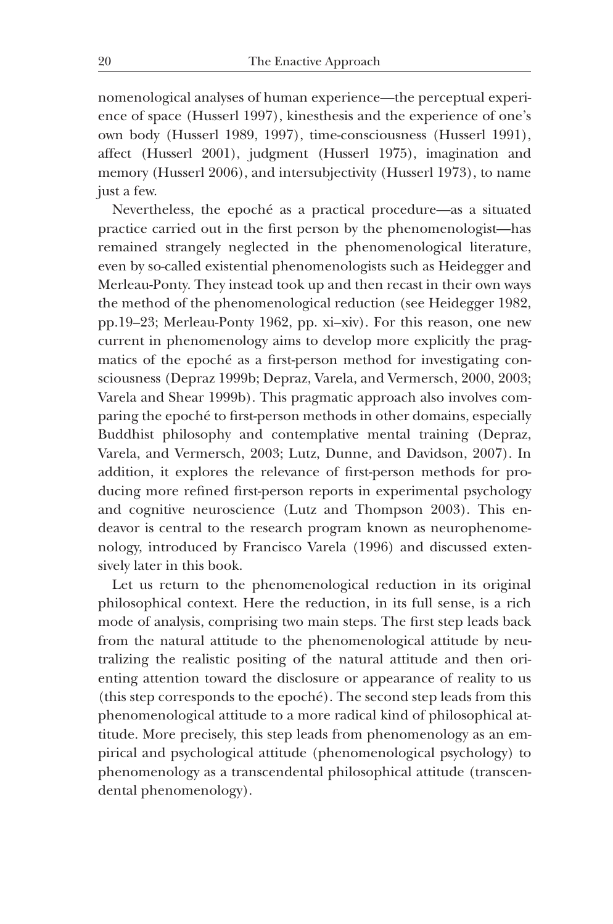nomenological analyses of human experience—the perceptual experience of space (Husserl 1997), kinesthesis and the experience of one's own body (Husserl 1989, 1997), time-consciousness (Husserl 1991), affect (Husserl 2001), judgment (Husserl 1975), imagination and memory (Husserl 2006), and intersubjectivity (Husserl 1973), to name just a few.

Nevertheless, the epoché as a practical procedure—as a situated practice carried out in the first person by the phenomenologist—has remained strangely neglected in the phenomenological literature, even by so-called existential phenomenologists such as Heidegger and Merleau-Ponty. They instead took up and then recast in their own ways the method of the phenomenological reduction (see Heidegger 1982, pp.19–23; Merleau-Ponty 1962, pp. xi–xiv). For this reason, one new current in phenomenology aims to develop more explicitly the pragmatics of the epoché as a first-person method for investigating consciousness (Depraz 1999b; Depraz, Varela, and Vermersch, 2000, 2003; Varela and Shear 1999b). This pragmatic approach also involves comparing the epoché to first-person methods in other domains, especially Buddhist philosophy and contemplative mental training (Depraz, Varela, and Vermersch, 2003; Lutz, Dunne, and Davidson, 2007). In addition, it explores the relevance of first-person methods for producing more refined first-person reports in experimental psychology and cognitive neuroscience (Lutz and Thompson 2003). This endeavor is central to the research program known as neurophenomenology, introduced by Francisco Varela (1996) and discussed extensively later in this book.

Let us return to the phenomenological reduction in its original philosophical context. Here the reduction, in its full sense, is a rich mode of analysis, comprising two main steps. The first step leads back from the natural attitude to the phenomenological attitude by neutralizing the realistic positing of the natural attitude and then orienting attention toward the disclosure or appearance of reality to us (this step corresponds to the epoché). The second step leads from this phenomenological attitude to a more radical kind of philosophical attitude. More precisely, this step leads from phenomenology as an empirical and psychological attitude (phenomenological psychology) to phenomenology as a transcendental philosophical attitude (transcendental phenomenology).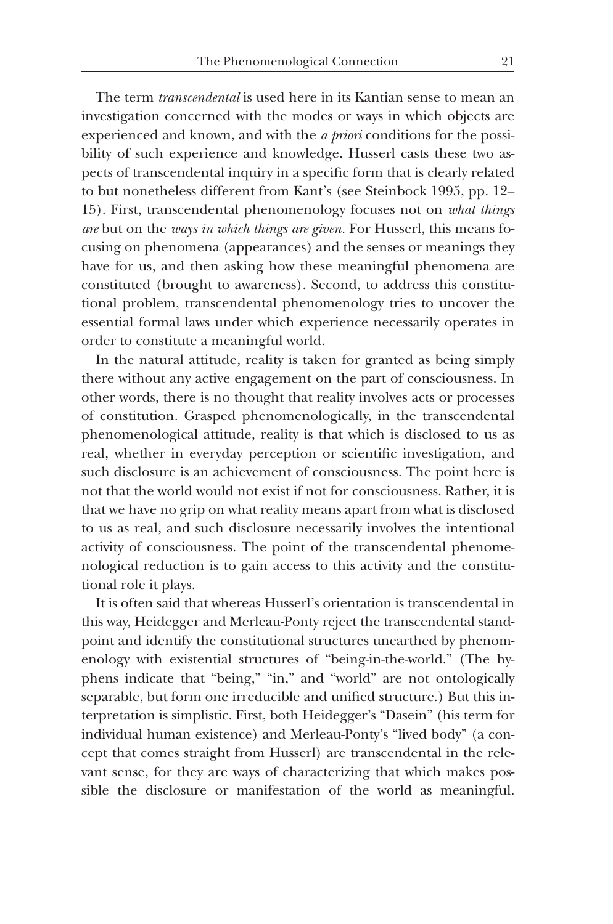The term *transcendental* is used here in its Kantian sense to mean an investigation concerned with the modes or ways in which objects are experienced and known, and with the *a priori* conditions for the possibility of such experience and knowledge. Husserl casts these two aspects of transcendental inquiry in a specific form that is clearly related to but nonetheless different from Kant's (see Steinbock 1995, pp. 12– 15). First, transcendental phenomenology focuses not on *what things are* but on the *ways in which things are given.* For Husserl, this means focusing on phenomena (appearances) and the senses or meanings they have for us, and then asking how these meaningful phenomena are constituted (brought to awareness). Second, to address this constitutional problem, transcendental phenomenology tries to uncover the essential formal laws under which experience necessarily operates in order to constitute a meaningful world.

In the natural attitude, reality is taken for granted as being simply there without any active engagement on the part of consciousness. In other words, there is no thought that reality involves acts or processes of constitution. Grasped phenomenologically, in the transcendental phenomenological attitude, reality is that which is disclosed to us as real, whether in everyday perception or scientific investigation, and such disclosure is an achievement of consciousness. The point here is not that the world would not exist if not for consciousness. Rather, it is that we have no grip on what reality means apart from what is disclosed to us as real, and such disclosure necessarily involves the intentional activity of consciousness. The point of the transcendental phenomenological reduction is to gain access to this activity and the constitutional role it plays.

It is often said that whereas Husserl's orientation is transcendental in this way, Heidegger and Merleau-Ponty reject the transcendental standpoint and identify the constitutional structures unearthed by phenomenology with existential structures of "being-in-the-world." (The hyphens indicate that "being," "in," and "world" are not ontologically separable, but form one irreducible and unified structure.) But this interpretation is simplistic. First, both Heidegger's "Dasein" (his term for individual human existence) and Merleau-Ponty's "lived body" (a concept that comes straight from Husserl) are transcendental in the relevant sense, for they are ways of characterizing that which makes possible the disclosure or manifestation of the world as meaningful.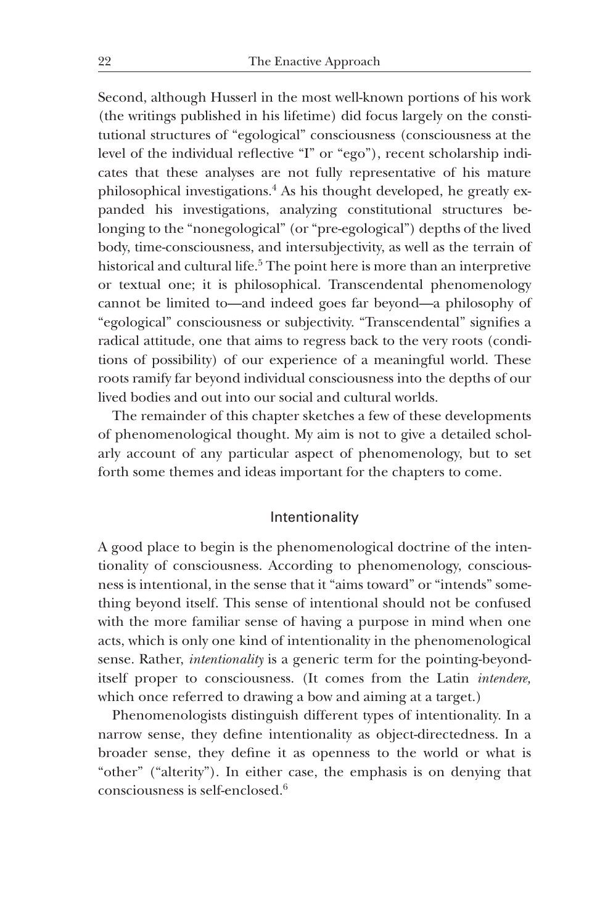Second, although Husserl in the most well-known portions of his work (the writings published in his lifetime) did focus largely on the constitutional structures of "egological" consciousness (consciousness at the level of the individual reflective "I" or "ego"), recent scholarship indicates that these analyses are not fully representative of his mature philosophical investigations.4 As his thought developed, he greatly expanded his investigations, analyzing constitutional structures belonging to the "nonegological" (or "pre-egological") depths of the lived body, time-consciousness, and intersubjectivity, as well as the terrain of historical and cultural life. $5$  The point here is more than an interpretive or textual one; it is philosophical. Transcendental phenomenology cannot be limited to—and indeed goes far beyond—a philosophy of "egological" consciousness or subjectivity. "Transcendental" signifies a radical attitude, one that aims to regress back to the very roots (conditions of possibility) of our experience of a meaningful world. These roots ramify far beyond individual consciousness into the depths of our lived bodies and out into our social and cultural worlds.

The remainder of this chapter sketches a few of these developments of phenomenological thought. My aim is not to give a detailed scholarly account of any particular aspect of phenomenology, but to set forth some themes and ideas important for the chapters to come.

#### Intentionality

A good place to begin is the phenomenological doctrine of the intentionality of consciousness. According to phenomenology, consciousness is intentional, in the sense that it "aims toward" or "intends" something beyond itself. This sense of intentional should not be confused with the more familiar sense of having a purpose in mind when one acts, which is only one kind of intentionality in the phenomenological sense. Rather, *intentionality* is a generic term for the pointing-beyonditself proper to consciousness. (It comes from the Latin *intendere,* which once referred to drawing a bow and aiming at a target.)

Phenomenologists distinguish different types of intentionality. In a narrow sense, they define intentionality as object-directedness. In a broader sense, they define it as openness to the world or what is "other" ("alterity"). In either case, the emphasis is on denying that consciousness is self-enclosed.6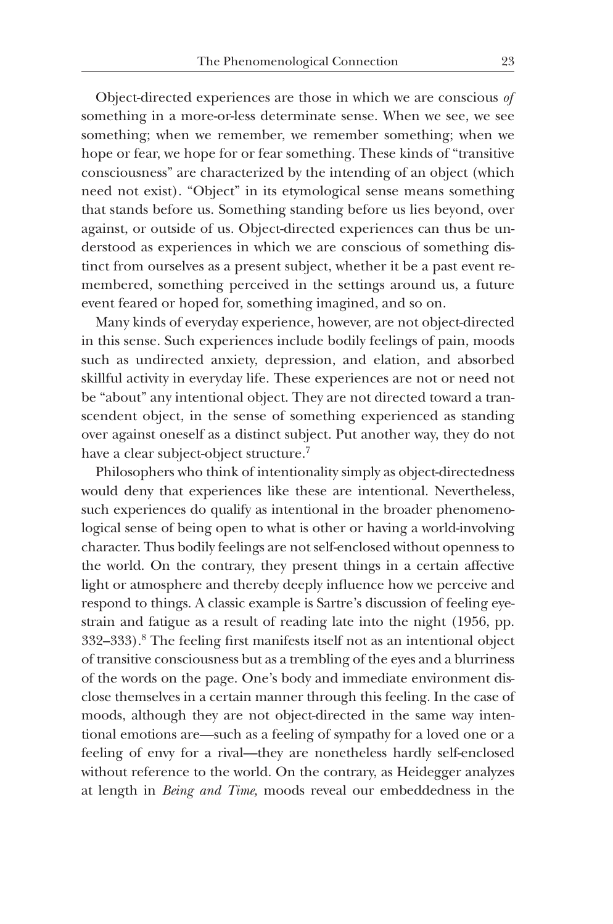Object-directed experiences are those in which we are conscious *of* something in a more-or-less determinate sense. When we see, we see something; when we remember, we remember something; when we hope or fear, we hope for or fear something. These kinds of "transitive consciousness" are characterized by the intending of an object (which need not exist). "Object" in its etymological sense means something that stands before us. Something standing before us lies beyond, over against, or outside of us. Object-directed experiences can thus be understood as experiences in which we are conscious of something distinct from ourselves as a present subject, whether it be a past event remembered, something perceived in the settings around us, a future event feared or hoped for, something imagined, and so on.

Many kinds of everyday experience, however, are not object-directed in this sense. Such experiences include bodily feelings of pain, moods such as undirected anxiety, depression, and elation, and absorbed skillful activity in everyday life. These experiences are not or need not be "about" any intentional object. They are not directed toward a transcendent object, in the sense of something experienced as standing over against oneself as a distinct subject. Put another way, they do not have a clear subject-object structure.7

Philosophers who think of intentionality simply as object-directedness would deny that experiences like these are intentional. Nevertheless, such experiences do qualify as intentional in the broader phenomenological sense of being open to what is other or having a world-involving character. Thus bodily feelings are not self-enclosed without openness to the world. On the contrary, they present things in a certain affective light or atmosphere and thereby deeply influence how we perceive and respond to things. A classic example is Sartre's discussion of feeling eyestrain and fatigue as a result of reading late into the night (1956, pp. 332–333).8 The feeling first manifests itself not as an intentional object of transitive consciousness but as a trembling of the eyes and a blurriness of the words on the page. One's body and immediate environment disclose themselves in a certain manner through this feeling. In the case of moods, although they are not object-directed in the same way intentional emotions are—such as a feeling of sympathy for a loved one or a feeling of envy for a rival—they are nonetheless hardly self-enclosed without reference to the world. On the contrary, as Heidegger analyzes at length in *Being and Time,* moods reveal our embeddedness in the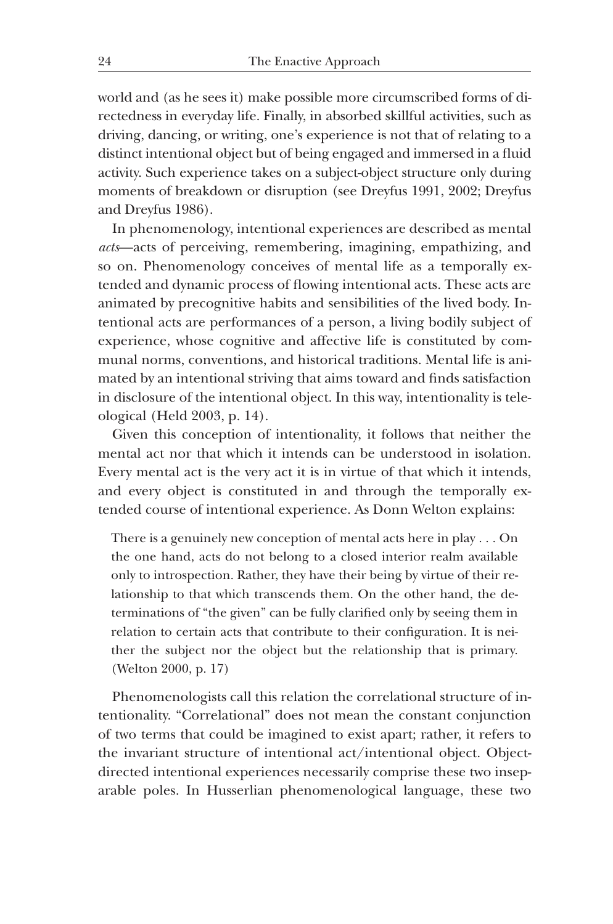world and (as he sees it) make possible more circumscribed forms of directedness in everyday life. Finally, in absorbed skillful activities, such as driving, dancing, or writing, one's experience is not that of relating to a distinct intentional object but of being engaged and immersed in a fluid activity. Such experience takes on a subject-object structure only during moments of breakdown or disruption (see Dreyfus 1991, 2002; Dreyfus and Dreyfus 1986).

In phenomenology, intentional experiences are described as mental *acts*—acts of perceiving, remembering, imagining, empathizing, and so on. Phenomenology conceives of mental life as a temporally extended and dynamic process of flowing intentional acts. These acts are animated by precognitive habits and sensibilities of the lived body. Intentional acts are performances of a person, a living bodily subject of experience, whose cognitive and affective life is constituted by communal norms, conventions, and historical traditions. Mental life is animated by an intentional striving that aims toward and finds satisfaction in disclosure of the intentional object. In this way, intentionality is teleological (Held 2003, p. 14).

Given this conception of intentionality, it follows that neither the mental act nor that which it intends can be understood in isolation. Every mental act is the very act it is in virtue of that which it intends, and every object is constituted in and through the temporally extended course of intentional experience. As Donn Welton explains:

There is a genuinely new conception of mental acts here in play . . . On the one hand, acts do not belong to a closed interior realm available only to introspection. Rather, they have their being by virtue of their relationship to that which transcends them. On the other hand, the determinations of "the given" can be fully clarified only by seeing them in relation to certain acts that contribute to their configuration. It is neither the subject nor the object but the relationship that is primary. (Welton 2000, p. 17)

Phenomenologists call this relation the correlational structure of intentionality. "Correlational" does not mean the constant conjunction of two terms that could be imagined to exist apart; rather, it refers to the invariant structure of intentional act/intentional object. Objectdirected intentional experiences necessarily comprise these two inseparable poles. In Husserlian phenomenological language, these two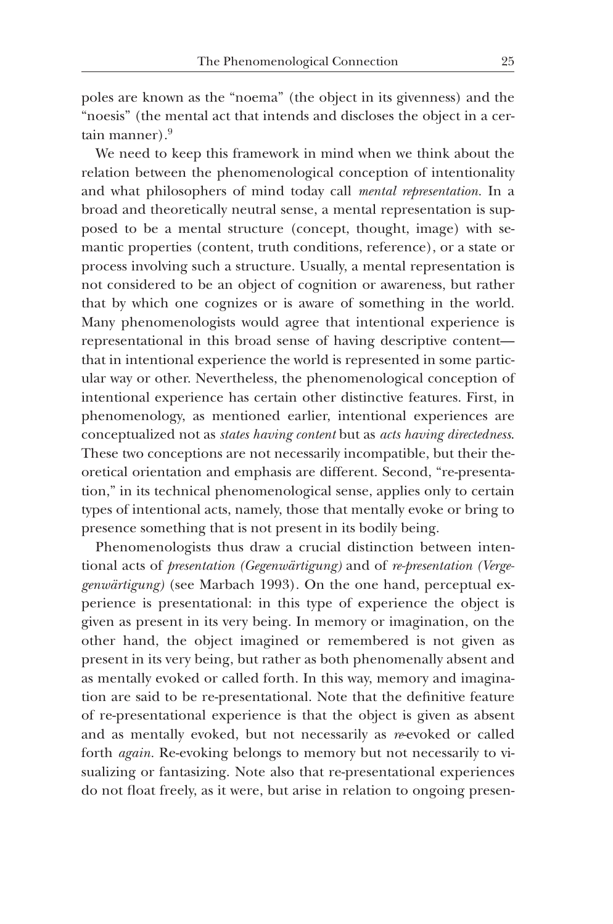poles are known as the "noema" (the object in its givenness) and the "noesis" (the mental act that intends and discloses the object in a certain manner).9

We need to keep this framework in mind when we think about the relation between the phenomenological conception of intentionality and what philosophers of mind today call *mental representation.* In a broad and theoretically neutral sense, a mental representation is supposed to be a mental structure (concept, thought, image) with semantic properties (content, truth conditions, reference), or a state or process involving such a structure. Usually, a mental representation is not considered to be an object of cognition or awareness, but rather that by which one cognizes or is aware of something in the world. Many phenomenologists would agree that intentional experience is representational in this broad sense of having descriptive content that in intentional experience the world is represented in some particular way or other. Nevertheless, the phenomenological conception of intentional experience has certain other distinctive features. First, in phenomenology, as mentioned earlier, intentional experiences are conceptualized not as *states having content* but as *acts having directedness*. These two conceptions are not necessarily incompatible, but their theoretical orientation and emphasis are different. Second, "re-presentation," in its technical phenomenological sense, applies only to certain types of intentional acts, namely, those that mentally evoke or bring to presence something that is not present in its bodily being.

Phenomenologists thus draw a crucial distinction between intentional acts of *presentation (Gegenwärtigung)* and of *re-presentation (Vergegenwärtigung)* (see Marbach 1993). On the one hand, perceptual experience is presentational: in this type of experience the object is given as present in its very being. In memory or imagination, on the other hand, the object imagined or remembered is not given as present in its very being, but rather as both phenomenally absent and as mentally evoked or called forth. In this way, memory and imagination are said to be re-presentational. Note that the definitive feature of re-presentational experience is that the object is given as absent and as mentally evoked, but not necessarily as re-evoked or called forth *again.* Re-evoking belongs to memory but not necessarily to visualizing or fantasizing. Note also that re-presentational experiences do not float freely, as it were, but arise in relation to ongoing presen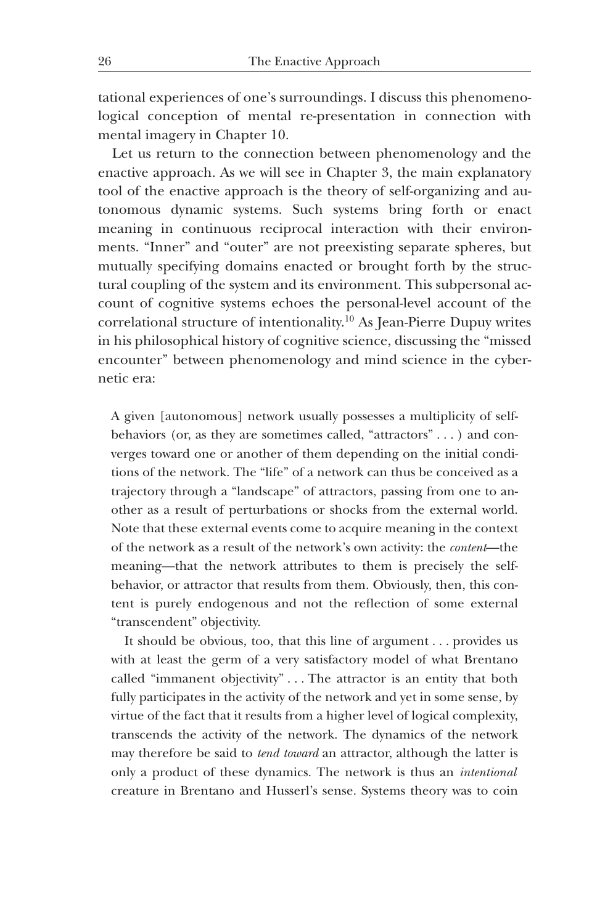tational experiences of one's surroundings. I discuss this phenomenological conception of mental re-presentation in connection with mental imagery in Chapter 10.

Let us return to the connection between phenomenology and the enactive approach. As we will see in Chapter 3, the main explanatory tool of the enactive approach is the theory of self-organizing and autonomous dynamic systems. Such systems bring forth or enact meaning in continuous reciprocal interaction with their environments. "Inner" and "outer" are not preexisting separate spheres, but mutually specifying domains enacted or brought forth by the structural coupling of the system and its environment. This subpersonal account of cognitive systems echoes the personal-level account of the correlational structure of intentionality.10 As Jean-Pierre Dupuy writes in his philosophical history of cognitive science, discussing the "missed encounter" between phenomenology and mind science in the cybernetic era:

A given [autonomous] network usually possesses a multiplicity of selfbehaviors (or, as they are sometimes called, "attractors" . . . ) and converges toward one or another of them depending on the initial conditions of the network. The "life" of a network can thus be conceived as a trajectory through a "landscape" of attractors, passing from one to another as a result of perturbations or shocks from the external world. Note that these external events come to acquire meaning in the context of the network as a result of the network's own activity: the *content*—the meaning—that the network attributes to them is precisely the selfbehavior, or attractor that results from them. Obviously, then, this content is purely endogenous and not the reflection of some external "transcendent" objectivity.

It should be obvious, too, that this line of argument . . . provides us with at least the germ of a very satisfactory model of what Brentano called "immanent objectivity" . . . The attractor is an entity that both fully participates in the activity of the network and yet in some sense, by virtue of the fact that it results from a higher level of logical complexity, transcends the activity of the network. The dynamics of the network may therefore be said to *tend toward* an attractor, although the latter is only a product of these dynamics. The network is thus an *intentional* creature in Brentano and Husserl's sense. Systems theory was to coin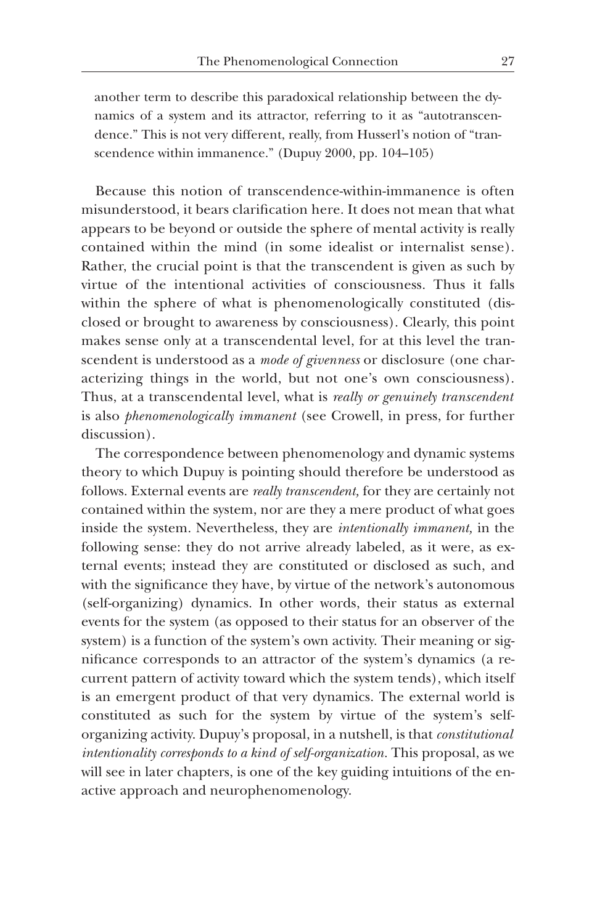another term to describe this paradoxical relationship between the dynamics of a system and its attractor, referring to it as "autotranscendence." This is not very different, really, from Husserl's notion of "transcendence within immanence." (Dupuy 2000, pp. 104–105)

Because this notion of transcendence-within-immanence is often misunderstood, it bears clarification here. It does not mean that what appears to be beyond or outside the sphere of mental activity is really contained within the mind (in some idealist or internalist sense). Rather, the crucial point is that the transcendent is given as such by virtue of the intentional activities of consciousness. Thus it falls within the sphere of what is phenomenologically constituted (disclosed or brought to awareness by consciousness). Clearly, this point makes sense only at a transcendental level, for at this level the transcendent is understood as a *mode of givenness* or disclosure (one characterizing things in the world, but not one's own consciousness). Thus, at a transcendental level, what is *really or genuinely transcendent* is also *phenomenologically immanent* (see Crowell, in press, for further discussion).

The correspondence between phenomenology and dynamic systems theory to which Dupuy is pointing should therefore be understood as follows. External events are *really transcendent,* for they are certainly not contained within the system, nor are they a mere product of what goes inside the system. Nevertheless, they are *intentionally immanent,* in the following sense: they do not arrive already labeled, as it were, as external events; instead they are constituted or disclosed as such, and with the significance they have, by virtue of the network's autonomous (self-organizing) dynamics. In other words, their status as external events for the system (as opposed to their status for an observer of the system) is a function of the system's own activity. Their meaning or significance corresponds to an attractor of the system's dynamics (a recurrent pattern of activity toward which the system tends), which itself is an emergent product of that very dynamics. The external world is constituted as such for the system by virtue of the system's selforganizing activity. Dupuy's proposal, in a nutshell, is that *constitutional intentionality corresponds to a kind of self-organization.* This proposal, as we will see in later chapters, is one of the key guiding intuitions of the enactive approach and neurophenomenology.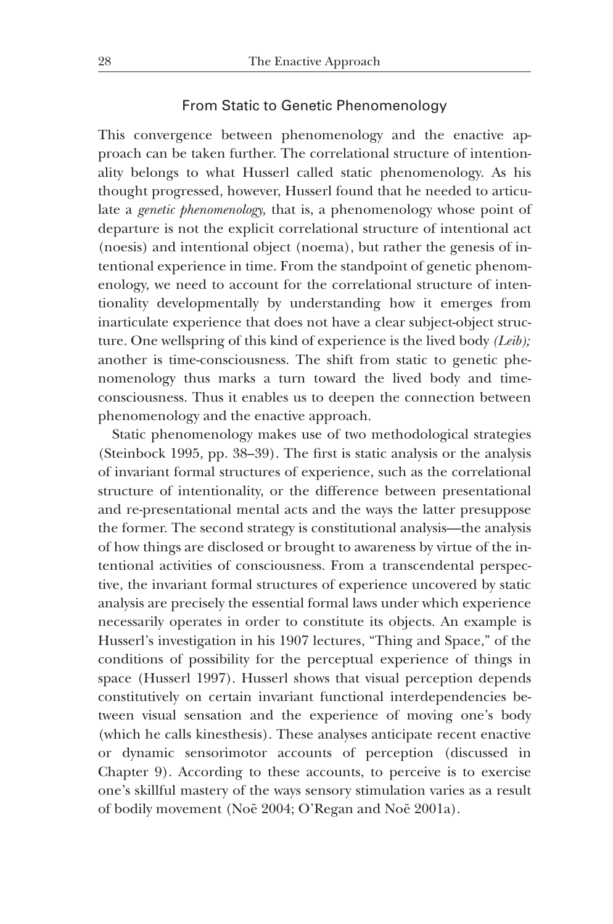## From Static to Genetic Phenomenology

This convergence between phenomenology and the enactive approach can be taken further. The correlational structure of intentionality belongs to what Husserl called static phenomenology. As his thought progressed, however, Husserl found that he needed to articulate a *genetic phenomenology,* that is, a phenomenology whose point of departure is not the explicit correlational structure of intentional act (noesis) and intentional object (noema), but rather the genesis of intentional experience in time. From the standpoint of genetic phenomenology, we need to account for the correlational structure of intentionality developmentally by understanding how it emerges from inarticulate experience that does not have a clear subject-object structure. One wellspring of this kind of experience is the lived body *(Leib);* another is time-consciousness. The shift from static to genetic phenomenology thus marks a turn toward the lived body and timeconsciousness. Thus it enables us to deepen the connection between phenomenology and the enactive approach.

Static phenomenology makes use of two methodological strategies (Steinbock 1995, pp. 38–39). The first is static analysis or the analysis of invariant formal structures of experience, such as the correlational structure of intentionality, or the difference between presentational and re-presentational mental acts and the ways the latter presuppose the former. The second strategy is constitutional analysis—the analysis of how things are disclosed or brought to awareness by virtue of the intentional activities of consciousness. From a transcendental perspective, the invariant formal structures of experience uncovered by static analysis are precisely the essential formal laws under which experience necessarily operates in order to constitute its objects. An example is Husserl's investigation in his 1907 lectures, "Thing and Space," of the conditions of possibility for the perceptual experience of things in space (Husserl 1997). Husserl shows that visual perception depends constitutively on certain invariant functional interdependencies between visual sensation and the experience of moving one's body (which he calls kinesthesis). These analyses anticipate recent enactive or dynamic sensorimotor accounts of perception (discussed in Chapter 9). According to these accounts, to perceive is to exercise one's skillful mastery of the ways sensory stimulation varies as a result of bodily movement (Noë 2004; O'Regan and Noë 2001a).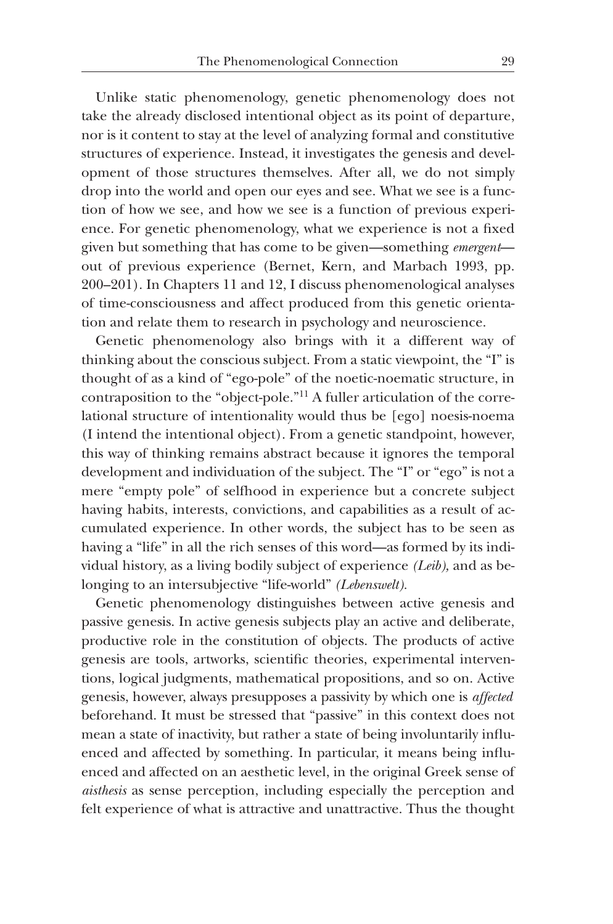Unlike static phenomenology, genetic phenomenology does not take the already disclosed intentional object as its point of departure, nor is it content to stay at the level of analyzing formal and constitutive structures of experience. Instead, it investigates the genesis and development of those structures themselves. After all, we do not simply drop into the world and open our eyes and see. What we see is a function of how we see, and how we see is a function of previous experience. For genetic phenomenology, what we experience is not a fixed given but something that has come to be given—something *emergent* out of previous experience (Bernet, Kern, and Marbach 1993, pp. 200–201). In Chapters 11 and 12, I discuss phenomenological analyses of time-consciousness and affect produced from this genetic orientation and relate them to research in psychology and neuroscience.

Genetic phenomenology also brings with it a different way of thinking about the conscious subject. From a static viewpoint, the "I" is thought of as a kind of "ego-pole" of the noetic-noematic structure, in contraposition to the "object-pole."11 A fuller articulation of the correlational structure of intentionality would thus be [ego] noesis-noema (I intend the intentional object). From a genetic standpoint, however, this way of thinking remains abstract because it ignores the temporal development and individuation of the subject. The "I" or "ego" is not a mere "empty pole" of selfhood in experience but a concrete subject having habits, interests, convictions, and capabilities as a result of accumulated experience. In other words, the subject has to be seen as having a "life" in all the rich senses of this word—as formed by its individual history, as a living bodily subject of experience *(Leib),* and as belonging to an intersubjective "life-world" *(Lebenswelt).*

Genetic phenomenology distinguishes between active genesis and passive genesis. In active genesis subjects play an active and deliberate, productive role in the constitution of objects. The products of active genesis are tools, artworks, scientific theories, experimental interventions, logical judgments, mathematical propositions, and so on. Active genesis, however, always presupposes a passivity by which one is *affected* beforehand. It must be stressed that "passive" in this context does not mean a state of inactivity, but rather a state of being involuntarily influenced and affected by something. In particular, it means being influenced and affected on an aesthetic level, in the original Greek sense of *aisthesis* as sense perception, including especially the perception and felt experience of what is attractive and unattractive. Thus the thought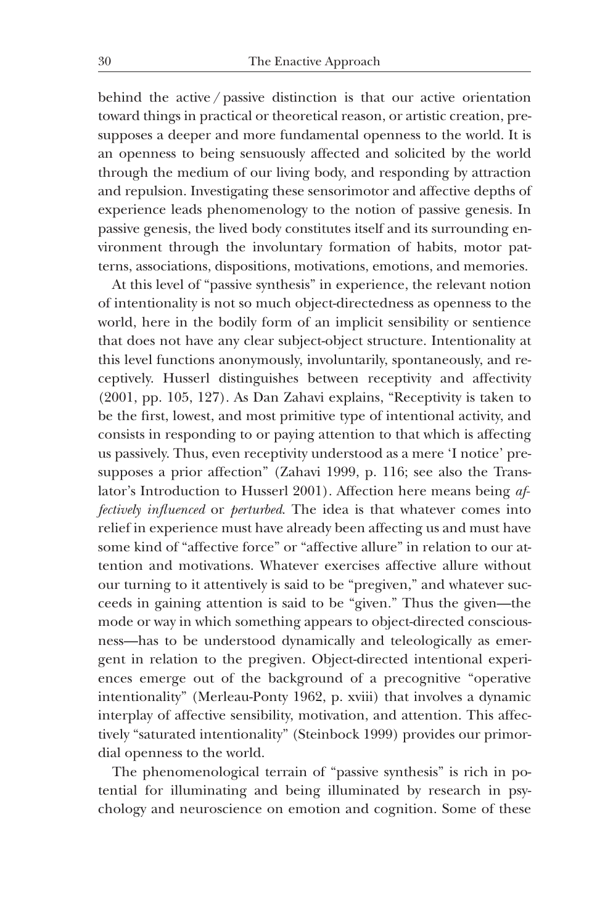behind the active / passive distinction is that our active orientation toward things in practical or theoretical reason, or artistic creation, presupposes a deeper and more fundamental openness to the world. It is an openness to being sensuously affected and solicited by the world through the medium of our living body, and responding by attraction and repulsion. Investigating these sensorimotor and affective depths of experience leads phenomenology to the notion of passive genesis. In passive genesis, the lived body constitutes itself and its surrounding environment through the involuntary formation of habits, motor patterns, associations, dispositions, motivations, emotions, and memories.

At this level of "passive synthesis" in experience, the relevant notion of intentionality is not so much object-directedness as openness to the world, here in the bodily form of an implicit sensibility or sentience that does not have any clear subject-object structure. Intentionality at this level functions anonymously, involuntarily, spontaneously, and receptively. Husserl distinguishes between receptivity and affectivity (2001, pp. 105, 127). As Dan Zahavi explains, "Receptivity is taken to be the first, lowest, and most primitive type of intentional activity, and consists in responding to or paying attention to that which is affecting us passively. Thus, even receptivity understood as a mere 'I notice' presupposes a prior affection" (Zahavi 1999, p. 116; see also the Translator's Introduction to Husserl 2001). Affection here means being *affectively influenced* or *perturbed*. The idea is that whatever comes into relief in experience must have already been affecting us and must have some kind of "affective force" or "affective allure" in relation to our attention and motivations. Whatever exercises affective allure without our turning to it attentively is said to be "pregiven," and whatever succeeds in gaining attention is said to be "given." Thus the given—the mode or way in which something appears to object-directed consciousness—has to be understood dynamically and teleologically as emergent in relation to the pregiven. Object-directed intentional experiences emerge out of the background of a precognitive "operative intentionality" (Merleau-Ponty 1962, p. xviii) that involves a dynamic interplay of affective sensibility, motivation, and attention. This affectively "saturated intentionality" (Steinbock 1999) provides our primordial openness to the world.

The phenomenological terrain of "passive synthesis" is rich in potential for illuminating and being illuminated by research in psychology and neuroscience on emotion and cognition. Some of these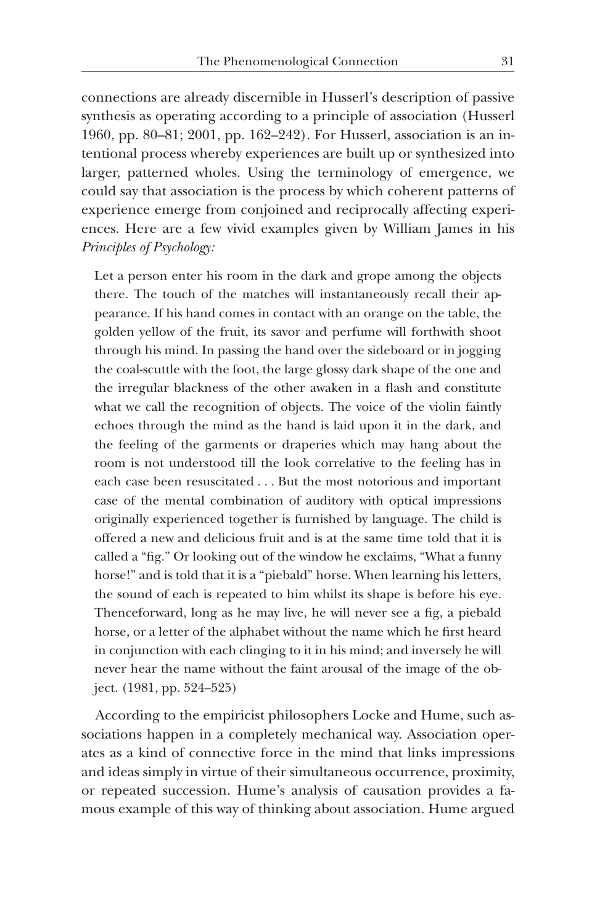connections are already discernible in Husserl's description of passive synthesis as operating according to a principle of association (Husserl 1960, pp. 80–81; 2001, pp. 162–242). For Husserl, association is an intentional process whereby experiences are built up or synthesized into larger, patterned wholes. Using the terminology of emergence, we could say that association is the process by which coherent patterns of experience emerge from conjoined and reciprocally affecting experiences. Here are a few vivid examples given by William James in his *Principles of Psychology:*

Let a person enter his room in the dark and grope among the objects there. The touch of the matches will instantaneously recall their appearance. If his hand comes in contact with an orange on the table, the golden yellow of the fruit, its savor and perfume will forthwith shoot through his mind. In passing the hand over the sideboard or in jogging the coal-scuttle with the foot, the large glossy dark shape of the one and the irregular blackness of the other awaken in a flash and constitute what we call the recognition of objects. The voice of the violin faintly echoes through the mind as the hand is laid upon it in the dark, and the feeling of the garments or draperies which may hang about the room is not understood till the look correlative to the feeling has in each case been resuscitated . . . But the most notorious and important case of the mental combination of auditory with optical impressions originally experienced together is furnished by language. The child is offered a new and delicious fruit and is at the same time told that it is called a "fig." Or looking out of the window he exclaims, "What a funny horse!" and is told that it is a "piebald" horse. When learning his letters, the sound of each is repeated to him whilst its shape is before his eye. Thenceforward, long as he may live, he will never see a fig, a piebald horse, or a letter of the alphabet without the name which he first heard in conjunction with each clinging to it in his mind; and inversely he will never hear the name without the faint arousal of the image of the object. (1981, pp. 524–525)

According to the empiricist philosophers Locke and Hume, such associations happen in a completely mechanical way. Association operates as a kind of connective force in the mind that links impressions and ideas simply in virtue of their simultaneous occurrence, proximity, or repeated succession. Hume's analysis of causation provides a famous example of this way of thinking about association. Hume argued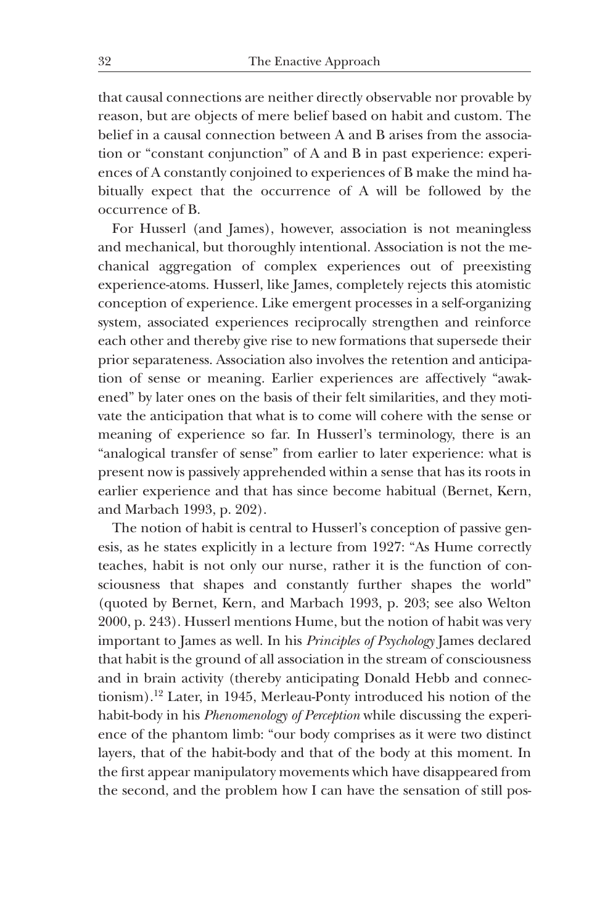that causal connections are neither directly observable nor provable by reason, but are objects of mere belief based on habit and custom. The belief in a causal connection between A and B arises from the association or "constant conjunction" of A and B in past experience: experiences of A constantly conjoined to experiences of B make the mind habitually expect that the occurrence of A will be followed by the occurrence of B.

For Husserl (and James), however, association is not meaningless and mechanical, but thoroughly intentional. Association is not the mechanical aggregation of complex experiences out of preexisting experience-atoms. Husserl, like James, completely rejects this atomistic conception of experience. Like emergent processes in a self-organizing system, associated experiences reciprocally strengthen and reinforce each other and thereby give rise to new formations that supersede their prior separateness. Association also involves the retention and anticipation of sense or meaning. Earlier experiences are affectively "awakened" by later ones on the basis of their felt similarities, and they motivate the anticipation that what is to come will cohere with the sense or meaning of experience so far. In Husserl's terminology, there is an "analogical transfer of sense" from earlier to later experience: what is present now is passively apprehended within a sense that has its roots in earlier experience and that has since become habitual (Bernet, Kern, and Marbach 1993, p. 202).

The notion of habit is central to Husserl's conception of passive genesis, as he states explicitly in a lecture from 1927: "As Hume correctly teaches, habit is not only our nurse, rather it is the function of consciousness that shapes and constantly further shapes the world" (quoted by Bernet, Kern, and Marbach 1993, p. 203; see also Welton 2000, p. 243). Husserl mentions Hume, but the notion of habit was very important to James as well. In his *Principles of Psychology* James declared that habit is the ground of all association in the stream of consciousness and in brain activity (thereby anticipating Donald Hebb and connectionism).12 Later, in 1945, Merleau-Ponty introduced his notion of the habit-body in his *Phenomenology of Perception* while discussing the experience of the phantom limb: "our body comprises as it were two distinct layers, that of the habit-body and that of the body at this moment. In the first appear manipulatory movements which have disappeared from the second, and the problem how I can have the sensation of still pos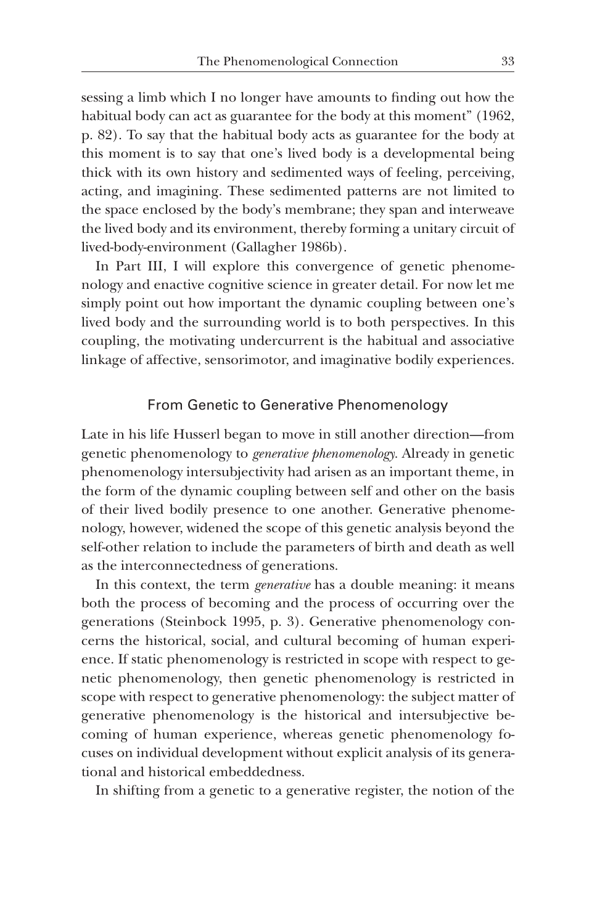sessing a limb which I no longer have amounts to finding out how the habitual body can act as guarantee for the body at this moment" (1962, p. 82). To say that the habitual body acts as guarantee for the body at this moment is to say that one's lived body is a developmental being thick with its own history and sedimented ways of feeling, perceiving, acting, and imagining. These sedimented patterns are not limited to the space enclosed by the body's membrane; they span and interweave the lived body and its environment, thereby forming a unitary circuit of lived-body-environment (Gallagher 1986b).

In Part III, I will explore this convergence of genetic phenomenology and enactive cognitive science in greater detail. For now let me simply point out how important the dynamic coupling between one's lived body and the surrounding world is to both perspectives. In this coupling, the motivating undercurrent is the habitual and associative linkage of affective, sensorimotor, and imaginative bodily experiences.

### From Genetic to Generative Phenomenology

Late in his life Husserl began to move in still another direction—from genetic phenomenology to *generative phenomenology.* Already in genetic phenomenology intersubjectivity had arisen as an important theme, in the form of the dynamic coupling between self and other on the basis of their lived bodily presence to one another. Generative phenomenology, however, widened the scope of this genetic analysis beyond the self-other relation to include the parameters of birth and death as well as the interconnectedness of generations.

In this context, the term *generative* has a double meaning: it means both the process of becoming and the process of occurring over the generations (Steinbock 1995, p. 3). Generative phenomenology concerns the historical, social, and cultural becoming of human experience. If static phenomenology is restricted in scope with respect to genetic phenomenology, then genetic phenomenology is restricted in scope with respect to generative phenomenology: the subject matter of generative phenomenology is the historical and intersubjective becoming of human experience, whereas genetic phenomenology focuses on individual development without explicit analysis of its generational and historical embeddedness.

In shifting from a genetic to a generative register, the notion of the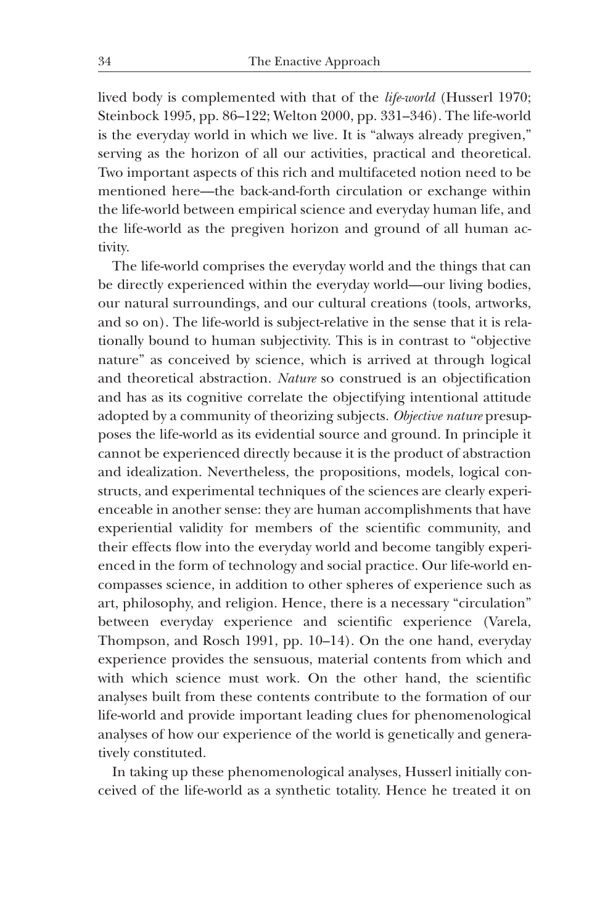lived body is complemented with that of the *life-world* (Husserl 1970; Steinbock 1995, pp. 86–122; Welton 2000, pp. 331–346). The life-world is the everyday world in which we live. It is "always already pregiven," serving as the horizon of all our activities, practical and theoretical. Two important aspects of this rich and multifaceted notion need to be mentioned here—the back-and-forth circulation or exchange within the life-world between empirical science and everyday human life, and the life-world as the pregiven horizon and ground of all human activity.

The life-world comprises the everyday world and the things that can be directly experienced within the everyday world—our living bodies, our natural surroundings, and our cultural creations (tools, artworks, and so on). The life-world is subject-relative in the sense that it is relationally bound to human subjectivity. This is in contrast to "objective nature" as conceived by science, which is arrived at through logical and theoretical abstraction. *Nature* so construed is an objectification and has as its cognitive correlate the objectifying intentional attitude adopted by a community of theorizing subjects. *Objective nature* presupposes the life-world as its evidential source and ground. In principle it cannot be experienced directly because it is the product of abstraction and idealization. Nevertheless, the propositions, models, logical constructs, and experimental techniques of the sciences are clearly experienceable in another sense: they are human accomplishments that have experiential validity for members of the scientific community, and their effects flow into the everyday world and become tangibly experienced in the form of technology and social practice. Our life-world encompasses science, in addition to other spheres of experience such as art, philosophy, and religion. Hence, there is a necessary "circulation" between everyday experience and scientific experience (Varela, Thompson, and Rosch 1991, pp. 10–14). On the one hand, everyday experience provides the sensuous, material contents from which and with which science must work. On the other hand, the scientific analyses built from these contents contribute to the formation of our life-world and provide important leading clues for phenomenological analyses of how our experience of the world is genetically and generatively constituted.

In taking up these phenomenological analyses, Husserl initially conceived of the life-world as a synthetic totality. Hence he treated it on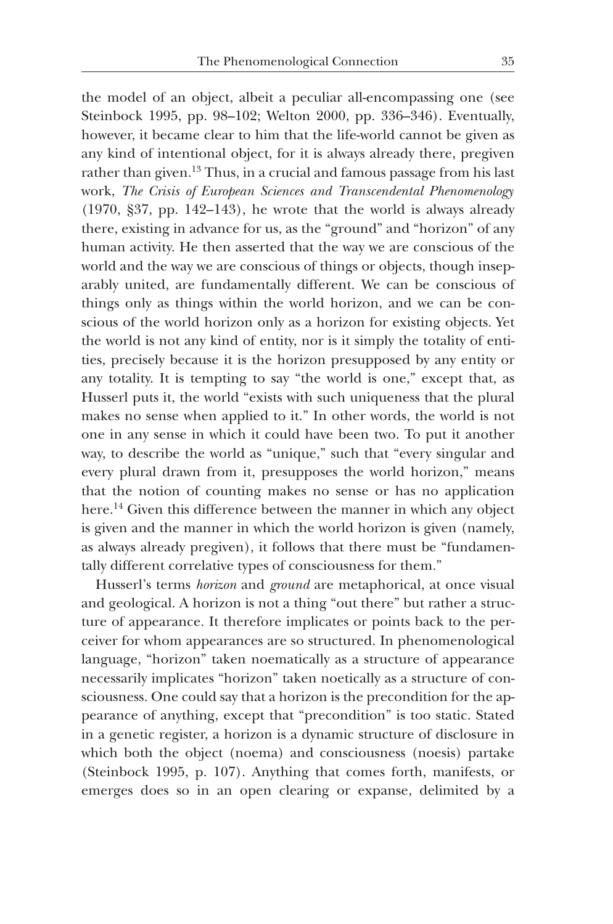the model of an object, albeit a peculiar all-encompassing one (see Steinbock 1995, pp. 98–102; Welton 2000, pp. 336–346). Eventually, however, it became clear to him that the life-world cannot be given as any kind of intentional object, for it is always already there, pregiven rather than given.<sup>13</sup> Thus, in a crucial and famous passage from his last work, *The Crisis of European Sciences and Transcendental Phenomenology* (1970, §37, pp. 142–143), he wrote that the world is always already there, existing in advance for us, as the "ground" and "horizon" of any human activity. He then asserted that the way we are conscious of the world and the way we are conscious of things or objects, though inseparably united, are fundamentally different. We can be conscious of things only as things within the world horizon, and we can be conscious of the world horizon only as a horizon for existing objects. Yet the world is not any kind of entity, nor is it simply the totality of entities, precisely because it is the horizon presupposed by any entity or any totality. It is tempting to say "the world is one," except that, as Husserl puts it, the world "exists with such uniqueness that the plural makes no sense when applied to it." In other words, the world is not one in any sense in which it could have been two. To put it another way, to describe the world as "unique," such that "every singular and every plural drawn from it, presupposes the world horizon," means that the notion of counting makes no sense or has no application here.<sup>14</sup> Given this difference between the manner in which any object is given and the manner in which the world horizon is given (namely, as always already pregiven), it follows that there must be "fundamentally different correlative types of consciousness for them."

Husserl's terms *horizon* and *ground* are metaphorical, at once visual and geological. A horizon is not a thing "out there" but rather a structure of appearance. It therefore implicates or points back to the perceiver for whom appearances are so structured. In phenomenological language, "horizon" taken noematically as a structure of appearance necessarily implicates "horizon" taken noetically as a structure of consciousness. One could say that a horizon is the precondition for the appearance of anything, except that "precondition" is too static. Stated in a genetic register, a horizon is a dynamic structure of disclosure in which both the object (noema) and consciousness (noesis) partake (Steinbock 1995, p. 107). Anything that comes forth, manifests, or emerges does so in an open clearing or expanse, delimited by a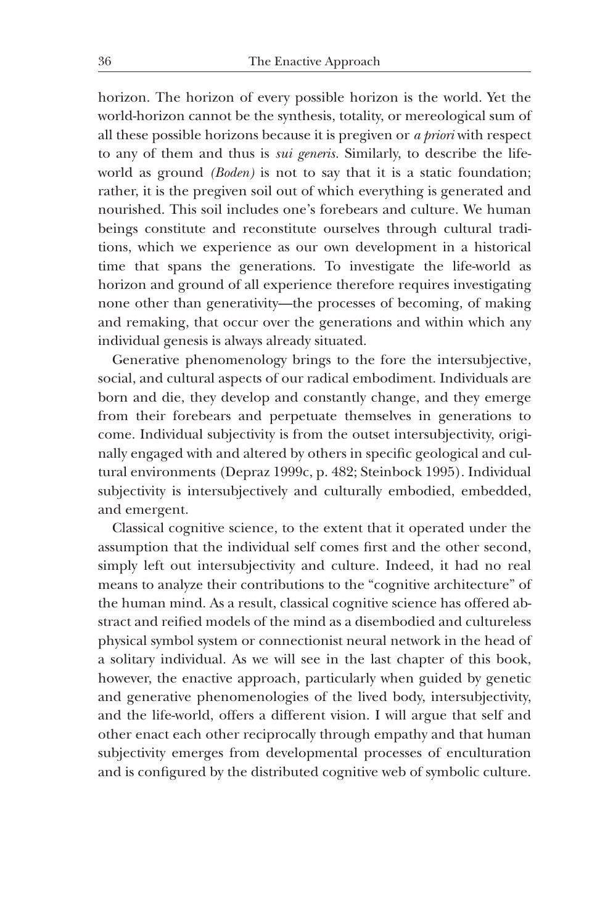horizon. The horizon of every possible horizon is the world. Yet the world-horizon cannot be the synthesis, totality, or mereological sum of all these possible horizons because it is pregiven or *a priori* with respect to any of them and thus is *sui generis.* Similarly, to describe the lifeworld as ground *(Boden)* is not to say that it is a static foundation; rather, it is the pregiven soil out of which everything is generated and nourished. This soil includes one's forebears and culture. We human beings constitute and reconstitute ourselves through cultural traditions, which we experience as our own development in a historical time that spans the generations. To investigate the life-world as horizon and ground of all experience therefore requires investigating none other than generativity—the processes of becoming, of making and remaking, that occur over the generations and within which any individual genesis is always already situated.

Generative phenomenology brings to the fore the intersubjective, social, and cultural aspects of our radical embodiment. Individuals are born and die, they develop and constantly change, and they emerge from their forebears and perpetuate themselves in generations to come. Individual subjectivity is from the outset intersubjectivity, originally engaged with and altered by others in specific geological and cultural environments (Depraz 1999c, p. 482; Steinbock 1995). Individual subjectivity is intersubjectively and culturally embodied, embedded, and emergent.

Classical cognitive science, to the extent that it operated under the assumption that the individual self comes first and the other second, simply left out intersubjectivity and culture. Indeed, it had no real means to analyze their contributions to the "cognitive architecture" of the human mind. As a result, classical cognitive science has offered abstract and reified models of the mind as a disembodied and cultureless physical symbol system or connectionist neural network in the head of a solitary individual. As we will see in the last chapter of this book, however, the enactive approach, particularly when guided by genetic and generative phenomenologies of the lived body, intersubjectivity, and the life-world, offers a different vision. I will argue that self and other enact each other reciprocally through empathy and that human subjectivity emerges from developmental processes of enculturation and is configured by the distributed cognitive web of symbolic culture.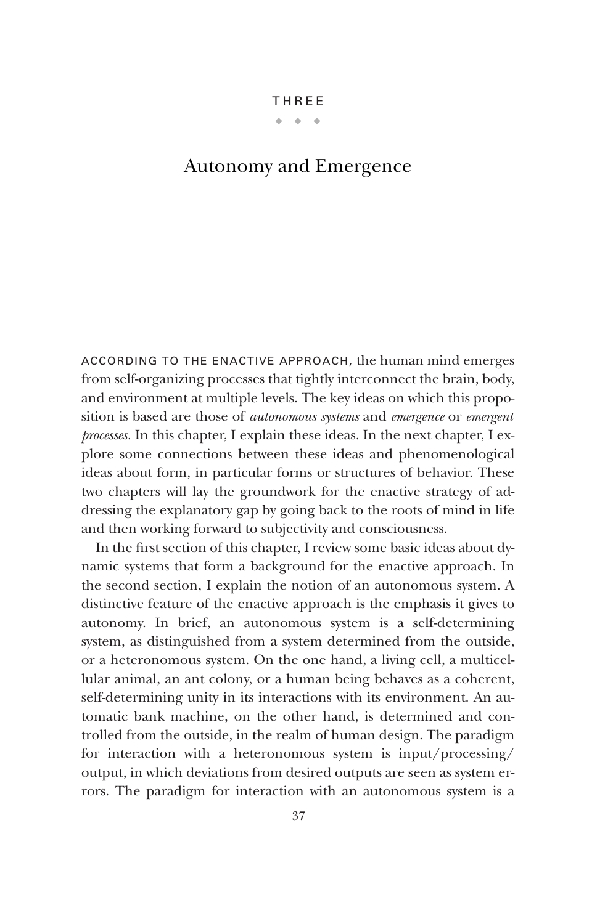## THREE

◆ ◆ ◆

# Autonomy and Emergence

ACCORDING TO THE ENACTIVE APPROACH, the human mind emerges from self-organizing processes that tightly interconnect the brain, body, and environment at multiple levels. The key ideas on which this proposition is based are those of *autonomous systems* and *emergence* or *emergent processes.* In this chapter, I explain these ideas. In the next chapter, I explore some connections between these ideas and phenomenological ideas about form, in particular forms or structures of behavior. These two chapters will lay the groundwork for the enactive strategy of addressing the explanatory gap by going back to the roots of mind in life and then working forward to subjectivity and consciousness.

In the first section of this chapter, I review some basic ideas about dynamic systems that form a background for the enactive approach. In the second section, I explain the notion of an autonomous system. A distinctive feature of the enactive approach is the emphasis it gives to autonomy. In brief, an autonomous system is a self-determining system, as distinguished from a system determined from the outside, or a heteronomous system. On the one hand, a living cell, a multicellular animal, an ant colony, or a human being behaves as a coherent, self-determining unity in its interactions with its environment. An automatic bank machine, on the other hand, is determined and controlled from the outside, in the realm of human design. The paradigm for interaction with a heteronomous system is input/processing/ output, in which deviations from desired outputs are seen as system errors. The paradigm for interaction with an autonomous system is a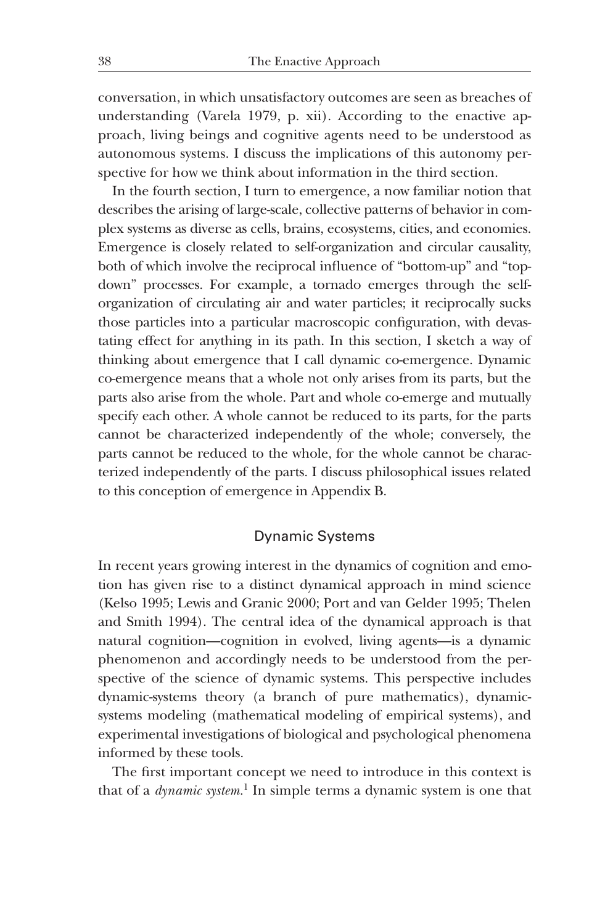conversation, in which unsatisfactory outcomes are seen as breaches of understanding (Varela 1979, p. xii). According to the enactive approach, living beings and cognitive agents need to be understood as autonomous systems. I discuss the implications of this autonomy perspective for how we think about information in the third section.

In the fourth section, I turn to emergence, a now familiar notion that describes the arising of large-scale, collective patterns of behavior in complex systems as diverse as cells, brains, ecosystems, cities, and economies. Emergence is closely related to self-organization and circular causality, both of which involve the reciprocal influence of "bottom-up" and "topdown" processes. For example, a tornado emerges through the selforganization of circulating air and water particles; it reciprocally sucks those particles into a particular macroscopic configuration, with devastating effect for anything in its path. In this section, I sketch a way of thinking about emergence that I call dynamic co-emergence. Dynamic co-emergence means that a whole not only arises from its parts, but the parts also arise from the whole. Part and whole co-emerge and mutually specify each other. A whole cannot be reduced to its parts, for the parts cannot be characterized independently of the whole; conversely, the parts cannot be reduced to the whole, for the whole cannot be characterized independently of the parts. I discuss philosophical issues related to this conception of emergence in Appendix B.

## Dynamic Systems

In recent years growing interest in the dynamics of cognition and emotion has given rise to a distinct dynamical approach in mind science (Kelso 1995; Lewis and Granic 2000; Port and van Gelder 1995; Thelen and Smith 1994). The central idea of the dynamical approach is that natural cognition—cognition in evolved, living agents—is a dynamic phenomenon and accordingly needs to be understood from the perspective of the science of dynamic systems. This perspective includes dynamic-systems theory (a branch of pure mathematics), dynamicsystems modeling (mathematical modeling of empirical systems), and experimental investigations of biological and psychological phenomena informed by these tools.

The first important concept we need to introduce in this context is that of a *dynamic system.*<sup>1</sup> In simple terms a dynamic system is one that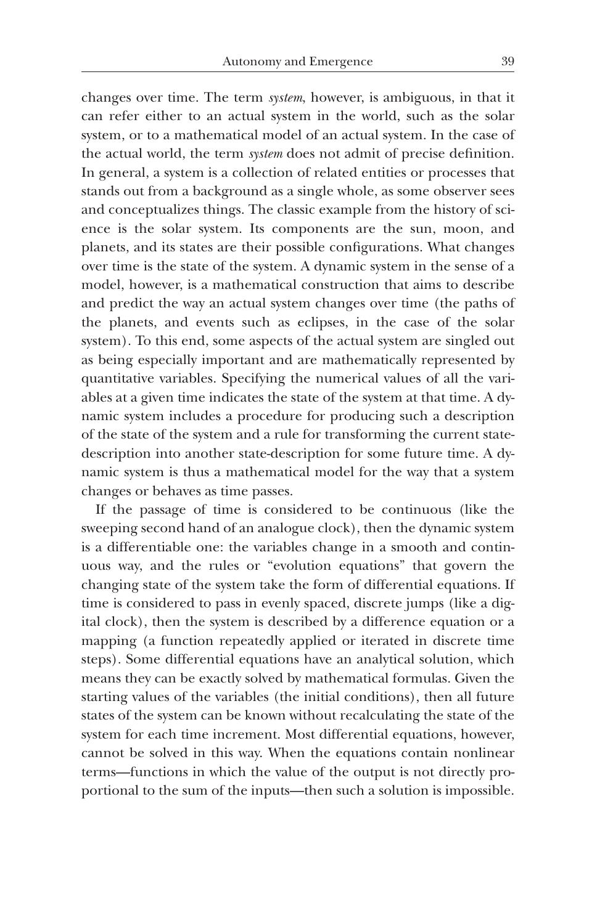changes over time. The term *system*, however, is ambiguous, in that it can refer either to an actual system in the world, such as the solar system, or to a mathematical model of an actual system. In the case of the actual world, the term *system* does not admit of precise definition. In general, a system is a collection of related entities or processes that stands out from a background as a single whole, as some observer sees and conceptualizes things. The classic example from the history of science is the solar system. Its components are the sun, moon, and planets, and its states are their possible configurations. What changes over time is the state of the system. A dynamic system in the sense of a model, however, is a mathematical construction that aims to describe and predict the way an actual system changes over time (the paths of the planets, and events such as eclipses, in the case of the solar system). To this end, some aspects of the actual system are singled out as being especially important and are mathematically represented by quantitative variables. Specifying the numerical values of all the variables at a given time indicates the state of the system at that time. A dynamic system includes a procedure for producing such a description of the state of the system and a rule for transforming the current statedescription into another state-description for some future time. A dynamic system is thus a mathematical model for the way that a system changes or behaves as time passes.

If the passage of time is considered to be continuous (like the sweeping second hand of an analogue clock), then the dynamic system is a differentiable one: the variables change in a smooth and continuous way, and the rules or "evolution equations" that govern the changing state of the system take the form of differential equations. If time is considered to pass in evenly spaced, discrete jumps (like a digital clock), then the system is described by a difference equation or a mapping (a function repeatedly applied or iterated in discrete time steps). Some differential equations have an analytical solution, which means they can be exactly solved by mathematical formulas. Given the starting values of the variables (the initial conditions), then all future states of the system can be known without recalculating the state of the system for each time increment. Most differential equations, however, cannot be solved in this way. When the equations contain nonlinear terms—functions in which the value of the output is not directly proportional to the sum of the inputs—then such a solution is impossible.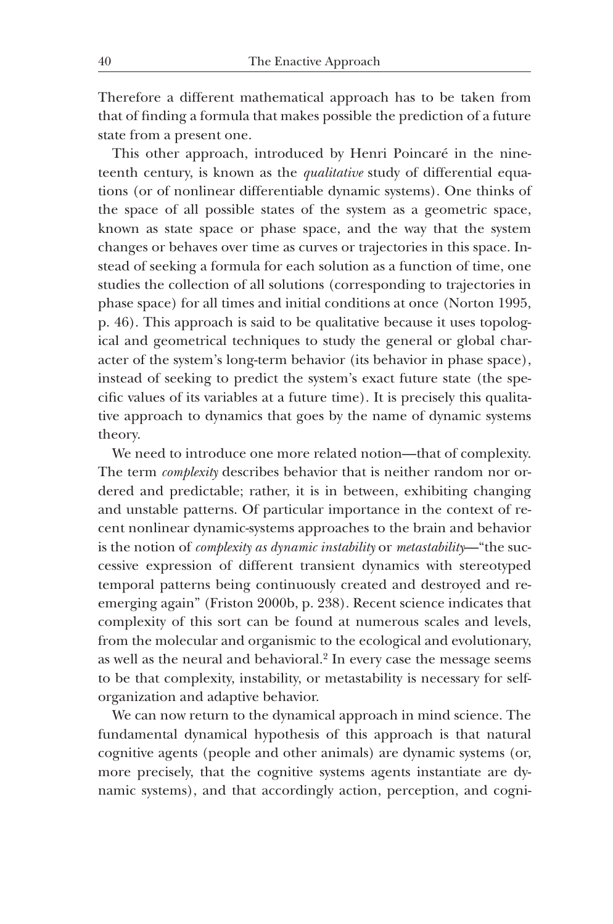Therefore a different mathematical approach has to be taken from that of finding a formula that makes possible the prediction of a future state from a present one.

This other approach, introduced by Henri Poincaré in the nineteenth century, is known as the *qualitative* study of differential equations (or of nonlinear differentiable dynamic systems). One thinks of the space of all possible states of the system as a geometric space, known as state space or phase space, and the way that the system changes or behaves over time as curves or trajectories in this space. Instead of seeking a formula for each solution as a function of time, one studies the collection of all solutions (corresponding to trajectories in phase space) for all times and initial conditions at once (Norton 1995, p. 46). This approach is said to be qualitative because it uses topological and geometrical techniques to study the general or global character of the system's long-term behavior (its behavior in phase space), instead of seeking to predict the system's exact future state (the specific values of its variables at a future time). It is precisely this qualitative approach to dynamics that goes by the name of dynamic systems theory.

We need to introduce one more related notion—that of complexity. The term *complexity* describes behavior that is neither random nor ordered and predictable; rather, it is in between, exhibiting changing and unstable patterns. Of particular importance in the context of recent nonlinear dynamic-systems approaches to the brain and behavior is the notion of *complexity as dynamic instability* or *metastability*—"the successive expression of different transient dynamics with stereotyped temporal patterns being continuously created and destroyed and reemerging again" (Friston 2000b, p. 238). Recent science indicates that complexity of this sort can be found at numerous scales and levels, from the molecular and organismic to the ecological and evolutionary, as well as the neural and behavioral.<sup>2</sup> In every case the message seems to be that complexity, instability, or metastability is necessary for selforganization and adaptive behavior.

We can now return to the dynamical approach in mind science. The fundamental dynamical hypothesis of this approach is that natural cognitive agents (people and other animals) are dynamic systems (or, more precisely, that the cognitive systems agents instantiate are dynamic systems), and that accordingly action, perception, and cogni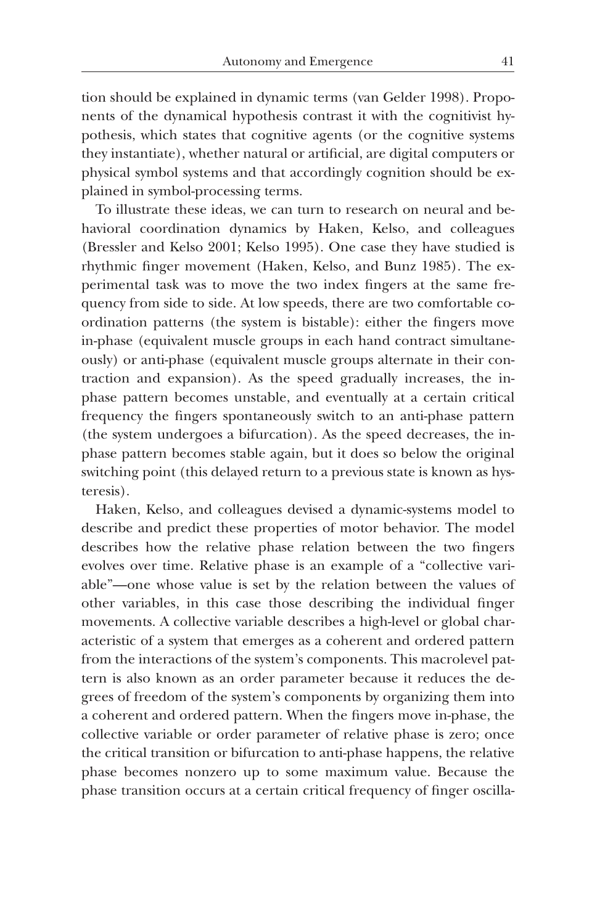tion should be explained in dynamic terms (van Gelder 1998). Proponents of the dynamical hypothesis contrast it with the cognitivist hypothesis, which states that cognitive agents (or the cognitive systems they instantiate), whether natural or artificial, are digital computers or physical symbol systems and that accordingly cognition should be explained in symbol-processing terms.

To illustrate these ideas, we can turn to research on neural and behavioral coordination dynamics by Haken, Kelso, and colleagues (Bressler and Kelso 2001; Kelso 1995). One case they have studied is rhythmic finger movement (Haken, Kelso, and Bunz 1985). The experimental task was to move the two index fingers at the same frequency from side to side. At low speeds, there are two comfortable coordination patterns (the system is bistable): either the fingers move in-phase (equivalent muscle groups in each hand contract simultaneously) or anti-phase (equivalent muscle groups alternate in their contraction and expansion). As the speed gradually increases, the inphase pattern becomes unstable, and eventually at a certain critical frequency the fingers spontaneously switch to an anti-phase pattern (the system undergoes a bifurcation). As the speed decreases, the inphase pattern becomes stable again, but it does so below the original switching point (this delayed return to a previous state is known as hysteresis).

Haken, Kelso, and colleagues devised a dynamic-systems model to describe and predict these properties of motor behavior. The model describes how the relative phase relation between the two fingers evolves over time. Relative phase is an example of a "collective variable"—one whose value is set by the relation between the values of other variables, in this case those describing the individual finger movements. A collective variable describes a high-level or global characteristic of a system that emerges as a coherent and ordered pattern from the interactions of the system's components. This macrolevel pattern is also known as an order parameter because it reduces the degrees of freedom of the system's components by organizing them into a coherent and ordered pattern. When the fingers move in-phase, the collective variable or order parameter of relative phase is zero; once the critical transition or bifurcation to anti-phase happens, the relative phase becomes nonzero up to some maximum value. Because the phase transition occurs at a certain critical frequency of finger oscilla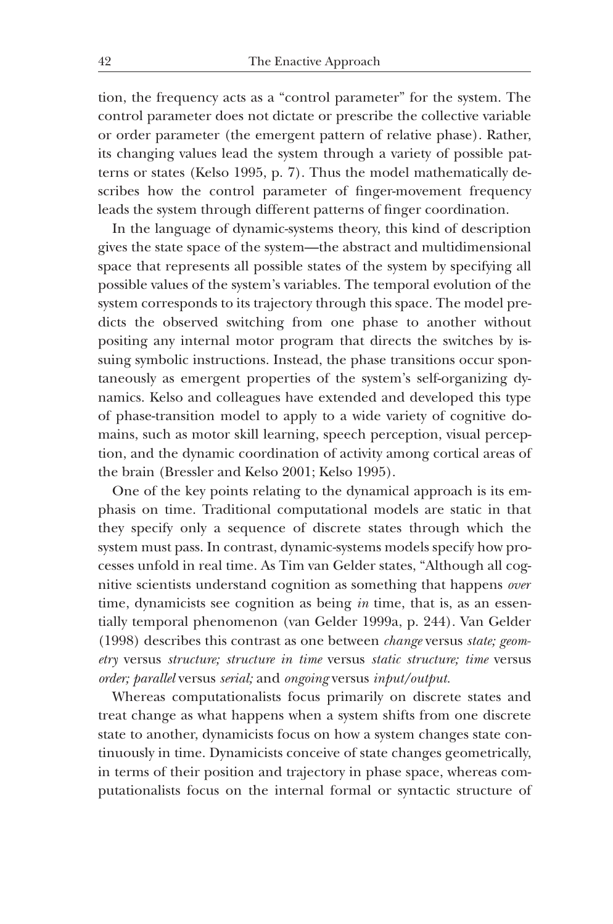tion, the frequency acts as a "control parameter" for the system. The control parameter does not dictate or prescribe the collective variable or order parameter (the emergent pattern of relative phase). Rather, its changing values lead the system through a variety of possible patterns or states (Kelso 1995, p. 7). Thus the model mathematically describes how the control parameter of finger-movement frequency leads the system through different patterns of finger coordination.

In the language of dynamic-systems theory, this kind of description gives the state space of the system—the abstract and multidimensional space that represents all possible states of the system by specifying all possible values of the system's variables. The temporal evolution of the system corresponds to its trajectory through this space. The model predicts the observed switching from one phase to another without positing any internal motor program that directs the switches by issuing symbolic instructions. Instead, the phase transitions occur spontaneously as emergent properties of the system's self-organizing dynamics. Kelso and colleagues have extended and developed this type of phase-transition model to apply to a wide variety of cognitive domains, such as motor skill learning, speech perception, visual perception, and the dynamic coordination of activity among cortical areas of the brain (Bressler and Kelso 2001; Kelso 1995).

One of the key points relating to the dynamical approach is its emphasis on time. Traditional computational models are static in that they specify only a sequence of discrete states through which the system must pass. In contrast, dynamic-systems models specify how processes unfold in real time. As Tim van Gelder states, "Although all cognitive scientists understand cognition as something that happens *over* time, dynamicists see cognition as being *in* time, that is, as an essentially temporal phenomenon (van Gelder 1999a, p. 244). Van Gelder (1998) describes this contrast as one between *change* versus *state; geometry* versus *structure; structure in time* versus *static structure; time* versus *order; parallel* versus *serial;* and *ongoing* versus *input/output.*

Whereas computationalists focus primarily on discrete states and treat change as what happens when a system shifts from one discrete state to another, dynamicists focus on how a system changes state continuously in time. Dynamicists conceive of state changes geometrically, in terms of their position and trajectory in phase space, whereas computationalists focus on the internal formal or syntactic structure of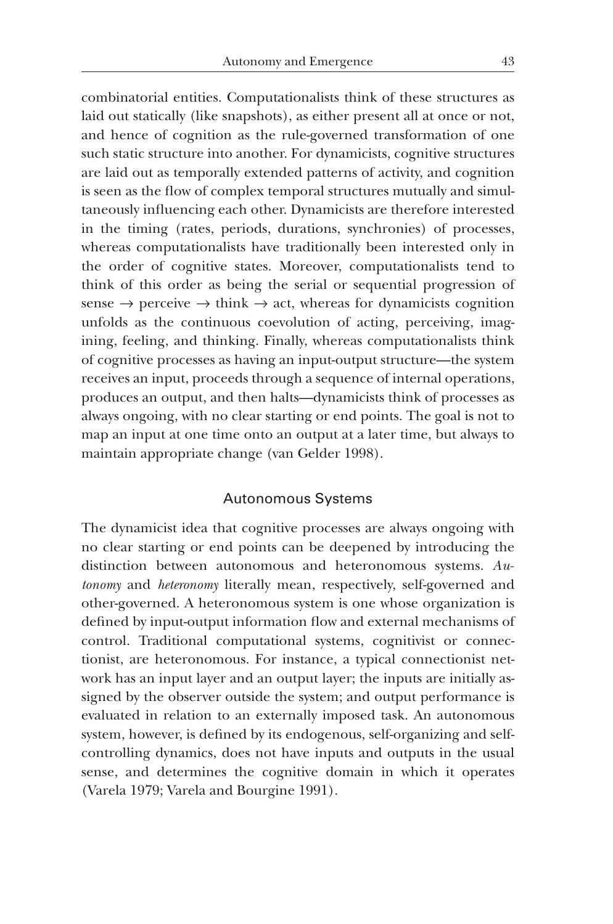combinatorial entities. Computationalists think of these structures as laid out statically (like snapshots), as either present all at once or not, and hence of cognition as the rule-governed transformation of one such static structure into another. For dynamicists, cognitive structures are laid out as temporally extended patterns of activity, and cognition is seen as the flow of complex temporal structures mutually and simultaneously influencing each other. Dynamicists are therefore interested in the timing (rates, periods, durations, synchronies) of processes, whereas computationalists have traditionally been interested only in the order of cognitive states. Moreover, computationalists tend to think of this order as being the serial or sequential progression of sense  $\rightarrow$  perceive  $\rightarrow$  think  $\rightarrow$  act, whereas for dynamicists cognition unfolds as the continuous coevolution of acting, perceiving, imagining, feeling, and thinking. Finally, whereas computationalists think of cognitive processes as having an input-output structure—the system receives an input, proceeds through a sequence of internal operations, produces an output, and then halts—dynamicists think of processes as always ongoing, with no clear starting or end points. The goal is not to map an input at one time onto an output at a later time, but always to maintain appropriate change (van Gelder 1998).

## Autonomous Systems

The dynamicist idea that cognitive processes are always ongoing with no clear starting or end points can be deepened by introducing the distinction between autonomous and heteronomous systems. *Autonomy* and *heteronomy* literally mean, respectively, self-governed and other-governed. A heteronomous system is one whose organization is defined by input-output information flow and external mechanisms of control. Traditional computational systems, cognitivist or connectionist, are heteronomous. For instance, a typical connectionist network has an input layer and an output layer; the inputs are initially assigned by the observer outside the system; and output performance is evaluated in relation to an externally imposed task. An autonomous system, however, is defined by its endogenous, self-organizing and selfcontrolling dynamics, does not have inputs and outputs in the usual sense, and determines the cognitive domain in which it operates (Varela 1979; Varela and Bourgine 1991).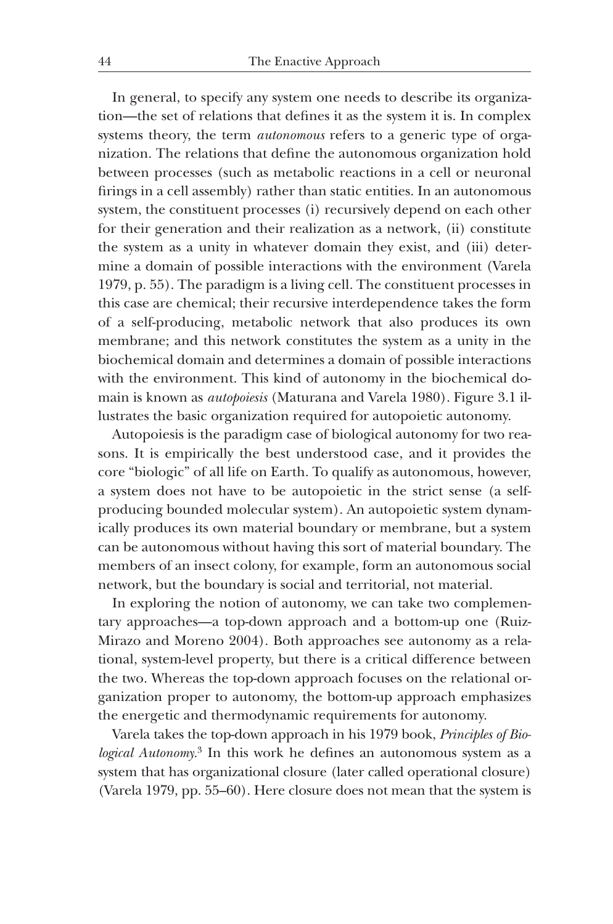In general, to specify any system one needs to describe its organization—the set of relations that defines it as the system it is. In complex systems theory, the term *autonomous* refers to a generic type of organization. The relations that define the autonomous organization hold between processes (such as metabolic reactions in a cell or neuronal firings in a cell assembly) rather than static entities. In an autonomous system, the constituent processes (i) recursively depend on each other for their generation and their realization as a network, (ii) constitute the system as a unity in whatever domain they exist, and (iii) determine a domain of possible interactions with the environment (Varela 1979, p. 55). The paradigm is a living cell. The constituent processes in this case are chemical; their recursive interdependence takes the form of a self-producing, metabolic network that also produces its own membrane; and this network constitutes the system as a unity in the biochemical domain and determines a domain of possible interactions with the environment. This kind of autonomy in the biochemical domain is known as *autopoiesis* (Maturana and Varela 1980). Figure 3.1 illustrates the basic organization required for autopoietic autonomy.

Autopoiesis is the paradigm case of biological autonomy for two reasons. It is empirically the best understood case, and it provides the core "biologic" of all life on Earth. To qualify as autonomous, however, a system does not have to be autopoietic in the strict sense (a selfproducing bounded molecular system). An autopoietic system dynamically produces its own material boundary or membrane, but a system can be autonomous without having this sort of material boundary. The members of an insect colony, for example, form an autonomous social network, but the boundary is social and territorial, not material.

In exploring the notion of autonomy, we can take two complementary approaches—a top-down approach and a bottom-up one (Ruiz-Mirazo and Moreno 2004). Both approaches see autonomy as a relational, system-level property, but there is a critical difference between the two. Whereas the top-down approach focuses on the relational organization proper to autonomy, the bottom-up approach emphasizes the energetic and thermodynamic requirements for autonomy.

Varela takes the top-down approach in his 1979 book, *Principles of Biological Autonomy.*<sup>3</sup> In this work he defines an autonomous system as a system that has organizational closure (later called operational closure) (Varela 1979, pp. 55–60). Here closure does not mean that the system is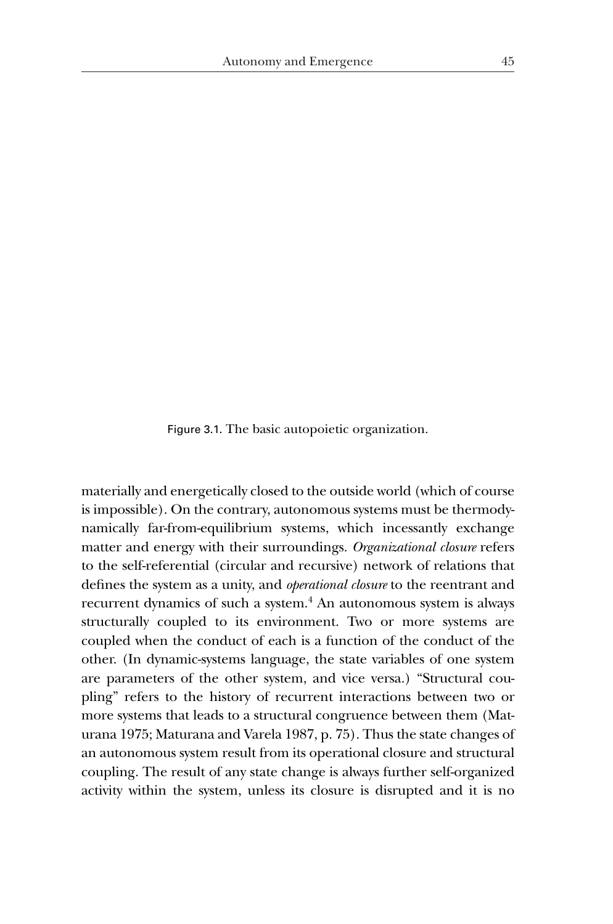Figure 3.1. The basic autopoietic organization.

materially and energetically closed to the outside world (which of course is impossible). On the contrary, autonomous systems must be thermodynamically far-from-equilibrium systems, which incessantly exchange matter and energy with their surroundings. *Organizational closure* refers to the self-referential (circular and recursive) network of relations that defines the system as a unity, and *operational closure* to the reentrant and recurrent dynamics of such a system.4 An autonomous system is always structurally coupled to its environment. Two or more systems are coupled when the conduct of each is a function of the conduct of the other. (In dynamic-systems language, the state variables of one system are parameters of the other system, and vice versa.) "Structural coupling" refers to the history of recurrent interactions between two or more systems that leads to a structural congruence between them (Maturana 1975; Maturana and Varela 1987, p. 75). Thus the state changes of an autonomous system result from its operational closure and structural coupling. The result of any state change is always further self-organized activity within the system, unless its closure is disrupted and it is no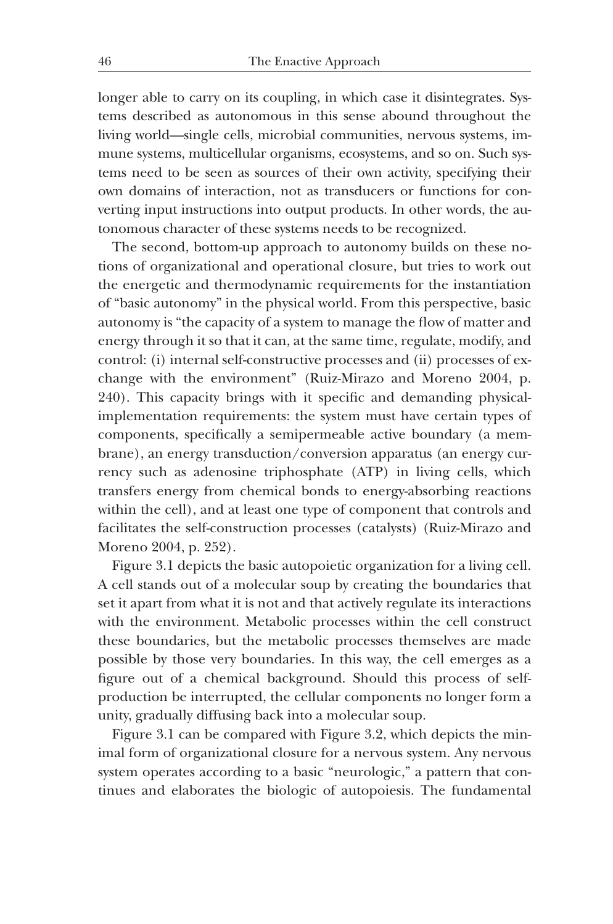longer able to carry on its coupling, in which case it disintegrates. Systems described as autonomous in this sense abound throughout the living world—single cells, microbial communities, nervous systems, immune systems, multicellular organisms, ecosystems, and so on. Such systems need to be seen as sources of their own activity, specifying their own domains of interaction, not as transducers or functions for converting input instructions into output products. In other words, the autonomous character of these systems needs to be recognized.

The second, bottom-up approach to autonomy builds on these notions of organizational and operational closure, but tries to work out the energetic and thermodynamic requirements for the instantiation of "basic autonomy" in the physical world. From this perspective, basic autonomy is "the capacity of a system to manage the flow of matter and energy through it so that it can, at the same time, regulate, modify, and control: (i) internal self-constructive processes and (ii) processes of exchange with the environment" (Ruiz-Mirazo and Moreno 2004, p. 240). This capacity brings with it specific and demanding physicalimplementation requirements: the system must have certain types of components, specifically a semipermeable active boundary (a membrane), an energy transduction/conversion apparatus (an energy currency such as adenosine triphosphate (ATP) in living cells, which transfers energy from chemical bonds to energy-absorbing reactions within the cell), and at least one type of component that controls and facilitates the self-construction processes (catalysts) (Ruiz-Mirazo and Moreno 2004, p. 252).

Figure 3.1 depicts the basic autopoietic organization for a living cell. A cell stands out of a molecular soup by creating the boundaries that set it apart from what it is not and that actively regulate its interactions with the environment. Metabolic processes within the cell construct these boundaries, but the metabolic processes themselves are made possible by those very boundaries. In this way, the cell emerges as a figure out of a chemical background. Should this process of selfproduction be interrupted, the cellular components no longer form a unity, gradually diffusing back into a molecular soup.

Figure 3.1 can be compared with Figure 3.2, which depicts the minimal form of organizational closure for a nervous system. Any nervous system operates according to a basic "neurologic," a pattern that continues and elaborates the biologic of autopoiesis. The fundamental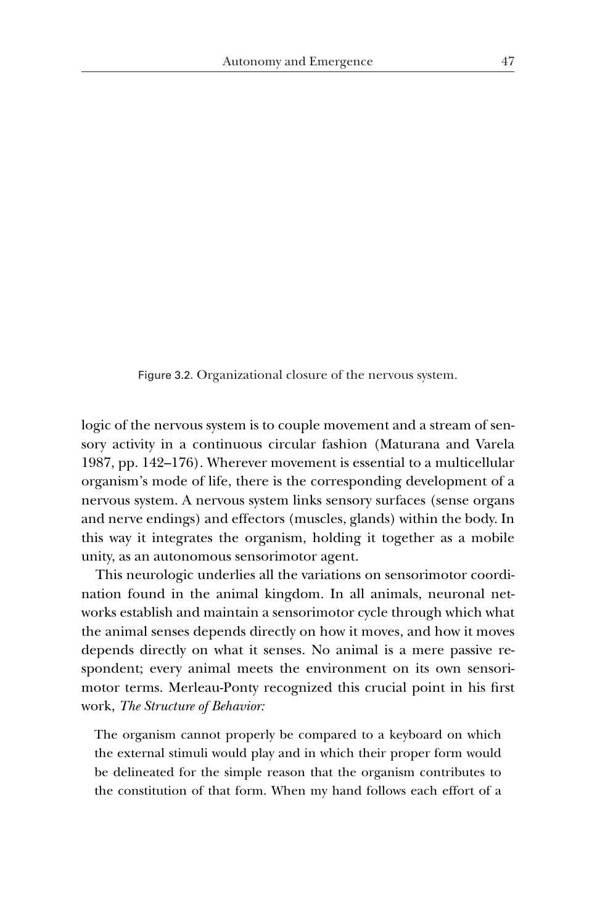Figure 3.2. Organizational closure of the nervous system.

logic of the nervous system is to couple movement and a stream of sensory activity in a continuous circular fashion (Maturana and Varela 1987, pp. 142–176). Wherever movement is essential to a multicellular organism's mode of life, there is the corresponding development of a nervous system. A nervous system links sensory surfaces (sense organs and nerve endings) and effectors (muscles, glands) within the body. In this way it integrates the organism, holding it together as a mobile unity, as an autonomous sensorimotor agent.

This neurologic underlies all the variations on sensorimotor coordination found in the animal kingdom. In all animals, neuronal networks establish and maintain a sensorimotor cycle through which what the animal senses depends directly on how it moves, and how it moves depends directly on what it senses. No animal is a mere passive respondent; every animal meets the environment on its own sensorimotor terms. Merleau-Ponty recognized this crucial point in his first work, *The Structure of Behavior:*

The organism cannot properly be compared to a keyboard on which the external stimuli would play and in which their proper form would be delineated for the simple reason that the organism contributes to the constitution of that form. When my hand follows each effort of a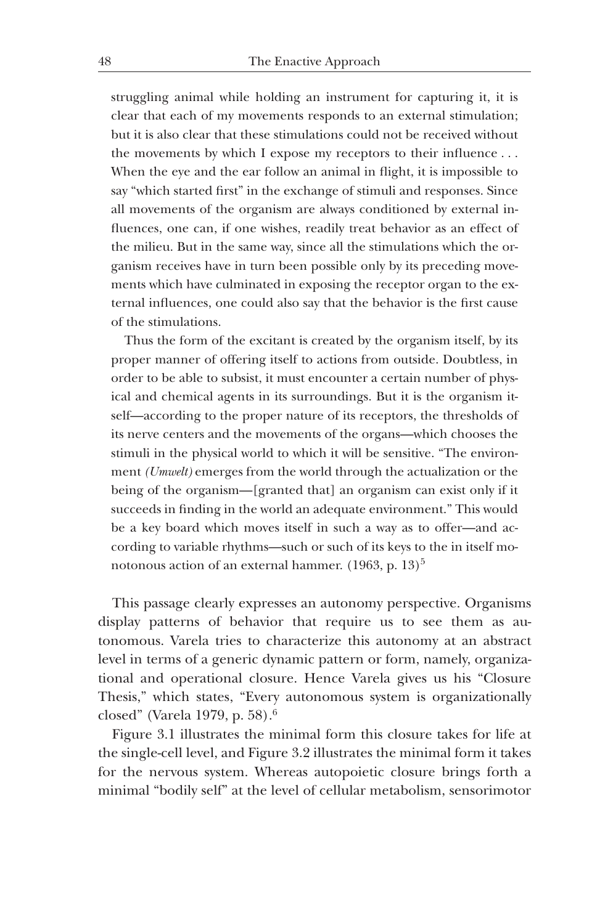struggling animal while holding an instrument for capturing it, it is clear that each of my movements responds to an external stimulation; but it is also clear that these stimulations could not be received without the movements by which I expose my receptors to their influence . . . When the eye and the ear follow an animal in flight, it is impossible to say "which started first" in the exchange of stimuli and responses. Since all movements of the organism are always conditioned by external influences, one can, if one wishes, readily treat behavior as an effect of the milieu. But in the same way, since all the stimulations which the organism receives have in turn been possible only by its preceding movements which have culminated in exposing the receptor organ to the external influences, one could also say that the behavior is the first cause of the stimulations.

Thus the form of the excitant is created by the organism itself, by its proper manner of offering itself to actions from outside. Doubtless, in order to be able to subsist, it must encounter a certain number of physical and chemical agents in its surroundings. But it is the organism itself—according to the proper nature of its receptors, the thresholds of its nerve centers and the movements of the organs—which chooses the stimuli in the physical world to which it will be sensitive. "The environment *(Umwelt)* emerges from the world through the actualization or the being of the organism—[granted that] an organism can exist only if it succeeds in finding in the world an adequate environment." This would be a key board which moves itself in such a way as to offer—and according to variable rhythms—such or such of its keys to the in itself monotonous action of an external hammer.  $(1963, p. 13)^5$ 

This passage clearly expresses an autonomy perspective. Organisms display patterns of behavior that require us to see them as autonomous. Varela tries to characterize this autonomy at an abstract level in terms of a generic dynamic pattern or form, namely, organizational and operational closure. Hence Varela gives us his "Closure Thesis," which states, "Every autonomous system is organizationally closed" (Varela 1979, p. 58).6

Figure 3.1 illustrates the minimal form this closure takes for life at the single-cell level, and Figure 3.2 illustrates the minimal form it takes for the nervous system. Whereas autopoietic closure brings forth a minimal "bodily self" at the level of cellular metabolism, sensorimotor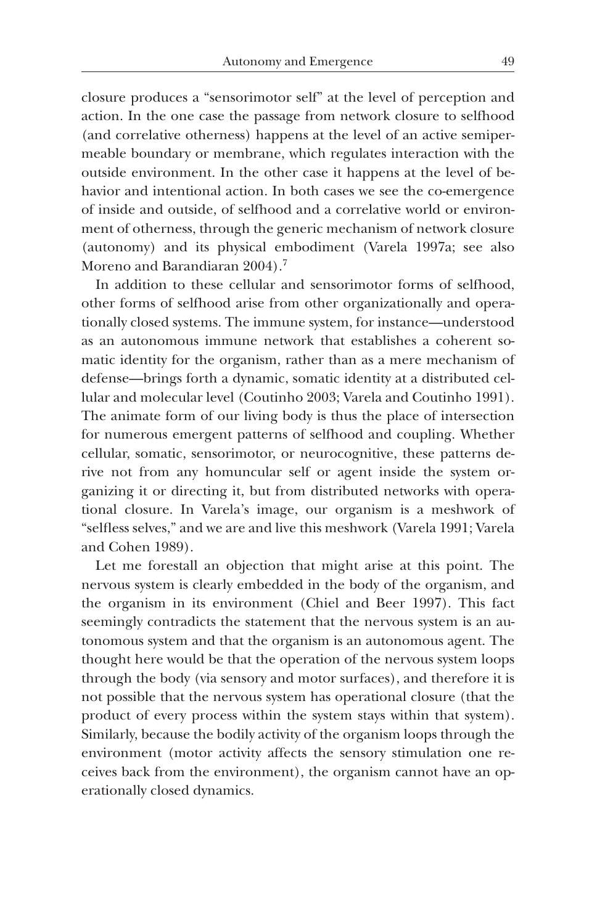closure produces a "sensorimotor self" at the level of perception and action. In the one case the passage from network closure to selfhood (and correlative otherness) happens at the level of an active semipermeable boundary or membrane, which regulates interaction with the outside environment. In the other case it happens at the level of behavior and intentional action. In both cases we see the co-emergence of inside and outside, of selfhood and a correlative world or environment of otherness, through the generic mechanism of network closure (autonomy) and its physical embodiment (Varela 1997a; see also Moreno and Barandiaran 2004).<sup>7</sup>

In addition to these cellular and sensorimotor forms of selfhood, other forms of selfhood arise from other organizationally and operationally closed systems. The immune system, for instance—understood as an autonomous immune network that establishes a coherent somatic identity for the organism, rather than as a mere mechanism of defense—brings forth a dynamic, somatic identity at a distributed cellular and molecular level (Coutinho 2003; Varela and Coutinho 1991). The animate form of our living body is thus the place of intersection for numerous emergent patterns of selfhood and coupling. Whether cellular, somatic, sensorimotor, or neurocognitive, these patterns derive not from any homuncular self or agent inside the system organizing it or directing it, but from distributed networks with operational closure. In Varela's image, our organism is a meshwork of "selfless selves," and we are and live this meshwork (Varela 1991; Varela and Cohen 1989).

Let me forestall an objection that might arise at this point. The nervous system is clearly embedded in the body of the organism, and the organism in its environment (Chiel and Beer 1997). This fact seemingly contradicts the statement that the nervous system is an autonomous system and that the organism is an autonomous agent. The thought here would be that the operation of the nervous system loops through the body (via sensory and motor surfaces), and therefore it is not possible that the nervous system has operational closure (that the product of every process within the system stays within that system). Similarly, because the bodily activity of the organism loops through the environment (motor activity affects the sensory stimulation one receives back from the environment), the organism cannot have an operationally closed dynamics.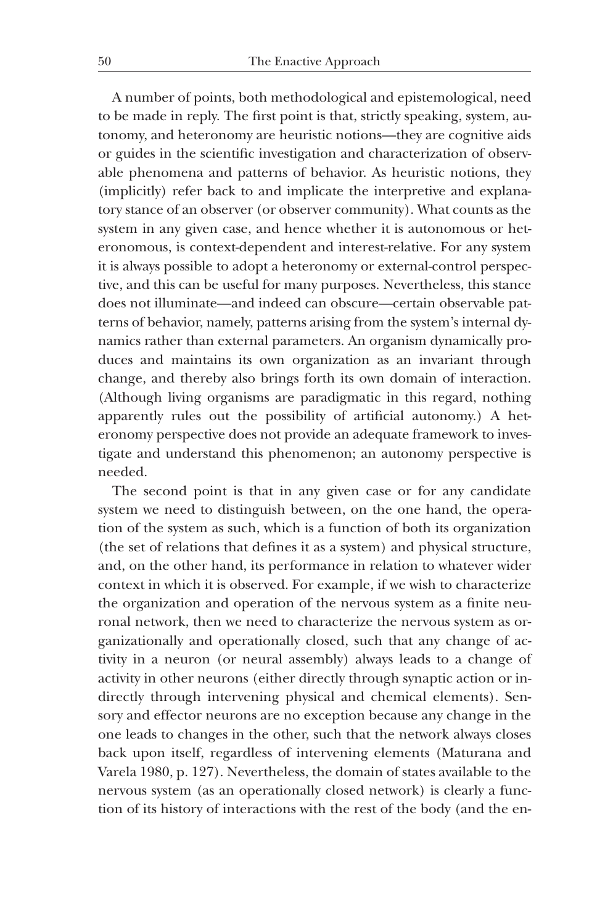A number of points, both methodological and epistemological, need to be made in reply. The first point is that, strictly speaking, system, autonomy, and heteronomy are heuristic notions—they are cognitive aids or guides in the scientific investigation and characterization of observable phenomena and patterns of behavior. As heuristic notions, they (implicitly) refer back to and implicate the interpretive and explanatory stance of an observer (or observer community). What counts as the system in any given case, and hence whether it is autonomous or heteronomous, is context-dependent and interest-relative. For any system it is always possible to adopt a heteronomy or external-control perspective, and this can be useful for many purposes. Nevertheless, this stance does not illuminate—and indeed can obscure—certain observable patterns of behavior, namely, patterns arising from the system's internal dynamics rather than external parameters. An organism dynamically produces and maintains its own organization as an invariant through change, and thereby also brings forth its own domain of interaction. (Although living organisms are paradigmatic in this regard, nothing apparently rules out the possibility of artificial autonomy.) A heteronomy perspective does not provide an adequate framework to investigate and understand this phenomenon; an autonomy perspective is needed.

The second point is that in any given case or for any candidate system we need to distinguish between, on the one hand, the operation of the system as such, which is a function of both its organization (the set of relations that defines it as a system) and physical structure, and, on the other hand, its performance in relation to whatever wider context in which it is observed. For example, if we wish to characterize the organization and operation of the nervous system as a finite neuronal network, then we need to characterize the nervous system as organizationally and operationally closed, such that any change of activity in a neuron (or neural assembly) always leads to a change of activity in other neurons (either directly through synaptic action or indirectly through intervening physical and chemical elements). Sensory and effector neurons are no exception because any change in the one leads to changes in the other, such that the network always closes back upon itself, regardless of intervening elements (Maturana and Varela 1980, p. 127). Nevertheless, the domain of states available to the nervous system (as an operationally closed network) is clearly a function of its history of interactions with the rest of the body (and the en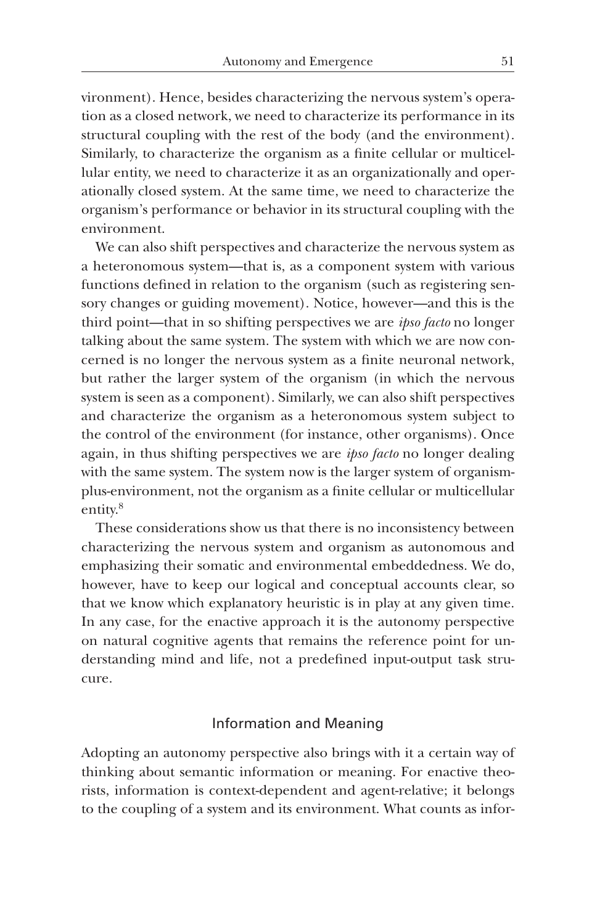vironment). Hence, besides characterizing the nervous system's operation as a closed network, we need to characterize its performance in its structural coupling with the rest of the body (and the environment). Similarly, to characterize the organism as a finite cellular or multicellular entity, we need to characterize it as an organizationally and operationally closed system. At the same time, we need to characterize the organism's performance or behavior in its structural coupling with the environment.

We can also shift perspectives and characterize the nervous system as a heteronomous system—that is, as a component system with various functions defined in relation to the organism (such as registering sensory changes or guiding movement). Notice, however—and this is the third point—that in so shifting perspectives we are *ipso facto* no longer talking about the same system. The system with which we are now concerned is no longer the nervous system as a finite neuronal network, but rather the larger system of the organism (in which the nervous system is seen as a component). Similarly, we can also shift perspectives and characterize the organism as a heteronomous system subject to the control of the environment (for instance, other organisms). Once again, in thus shifting perspectives we are *ipso facto* no longer dealing with the same system. The system now is the larger system of organismplus-environment, not the organism as a finite cellular or multicellular entity.8

These considerations show us that there is no inconsistency between characterizing the nervous system and organism as autonomous and emphasizing their somatic and environmental embeddedness. We do, however, have to keep our logical and conceptual accounts clear, so that we know which explanatory heuristic is in play at any given time. In any case, for the enactive approach it is the autonomy perspective on natural cognitive agents that remains the reference point for understanding mind and life, not a predefined input-output task strucure.

## Information and Meaning

Adopting an autonomy perspective also brings with it a certain way of thinking about semantic information or meaning. For enactive theorists, information is context-dependent and agent-relative; it belongs to the coupling of a system and its environment. What counts as infor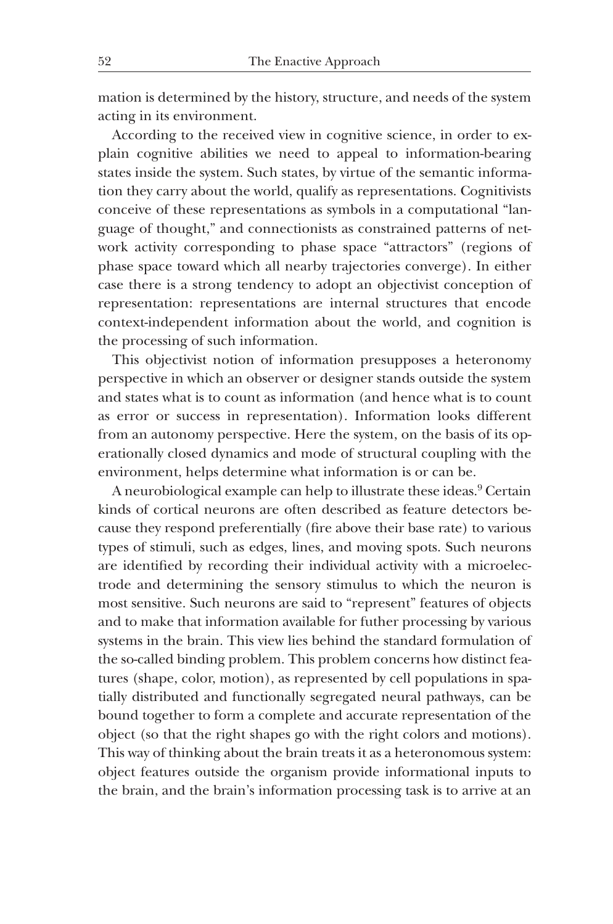mation is determined by the history, structure, and needs of the system acting in its environment.

According to the received view in cognitive science, in order to explain cognitive abilities we need to appeal to information-bearing states inside the system. Such states, by virtue of the semantic information they carry about the world, qualify as representations. Cognitivists conceive of these representations as symbols in a computational "language of thought," and connectionists as constrained patterns of network activity corresponding to phase space "attractors" (regions of phase space toward which all nearby trajectories converge). In either case there is a strong tendency to adopt an objectivist conception of representation: representations are internal structures that encode context-independent information about the world, and cognition is the processing of such information.

This objectivist notion of information presupposes a heteronomy perspective in which an observer or designer stands outside the system and states what is to count as information (and hence what is to count as error or success in representation). Information looks different from an autonomy perspective. Here the system, on the basis of its operationally closed dynamics and mode of structural coupling with the environment, helps determine what information is or can be.

A neurobiological example can help to illustrate these ideas.<sup>9</sup> Certain kinds of cortical neurons are often described as feature detectors because they respond preferentially (fire above their base rate) to various types of stimuli, such as edges, lines, and moving spots. Such neurons are identified by recording their individual activity with a microelectrode and determining the sensory stimulus to which the neuron is most sensitive. Such neurons are said to "represent" features of objects and to make that information available for futher processing by various systems in the brain. This view lies behind the standard formulation of the so-called binding problem. This problem concerns how distinct features (shape, color, motion), as represented by cell populations in spatially distributed and functionally segregated neural pathways, can be bound together to form a complete and accurate representation of the object (so that the right shapes go with the right colors and motions). This way of thinking about the brain treats it as a heteronomous system: object features outside the organism provide informational inputs to the brain, and the brain's information processing task is to arrive at an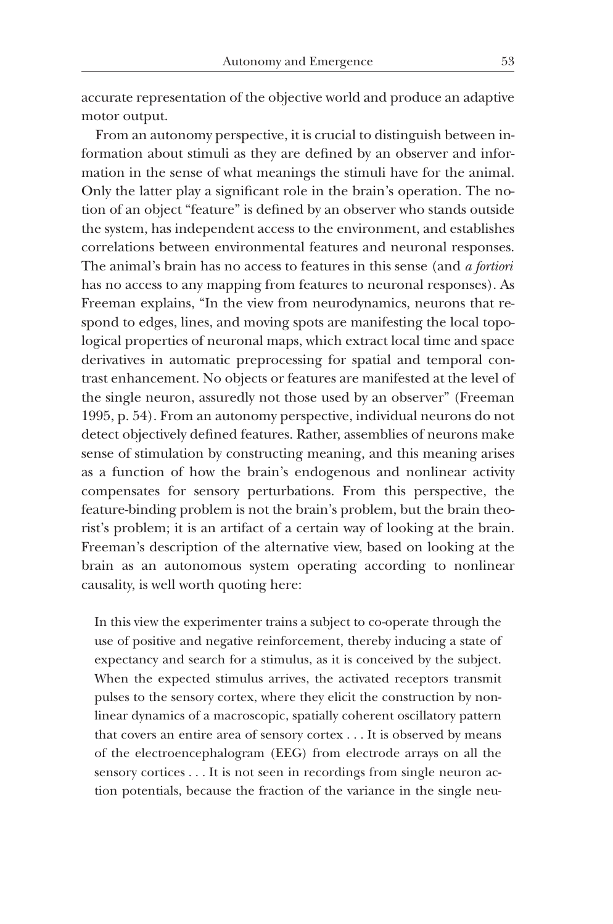accurate representation of the objective world and produce an adaptive motor output.

From an autonomy perspective, it is crucial to distinguish between information about stimuli as they are defined by an observer and information in the sense of what meanings the stimuli have for the animal. Only the latter play a significant role in the brain's operation. The notion of an object "feature" is defined by an observer who stands outside the system, has independent access to the environment, and establishes correlations between environmental features and neuronal responses. The animal's brain has no access to features in this sense (and *a fortiori* has no access to any mapping from features to neuronal responses). As Freeman explains, "In the view from neurodynamics, neurons that respond to edges, lines, and moving spots are manifesting the local topological properties of neuronal maps, which extract local time and space derivatives in automatic preprocessing for spatial and temporal contrast enhancement. No objects or features are manifested at the level of the single neuron, assuredly not those used by an observer" (Freeman 1995, p. 54). From an autonomy perspective, individual neurons do not detect objectively defined features. Rather, assemblies of neurons make sense of stimulation by constructing meaning, and this meaning arises as a function of how the brain's endogenous and nonlinear activity compensates for sensory perturbations. From this perspective, the feature-binding problem is not the brain's problem, but the brain theorist's problem; it is an artifact of a certain way of looking at the brain. Freeman's description of the alternative view, based on looking at the brain as an autonomous system operating according to nonlinear causality, is well worth quoting here:

In this view the experimenter trains a subject to co-operate through the use of positive and negative reinforcement, thereby inducing a state of expectancy and search for a stimulus, as it is conceived by the subject. When the expected stimulus arrives, the activated receptors transmit pulses to the sensory cortex, where they elicit the construction by nonlinear dynamics of a macroscopic, spatially coherent oscillatory pattern that covers an entire area of sensory cortex . . . It is observed by means of the electroencephalogram (EEG) from electrode arrays on all the sensory cortices . . . It is not seen in recordings from single neuron action potentials, because the fraction of the variance in the single neu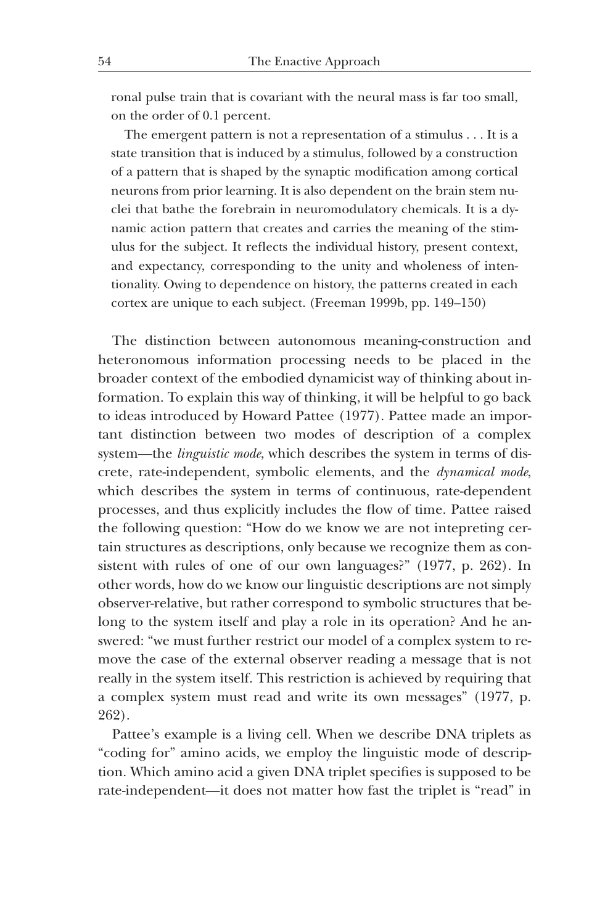ronal pulse train that is covariant with the neural mass is far too small, on the order of 0.1 percent.

The emergent pattern is not a representation of a stimulus . . . It is a state transition that is induced by a stimulus, followed by a construction of a pattern that is shaped by the synaptic modification among cortical neurons from prior learning. It is also dependent on the brain stem nuclei that bathe the forebrain in neuromodulatory chemicals. It is a dynamic action pattern that creates and carries the meaning of the stimulus for the subject. It reflects the individual history, present context, and expectancy, corresponding to the unity and wholeness of intentionality. Owing to dependence on history, the patterns created in each cortex are unique to each subject. (Freeman 1999b, pp. 149–150)

The distinction between autonomous meaning-construction and heteronomous information processing needs to be placed in the broader context of the embodied dynamicist way of thinking about information. To explain this way of thinking, it will be helpful to go back to ideas introduced by Howard Pattee (1977). Pattee made an important distinction between two modes of description of a complex system—the *linguistic mode*, which describes the system in terms of discrete, rate-independent, symbolic elements, and the *dynamical mode*, which describes the system in terms of continuous, rate-dependent processes, and thus explicitly includes the flow of time. Pattee raised the following question: "How do we know we are not intepreting certain structures as descriptions, only because we recognize them as consistent with rules of one of our own languages?" (1977, p. 262). In other words, how do we know our linguistic descriptions are not simply observer-relative, but rather correspond to symbolic structures that belong to the system itself and play a role in its operation? And he answered: "we must further restrict our model of a complex system to remove the case of the external observer reading a message that is not really in the system itself. This restriction is achieved by requiring that a complex system must read and write its own messages" (1977, p. 262).

Pattee's example is a living cell. When we describe DNA triplets as "coding for" amino acids, we employ the linguistic mode of description. Which amino acid a given DNA triplet specifies is supposed to be rate-independent—it does not matter how fast the triplet is "read" in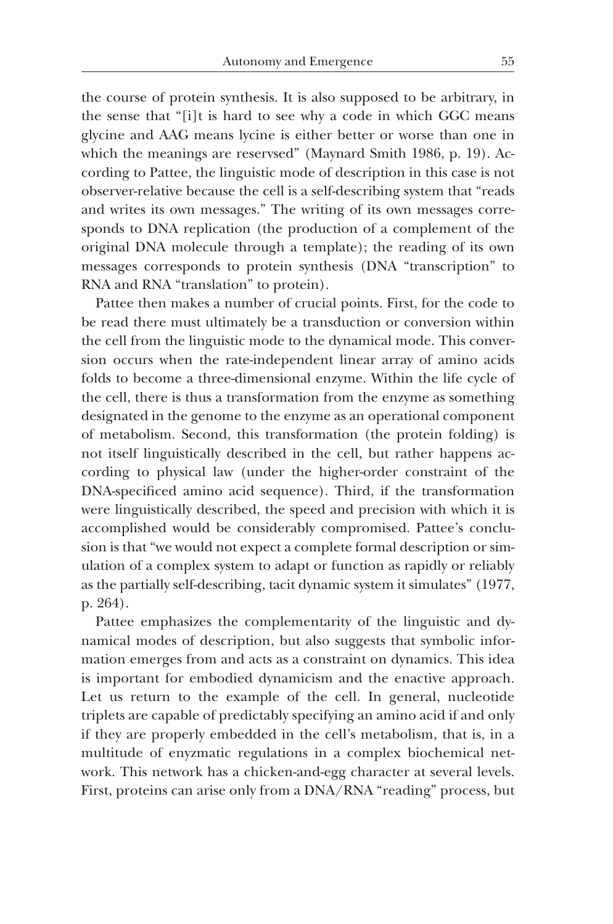the course of protein synthesis. It is also supposed to be arbitrary, in the sense that "[i]t is hard to see why a code in which GGC means glycine and AAG means lycine is either better or worse than one in which the meanings are reservsed" (Maynard Smith 1986, p. 19). According to Pattee, the linguistic mode of description in this case is not observer-relative because the cell is a self-describing system that "reads and writes its own messages." The writing of its own messages corresponds to DNA replication (the production of a complement of the original DNA molecule through a template); the reading of its own messages corresponds to protein synthesis (DNA "transcription" to RNA and RNA "translation" to protein).

Pattee then makes a number of crucial points. First, for the code to be read there must ultimately be a transduction or conversion within the cell from the linguistic mode to the dynamical mode. This conversion occurs when the rate-independent linear array of amino acids folds to become a three-dimensional enzyme. Within the life cycle of the cell, there is thus a transformation from the enzyme as something designated in the genome to the enzyme as an operational component of metabolism. Second, this transformation (the protein folding) is not itself linguistically described in the cell, but rather happens according to physical law (under the higher-order constraint of the DNA-specificed amino acid sequence). Third, if the transformation were linguistically described, the speed and precision with which it is accomplished would be considerably compromised. Pattee's conclusion is that "we would not expect a complete formal description or simulation of a complex system to adapt or function as rapidly or reliably as the partially self-describing, tacit dynamic system it simulates" (1977, p. 264).

Pattee emphasizes the complementarity of the linguistic and dynamical modes of description, but also suggests that symbolic information emerges from and acts as a constraint on dynamics. This idea is important for embodied dynamicism and the enactive approach. Let us return to the example of the cell. In general, nucleotide triplets are capable of predictably specifying an amino acid if and only if they are properly embedded in the cell's metabolism, that is, in a multitude of enyzmatic regulations in a complex biochemical network. This network has a chicken-and-egg character at several levels. First, proteins can arise only from a DNA/RNA "reading" process, but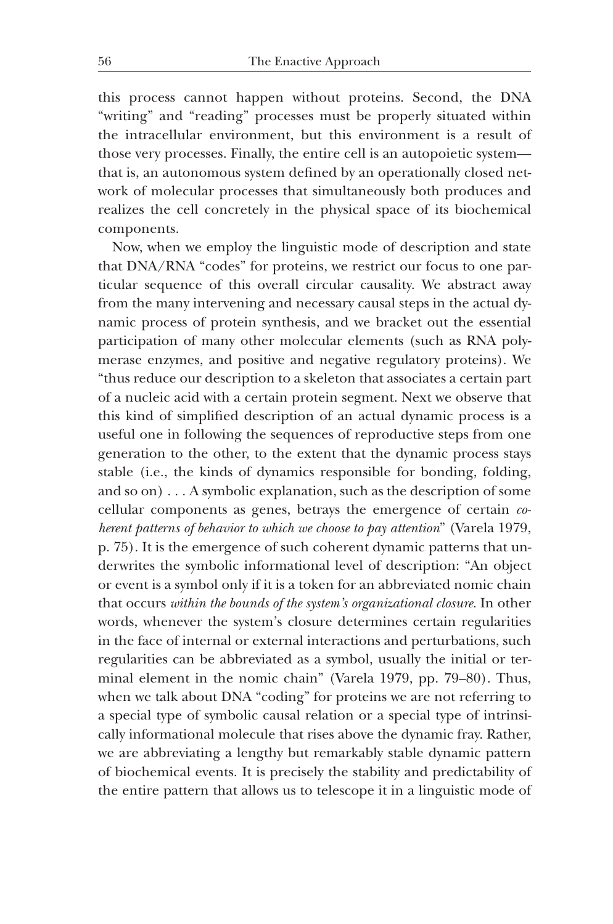this process cannot happen without proteins. Second, the DNA "writing" and "reading" processes must be properly situated within the intracellular environment, but this environment is a result of those very processes. Finally, the entire cell is an autopoietic system that is, an autonomous system defined by an operationally closed network of molecular processes that simultaneously both produces and realizes the cell concretely in the physical space of its biochemical components.

Now, when we employ the linguistic mode of description and state that DNA/RNA "codes" for proteins, we restrict our focus to one particular sequence of this overall circular causality. We abstract away from the many intervening and necessary causal steps in the actual dynamic process of protein synthesis, and we bracket out the essential participation of many other molecular elements (such as RNA polymerase enzymes, and positive and negative regulatory proteins). We "thus reduce our description to a skeleton that associates a certain part of a nucleic acid with a certain protein segment. Next we observe that this kind of simplified description of an actual dynamic process is a useful one in following the sequences of reproductive steps from one generation to the other, to the extent that the dynamic process stays stable (i.e., the kinds of dynamics responsible for bonding, folding, and so on) . . . A symbolic explanation, such as the description of some cellular components as genes, betrays the emergence of certain *coherent patterns of behavior to which we choose to pay attention*" (Varela 1979, p. 75). It is the emergence of such coherent dynamic patterns that underwrites the symbolic informational level of description: "An object or event is a symbol only if it is a token for an abbreviated nomic chain that occurs *within the bounds of the system's organizational closure.* In other words, whenever the system's closure determines certain regularities in the face of internal or external interactions and perturbations, such regularities can be abbreviated as a symbol, usually the initial or terminal element in the nomic chain" (Varela 1979, pp. 79–80). Thus, when we talk about DNA "coding" for proteins we are not referring to a special type of symbolic causal relation or a special type of intrinsically informational molecule that rises above the dynamic fray. Rather, we are abbreviating a lengthy but remarkably stable dynamic pattern of biochemical events. It is precisely the stability and predictability of the entire pattern that allows us to telescope it in a linguistic mode of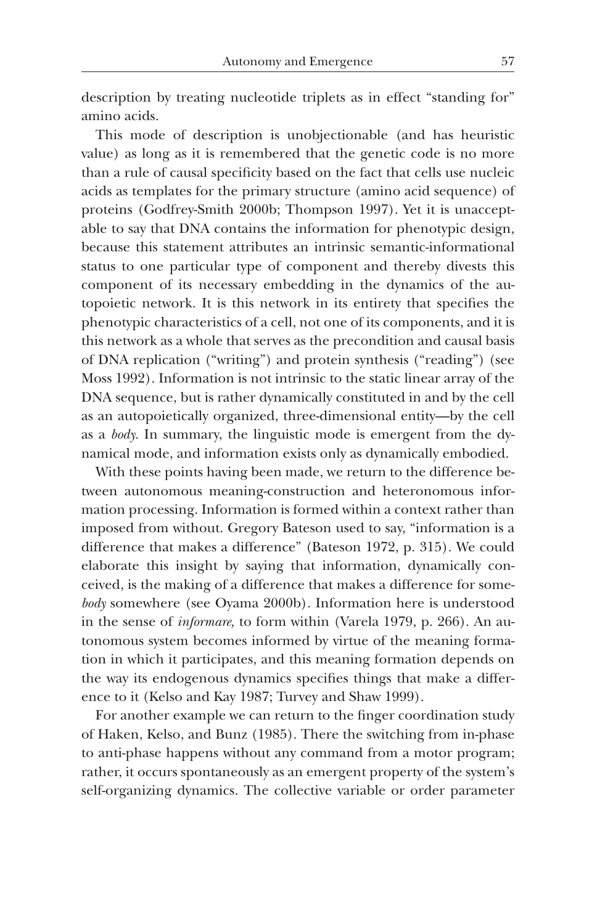description by treating nucleotide triplets as in effect "standing for" amino acids.

This mode of description is unobjectionable (and has heuristic value) as long as it is remembered that the genetic code is no more than a rule of causal specificity based on the fact that cells use nucleic acids as templates for the primary structure (amino acid sequence) of proteins (Godfrey-Smith 2000b; Thompson 1997). Yet it is unacceptable to say that DNA contains the information for phenotypic design, because this statement attributes an intrinsic semantic-informational status to one particular type of component and thereby divests this component of its necessary embedding in the dynamics of the autopoietic network. It is this network in its entirety that specifies the phenotypic characteristics of a cell, not one of its components, and it is this network as a whole that serves as the precondition and causal basis of DNA replication ("writing") and protein synthesis ("reading") (see Moss 1992). Information is not intrinsic to the static linear array of the DNA sequence, but is rather dynamically constituted in and by the cell as an autopoietically organized, three-dimensional entity—by the cell as a *body.* In summary, the linguistic mode is emergent from the dynamical mode, and information exists only as dynamically embodied.

With these points having been made, we return to the difference between autonomous meaning-construction and heteronomous information processing. Information is formed within a context rather than imposed from without. Gregory Bateson used to say, "information is a difference that makes a difference" (Bateson 1972, p. 315). We could elaborate this insight by saying that information, dynamically conceived, is the making of a difference that makes a difference for some*body* somewhere (see Oyama 2000b). Information here is understood in the sense of *informare,* to form within (Varela 1979, p. 266). An autonomous system becomes informed by virtue of the meaning formation in which it participates, and this meaning formation depends on the way its endogenous dynamics specifies things that make a difference to it (Kelso and Kay 1987; Turvey and Shaw 1999).

For another example we can return to the finger coordination study of Haken, Kelso, and Bunz (1985). There the switching from in-phase to anti-phase happens without any command from a motor program; rather, it occurs spontaneously as an emergent property of the system's self-organizing dynamics. The collective variable or order parameter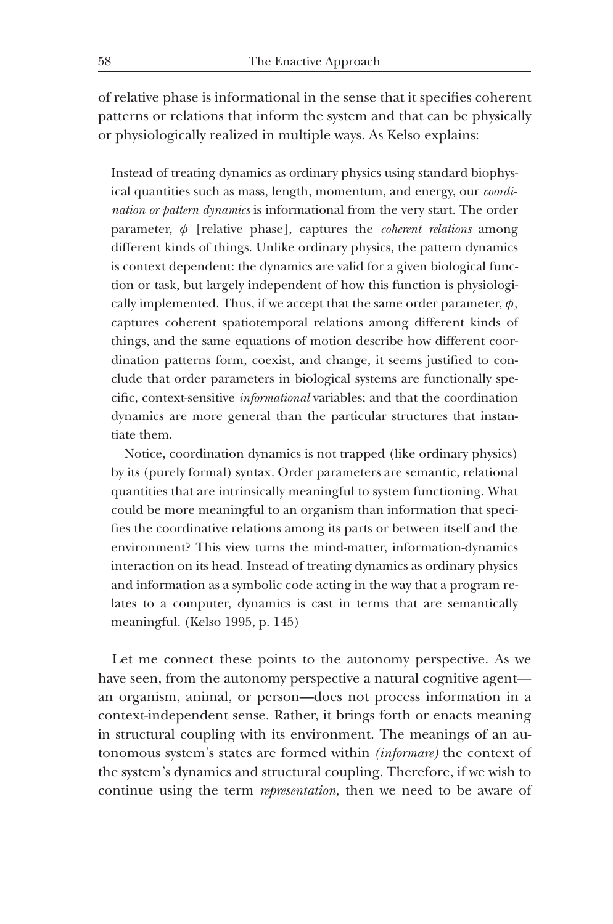of relative phase is informational in the sense that it specifies coherent patterns or relations that inform the system and that can be physically or physiologically realized in multiple ways. As Kelso explains:

Instead of treating dynamics as ordinary physics using standard biophysical quantities such as mass, length, momentum, and energy, our *coordination or pattern dynamics* is informational from the very start. The order parameter,  $\phi$  [relative phase], captures the *coherent relations* among different kinds of things. Unlike ordinary physics, the pattern dynamics is context dependent: the dynamics are valid for a given biological function or task, but largely independent of how this function is physiologically implemented. Thus, if we accept that the same order parameter,  $\phi$ , captures coherent spatiotemporal relations among different kinds of things, and the same equations of motion describe how different coordination patterns form, coexist, and change, it seems justified to conclude that order parameters in biological systems are functionally specific, context-sensitive *informational* variables; and that the coordination dynamics are more general than the particular structures that instantiate them.

Notice, coordination dynamics is not trapped (like ordinary physics) by its (purely formal) syntax. Order parameters are semantic, relational quantities that are intrinsically meaningful to system functioning. What could be more meaningful to an organism than information that specifies the coordinative relations among its parts or between itself and the environment? This view turns the mind-matter, information-dynamics interaction on its head. Instead of treating dynamics as ordinary physics and information as a symbolic code acting in the way that a program relates to a computer, dynamics is cast in terms that are semantically meaningful. (Kelso 1995, p. 145)

Let me connect these points to the autonomy perspective. As we have seen, from the autonomy perspective a natural cognitive agent an organism, animal, or person—does not process information in a context-independent sense. Rather, it brings forth or enacts meaning in structural coupling with its environment. The meanings of an autonomous system's states are formed within *(informare)* the context of the system's dynamics and structural coupling. Therefore, if we wish to continue using the term *representation*, then we need to be aware of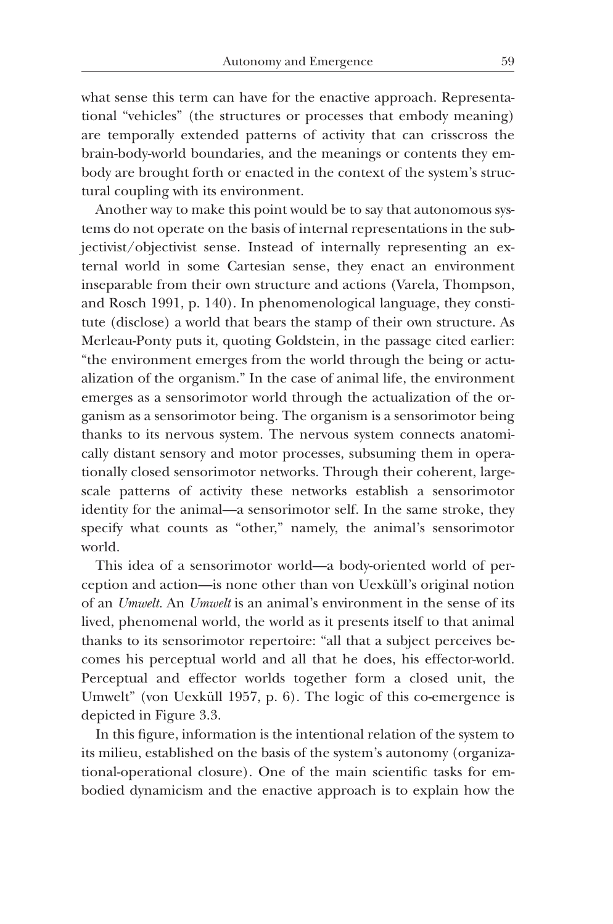what sense this term can have for the enactive approach. Representational "vehicles" (the structures or processes that embody meaning) are temporally extended patterns of activity that can crisscross the brain-body-world boundaries, and the meanings or contents they embody are brought forth or enacted in the context of the system's structural coupling with its environment.

Another way to make this point would be to say that autonomous systems do not operate on the basis of internal representations in the subjectivist/objectivist sense. Instead of internally representing an external world in some Cartesian sense, they enact an environment inseparable from their own structure and actions (Varela, Thompson, and Rosch 1991, p. 140). In phenomenological language, they constitute (disclose) a world that bears the stamp of their own structure. As Merleau-Ponty puts it, quoting Goldstein, in the passage cited earlier: "the environment emerges from the world through the being or actualization of the organism." In the case of animal life, the environment emerges as a sensorimotor world through the actualization of the organism as a sensorimotor being. The organism is a sensorimotor being thanks to its nervous system. The nervous system connects anatomically distant sensory and motor processes, subsuming them in operationally closed sensorimotor networks. Through their coherent, largescale patterns of activity these networks establish a sensorimotor identity for the animal—a sensorimotor self. In the same stroke, they specify what counts as "other," namely, the animal's sensorimotor world.

This idea of a sensorimotor world—a body-oriented world of perception and action—is none other than von Uexküll's original notion of an *Umwelt.* An *Umwelt* is an animal's environment in the sense of its lived, phenomenal world, the world as it presents itself to that animal thanks to its sensorimotor repertoire: "all that a subject perceives becomes his perceptual world and all that he does, his effector-world. Perceptual and effector worlds together form a closed unit, the Umwelt" (von Uexküll 1957, p. 6). The logic of this co-emergence is depicted in Figure 3.3.

In this figure, information is the intentional relation of the system to its milieu, established on the basis of the system's autonomy (organizational-operational closure). One of the main scientific tasks for embodied dynamicism and the enactive approach is to explain how the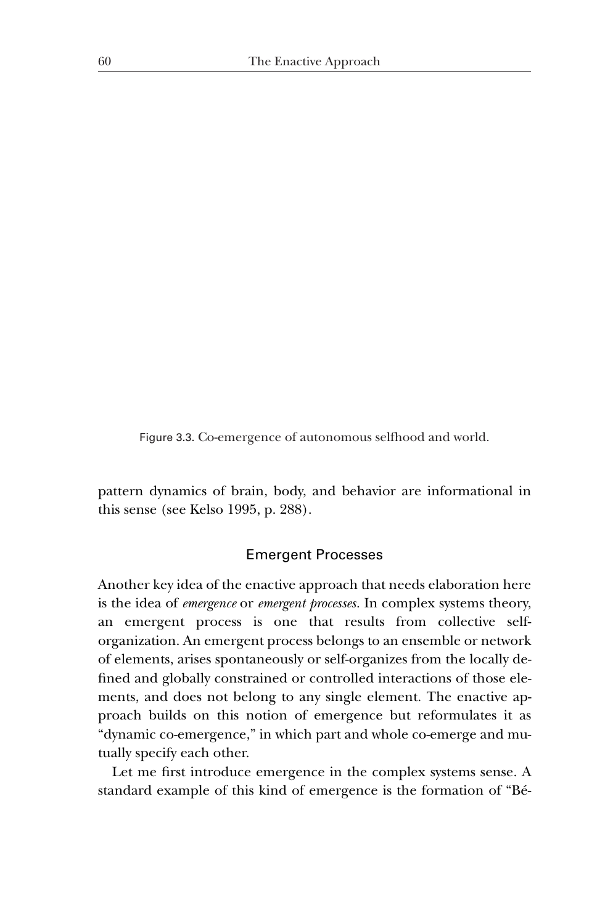Figure 3.3. Co-emergence of autonomous selfhood and world.

pattern dynamics of brain, body, and behavior are informational in this sense (see Kelso 1995, p. 288).

## Emergent Processes

Another key idea of the enactive approach that needs elaboration here is the idea of *emergence* or *emergent processes.* In complex systems theory, an emergent process is one that results from collective selforganization. An emergent process belongs to an ensemble or network of elements, arises spontaneously or self-organizes from the locally defined and globally constrained or controlled interactions of those elements, and does not belong to any single element. The enactive approach builds on this notion of emergence but reformulates it as "dynamic co-emergence," in which part and whole co-emerge and mutually specify each other.

Let me first introduce emergence in the complex systems sense. A standard example of this kind of emergence is the formation of "Bé-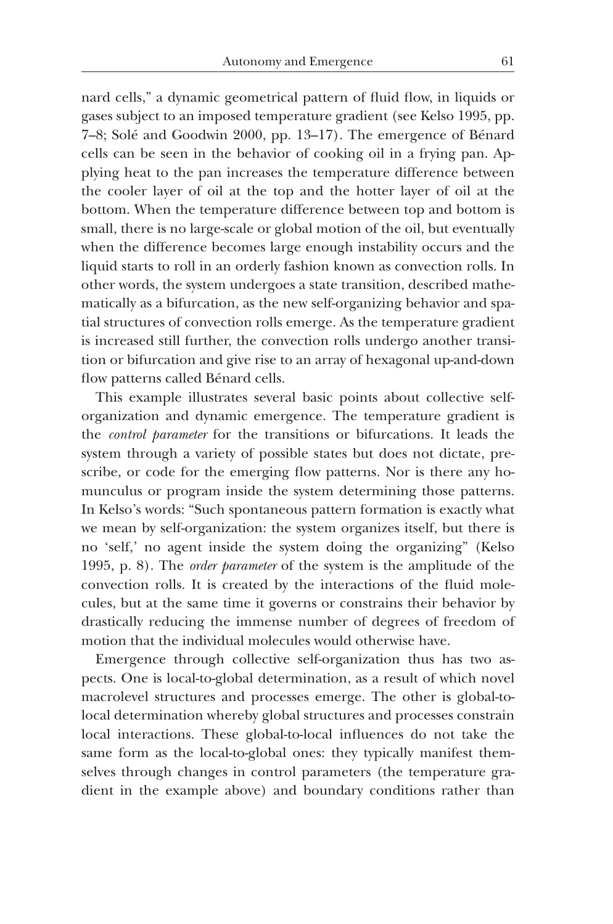nard cells," a dynamic geometrical pattern of fluid flow, in liquids or gases subject to an imposed temperature gradient (see Kelso 1995, pp. 7–8; Solé and Goodwin 2000, pp. 13–17). The emergence of Bénard cells can be seen in the behavior of cooking oil in a frying pan. Applying heat to the pan increases the temperature difference between the cooler layer of oil at the top and the hotter layer of oil at the bottom. When the temperature difference between top and bottom is small, there is no large-scale or global motion of the oil, but eventually when the difference becomes large enough instability occurs and the liquid starts to roll in an orderly fashion known as convection rolls. In other words, the system undergoes a state transition, described mathematically as a bifurcation, as the new self-organizing behavior and spatial structures of convection rolls emerge. As the temperature gradient is increased still further, the convection rolls undergo another transition or bifurcation and give rise to an array of hexagonal up-and-down flow patterns called Bénard cells.

This example illustrates several basic points about collective selforganization and dynamic emergence. The temperature gradient is the *control parameter* for the transitions or bifurcations. It leads the system through a variety of possible states but does not dictate, prescribe, or code for the emerging flow patterns. Nor is there any homunculus or program inside the system determining those patterns. In Kelso's words: "Such spontaneous pattern formation is exactly what we mean by self-organization: the system organizes itself, but there is no 'self,' no agent inside the system doing the organizing" (Kelso 1995, p. 8). The *order parameter* of the system is the amplitude of the convection rolls. It is created by the interactions of the fluid molecules, but at the same time it governs or constrains their behavior by drastically reducing the immense number of degrees of freedom of motion that the individual molecules would otherwise have.

Emergence through collective self-organization thus has two aspects. One is local-to-global determination, as a result of which novel macrolevel structures and processes emerge. The other is global-tolocal determination whereby global structures and processes constrain local interactions. These global-to-local influences do not take the same form as the local-to-global ones: they typically manifest themselves through changes in control parameters (the temperature gradient in the example above) and boundary conditions rather than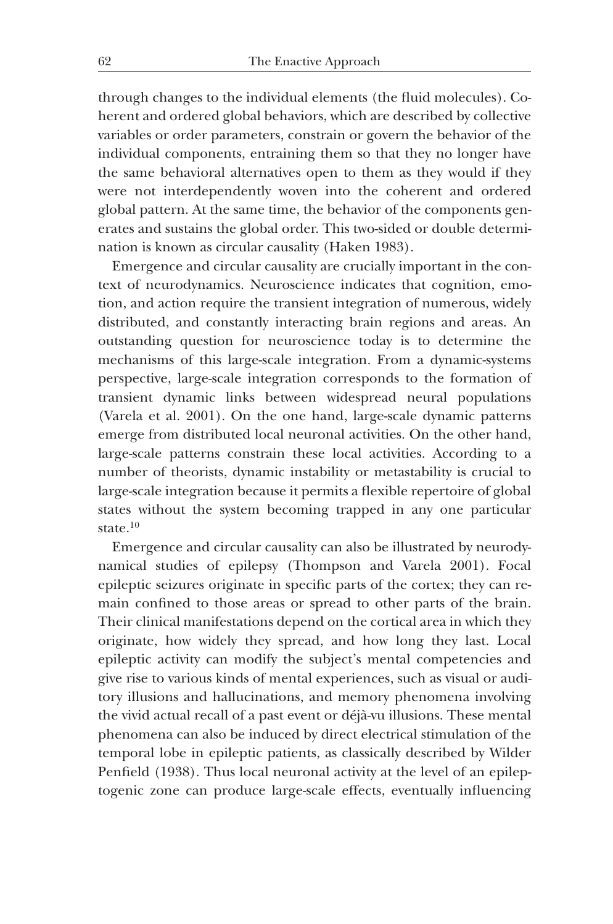through changes to the individual elements (the fluid molecules). Coherent and ordered global behaviors, which are described by collective variables or order parameters, constrain or govern the behavior of the individual components, entraining them so that they no longer have the same behavioral alternatives open to them as they would if they were not interdependently woven into the coherent and ordered global pattern. At the same time, the behavior of the components generates and sustains the global order. This two-sided or double determination is known as circular causality (Haken 1983).

Emergence and circular causality are crucially important in the context of neurodynamics. Neuroscience indicates that cognition, emotion, and action require the transient integration of numerous, widely distributed, and constantly interacting brain regions and areas. An outstanding question for neuroscience today is to determine the mechanisms of this large-scale integration. From a dynamic-systems perspective, large-scale integration corresponds to the formation of transient dynamic links between widespread neural populations (Varela et al. 2001). On the one hand, large-scale dynamic patterns emerge from distributed local neuronal activities. On the other hand, large-scale patterns constrain these local activities. According to a number of theorists, dynamic instability or metastability is crucial to large-scale integration because it permits a flexible repertoire of global states without the system becoming trapped in any one particular state.<sup>10</sup>

Emergence and circular causality can also be illustrated by neurodynamical studies of epilepsy (Thompson and Varela 2001). Focal epileptic seizures originate in specific parts of the cortex; they can remain confined to those areas or spread to other parts of the brain. Their clinical manifestations depend on the cortical area in which they originate, how widely they spread, and how long they last. Local epileptic activity can modify the subject's mental competencies and give rise to various kinds of mental experiences, such as visual or auditory illusions and hallucinations, and memory phenomena involving the vivid actual recall of a past event or déjà-vu illusions. These mental phenomena can also be induced by direct electrical stimulation of the temporal lobe in epileptic patients, as classically described by Wilder Penfield (1938). Thus local neuronal activity at the level of an epileptogenic zone can produce large-scale effects, eventually influencing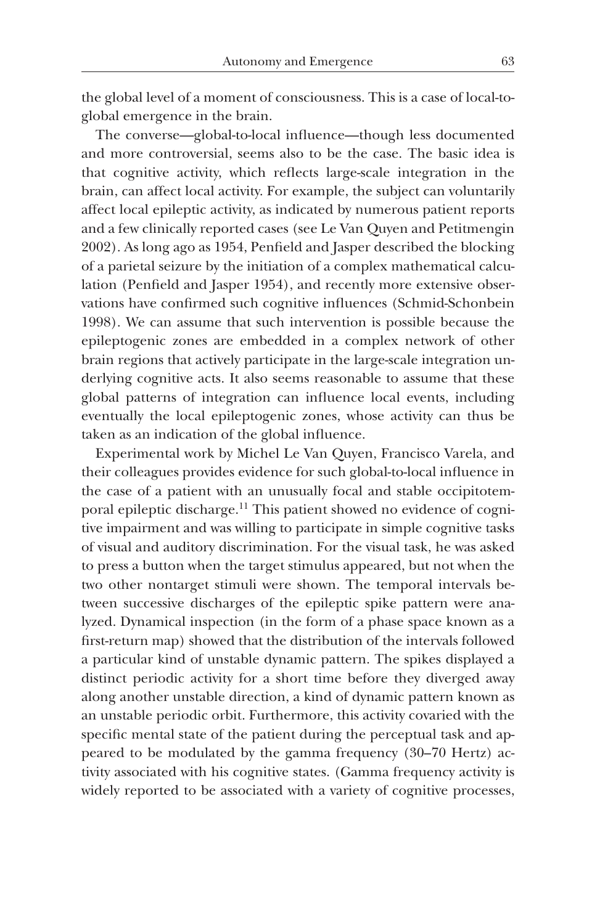the global level of a moment of consciousness. This is a case of local-toglobal emergence in the brain.

The converse—global-to-local influence—though less documented and more controversial, seems also to be the case. The basic idea is that cognitive activity, which reflects large-scale integration in the brain, can affect local activity. For example, the subject can voluntarily affect local epileptic activity, as indicated by numerous patient reports and a few clinically reported cases (see Le Van Quyen and Petitmengin 2002). As long ago as 1954, Penfield and Jasper described the blocking of a parietal seizure by the initiation of a complex mathematical calculation (Penfield and Jasper 1954), and recently more extensive observations have confirmed such cognitive influences (Schmid-Schonbein 1998). We can assume that such intervention is possible because the epileptogenic zones are embedded in a complex network of other brain regions that actively participate in the large-scale integration underlying cognitive acts. It also seems reasonable to assume that these global patterns of integration can influence local events, including eventually the local epileptogenic zones, whose activity can thus be taken as an indication of the global influence.

Experimental work by Michel Le Van Quyen, Francisco Varela, and their colleagues provides evidence for such global-to-local influence in the case of a patient with an unusually focal and stable occipitotemporal epileptic discharge.<sup>11</sup> This patient showed no evidence of cognitive impairment and was willing to participate in simple cognitive tasks of visual and auditory discrimination. For the visual task, he was asked to press a button when the target stimulus appeared, but not when the two other nontarget stimuli were shown. The temporal intervals between successive discharges of the epileptic spike pattern were analyzed. Dynamical inspection (in the form of a phase space known as a first-return map) showed that the distribution of the intervals followed a particular kind of unstable dynamic pattern. The spikes displayed a distinct periodic activity for a short time before they diverged away along another unstable direction, a kind of dynamic pattern known as an unstable periodic orbit. Furthermore, this activity covaried with the specific mental state of the patient during the perceptual task and appeared to be modulated by the gamma frequency (30–70 Hertz) activity associated with his cognitive states. (Gamma frequency activity is widely reported to be associated with a variety of cognitive processes,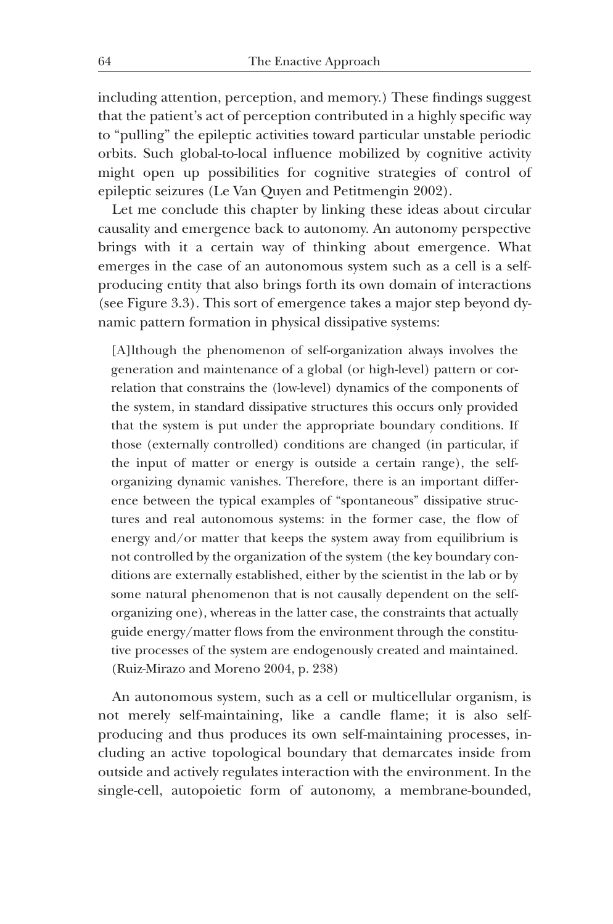including attention, perception, and memory.) These findings suggest that the patient's act of perception contributed in a highly specific way to "pulling" the epileptic activities toward particular unstable periodic orbits. Such global-to-local influence mobilized by cognitive activity might open up possibilities for cognitive strategies of control of epileptic seizures (Le Van Quyen and Petitmengin 2002).

Let me conclude this chapter by linking these ideas about circular causality and emergence back to autonomy. An autonomy perspective brings with it a certain way of thinking about emergence. What emerges in the case of an autonomous system such as a cell is a selfproducing entity that also brings forth its own domain of interactions (see Figure 3.3). This sort of emergence takes a major step beyond dynamic pattern formation in physical dissipative systems:

[A]lthough the phenomenon of self-organization always involves the generation and maintenance of a global (or high-level) pattern or correlation that constrains the (low-level) dynamics of the components of the system, in standard dissipative structures this occurs only provided that the system is put under the appropriate boundary conditions. If those (externally controlled) conditions are changed (in particular, if the input of matter or energy is outside a certain range), the selforganizing dynamic vanishes. Therefore, there is an important difference between the typical examples of "spontaneous" dissipative structures and real autonomous systems: in the former case, the flow of energy and/or matter that keeps the system away from equilibrium is not controlled by the organization of the system (the key boundary conditions are externally established, either by the scientist in the lab or by some natural phenomenon that is not causally dependent on the selforganizing one), whereas in the latter case, the constraints that actually guide energy/matter flows from the environment through the constitutive processes of the system are endogenously created and maintained. (Ruiz-Mirazo and Moreno 2004, p. 238)

An autonomous system, such as a cell or multicellular organism, is not merely self-maintaining, like a candle flame; it is also selfproducing and thus produces its own self-maintaining processes, including an active topological boundary that demarcates inside from outside and actively regulates interaction with the environment. In the single-cell, autopoietic form of autonomy, a membrane-bounded,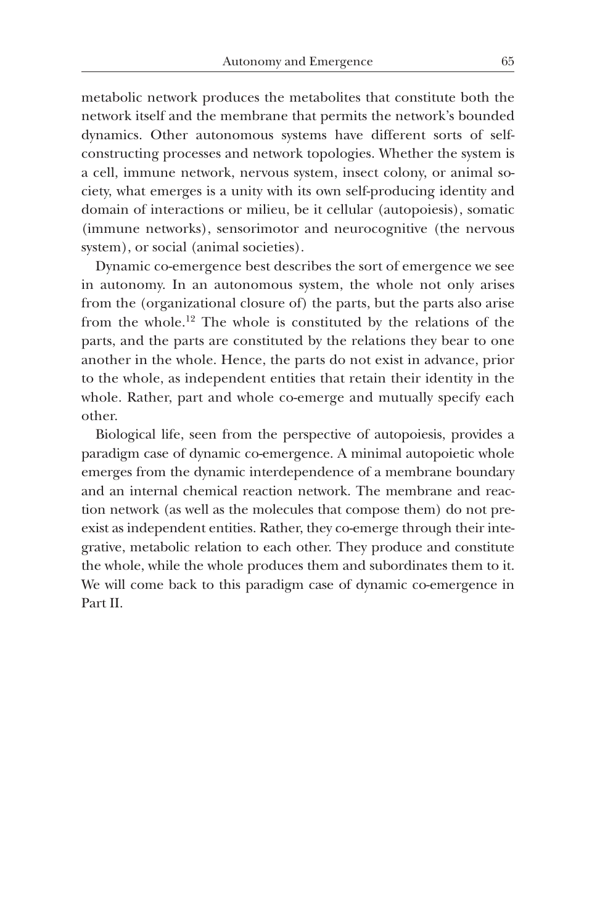metabolic network produces the metabolites that constitute both the network itself and the membrane that permits the network's bounded dynamics. Other autonomous systems have different sorts of selfconstructing processes and network topologies. Whether the system is a cell, immune network, nervous system, insect colony, or animal society, what emerges is a unity with its own self-producing identity and domain of interactions or milieu, be it cellular (autopoiesis), somatic (immune networks), sensorimotor and neurocognitive (the nervous system), or social (animal societies).

Dynamic co-emergence best describes the sort of emergence we see in autonomy. In an autonomous system, the whole not only arises from the (organizational closure of) the parts, but the parts also arise from the whole.12 The whole is constituted by the relations of the parts, and the parts are constituted by the relations they bear to one another in the whole. Hence, the parts do not exist in advance, prior to the whole, as independent entities that retain their identity in the whole. Rather, part and whole co-emerge and mutually specify each other.

Biological life, seen from the perspective of autopoiesis, provides a paradigm case of dynamic co-emergence. A minimal autopoietic whole emerges from the dynamic interdependence of a membrane boundary and an internal chemical reaction network. The membrane and reaction network (as well as the molecules that compose them) do not preexist as independent entities. Rather, they co-emerge through their integrative, metabolic relation to each other. They produce and constitute the whole, while the whole produces them and subordinates them to it. We will come back to this paradigm case of dynamic co-emergence in Part II.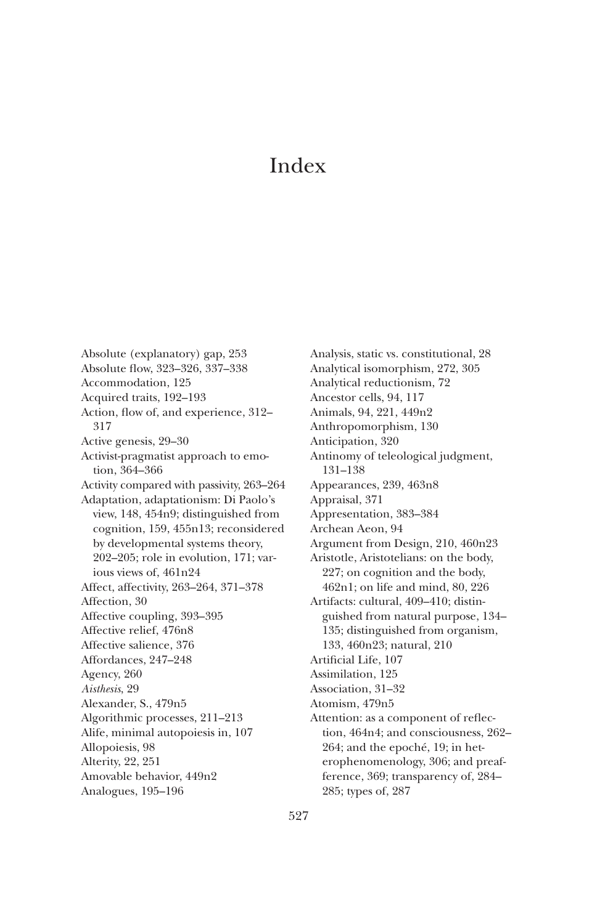## Index

Absolute (explanatory) gap, 253 Absolute flow, 323–326, 337–338 Accommodation, 125 Acquired traits, 192–193 Action, flow of, and experience, 312– 317 Active genesis, 29–30 Activist-pragmatist approach to emotion, 364–366 Activity compared with passivity, 263–264 Adaptation, adaptationism: Di Paolo's view, 148, 454n9; distinguished from cognition, 159, 455n13; reconsidered by developmental systems theory, 202–205; role in evolution, 171; various views of, 461n24 Affect, affectivity, 263–264, 371–378 Affection, 30 Affective coupling, 393–395 Affective relief, 476n8 Affective salience, 376 Affordances, 247–248 Agency, 260 *Aisthesis*, 29 Alexander, S., 479n5 Algorithmic processes, 211–213 Alife, minimal autopoiesis in, 107 Allopoiesis, 98 Alterity, 22, 251 Amovable behavior, 449n2 Analogues, 195–196

Analysis, static vs. constitutional, 28 Analytical isomorphism, 272, 305 Analytical reductionism, 72 Ancestor cells, 94, 117 Animals, 94, 221, 449n2 Anthropomorphism, 130 Anticipation, 320 Antinomy of teleological judgment, 131–138 Appearances, 239, 463n8 Appraisal, 371 Appresentation, 383–384 Archean Aeon, 94 Argument from Design, 210, 460n23 Aristotle, Aristotelians: on the body, 227; on cognition and the body, 462n1; on life and mind, 80, 226 Artifacts: cultural, 409–410; distinguished from natural purpose, 134– 135; distinguished from organism, 133, 460n23; natural, 210 Artificial Life, 107 Assimilation, 125 Association, 31–32 Atomism, 479n5 Attention: as a component of reflection, 464n4; and consciousness, 262– 264; and the epoché, 19; in heterophenomenology, 306; and preafference, 369; transparency of, 284– 285; types of, 287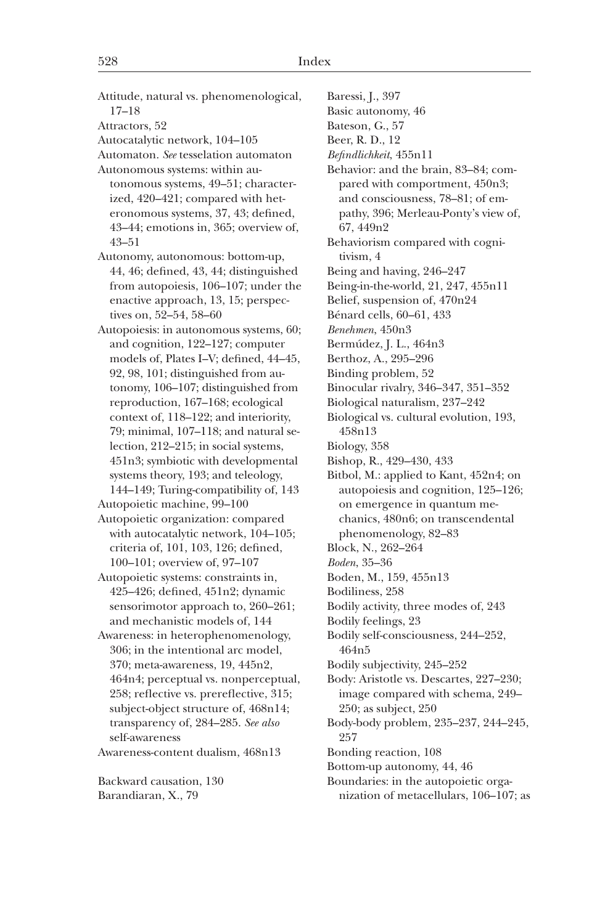Baressi, J., 397

| Attitude, natural vs. phenomenological, |
|-----------------------------------------|
| $17 - 18$                               |
| Attractors, 52                          |
| Autocatalytic network, 104-105          |
| Automaton. See tesselation automaton    |
| Autonomous systems: within au-          |
| tonomous systems, 49-51; character-     |
| ized, 420-421; compared with het-       |
| eronomous systems, 37, 43; defined,     |
| 43-44; emotions in, 365; overview of,   |
| $43 - 51$                               |
| Autonomy, autonomous: bottom-up,        |
| 44, 46; defined, 43, 44; distinguished  |
| from autopoiesis, 106-107; under the    |
| enactive approach, 13, 15; perspec-     |
| tives on, 52-54, 58-60                  |
| Autopoiesis: in autonomous systems, 60; |
| and cognition, 122-127; computer        |
| models of, Plates I-V; defined, 44-45,  |
| 92, 98, 101; distinguished from au-     |
| tonomy, 106-107; distinguished from     |
| reproduction, 167-168; ecological       |
| context of, 118-122; and interiority,   |
| 79; minimal, 107-118; and natural se-   |
| lection, 212-215; in social systems,    |
| 451n3; symbiotic with developmental     |
| systems theory, 193; and teleology,     |
| 144-149; Turing-compatibility of, 143   |
| Autopoietic machine, 99-100             |
| Autopoietic organization: compared      |
| with autocatalytic network, 104-105;    |
| criteria of, 101, 103, 126; defined,    |
| 100-101; overview of, 97-107            |
| Autopoietic systems: constraints in,    |
| 425-426; defined, 451n2; dynamic        |
| sensorimotor approach to, 260-261;      |
| and mechanistic models of, 144          |
| Awareness: in heterophenomenology,      |
| 306; in the intentional arc model,      |
| 370; meta-awareness, 19, 445n2,         |
| 464n4; perceptual vs. nonperceptual,    |
| 258; reflective vs. prereflective, 315; |
| subject-object structure of, 468n14;    |
| transparency of, 284-285. See also      |
| self-awareness                          |
| Awareness-content dualism, 468n13       |

Backward causation, 130 Barandiaran, X., 79

Basic autonomy, 46 Bateson, G., 57 Beer, R. D., 12 *Befindlichkeit*, 455n11 Behavior: and the brain, 83–84; compared with comportment, 450n3; and consciousness, 78–81; of empathy, 396; Merleau-Ponty's view of, 67, 449n2 Behaviorism compared with cognitivism, 4 Being and having, 246–247 Being-in-the-world, 21, 247, 455n11 Belief, suspension of, 470n24 Bénard cells, 60–61, 433 *Benehmen*, 450n3 Bermúdez, J. L., 464n3 Berthoz, A., 295–296 Binding problem, 52 Binocular rivalry, 346–347, 351–352 Biological naturalism, 237–242 Biological vs. cultural evolution, 193, 458n13 Biology, 358 Bishop, R., 429–430, 433 Bitbol, M.: applied to Kant, 452n4; on autopoiesis and cognition, 125–126; on emergence in quantum mechanics, 480n6; on transcendental phenomenology, 82–83 Block, N., 262–264 *Boden*, 35–36 Boden, M., 159, 455n13 Bodiliness, 258 Bodily activity, three modes of, 243 Bodily feelings, 23 Bodily self-consciousness, 244–252, 464n5 Bodily subjectivity, 245–252 Body: Aristotle vs. Descartes, 227–230; image compared with schema, 249– 250; as subject, 250 Body-body problem, 235–237, 244–245, 957 Bonding reaction, 108 Bottom-up autonomy, 44, 46 Boundaries: in the autopoietic organization of metacellulars, 106–107; as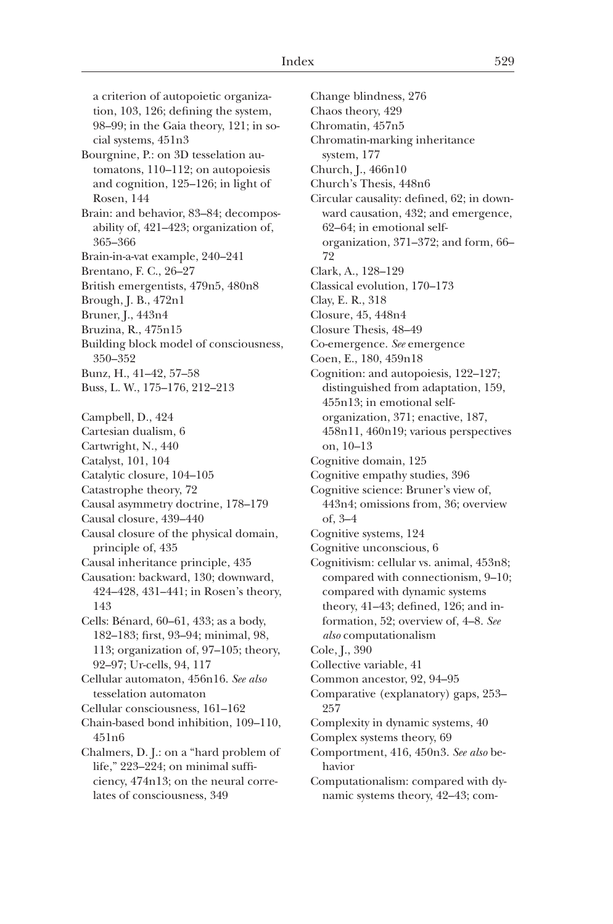a criterion of autopoietic organization, 103, 126; defining the system, 98–99; in the Gaia theory, 121; in social systems, 451n3 Bourgnine, P.: on 3D tesselation automatons, 110–112; on autopoiesis and cognition, 125–126; in light of Rosen, 144 Brain: and behavior, 83–84; decomposability of, 421–423; organization of, 365–366 Brain-in-a-vat example, 240–241 Brentano, F. C., 26–27 British emergentists, 479n5, 480n8 Brough, J. B., 472n1 Bruner, J., 443n4 Bruzina, R., 475n15 Building block model of consciousness, 350–352 Bunz, H., 41–42, 57–58 Buss, L. W., 175–176, 212–213 Campbell, D., 424 Cartesian dualism, 6 Cartwright, N., 440 Catalyst, 101, 104 Catalytic closure, 104–105 Catastrophe theory, 72 Causal asymmetry doctrine, 178–179 Causal closure, 439–440 Causal closure of the physical domain, principle of, 435 Causal inheritance principle, 435 Causation: backward, 130; downward, 424–428, 431–441; in Rosen's theory, 143 Cells: Bénard, 60–61, 433; as a body, 182–183; first, 93–94; minimal, 98, 113; organization of, 97–105; theory, 92–97; Ur-cells, 94, 117 Cellular automaton, 456n16. *See also* tesselation automaton Cellular consciousness, 161–162 Chain-based bond inhibition, 109–110, 451n6 Chalmers, D. J.: on a "hard problem of life," 223–224; on minimal sufficiency, 474n13; on the neural correlates of consciousness, 349

Change blindness, 276 Chaos theory, 429 Chromatin, 457n5 Chromatin-marking inheritance system, 177 Church, J., 466n10 Church's Thesis, 448n6 Circular causality: defined, 62; in downward causation, 432; and emergence, 62–64; in emotional selforganization, 371–372; and form, 66– 72 Clark, A., 128–129 Classical evolution, 170–173 Clay, E. R., 318 Closure, 45, 448n4 Closure Thesis, 48–49 Co-emergence. *See* emergence Coen, E., 180, 459n18 Cognition: and autopoiesis, 122–127; distinguished from adaptation, 159, 455n13; in emotional selforganization, 371; enactive, 187, 458n11, 460n19; various perspectives on, 10–13 Cognitive domain, 125 Cognitive empathy studies, 396 Cognitive science: Bruner's view of, 443n4; omissions from, 36; overview of, 3–4 Cognitive systems, 124 Cognitive unconscious, 6 Cognitivism: cellular vs. animal, 453n8; compared with connectionism, 9–10; compared with dynamic systems theory, 41–43; defined, 126; and information, 52; overview of, 4–8. *See also* computationalism Cole, J., 390 Collective variable, 41 Common ancestor, 92, 94–95 Comparative (explanatory) gaps, 253– 257 Complexity in dynamic systems, 40 Complex systems theory, 69 Comportment, 416, 450n3. *See also* behavior Computationalism: compared with dynamic systems theory, 42–43; com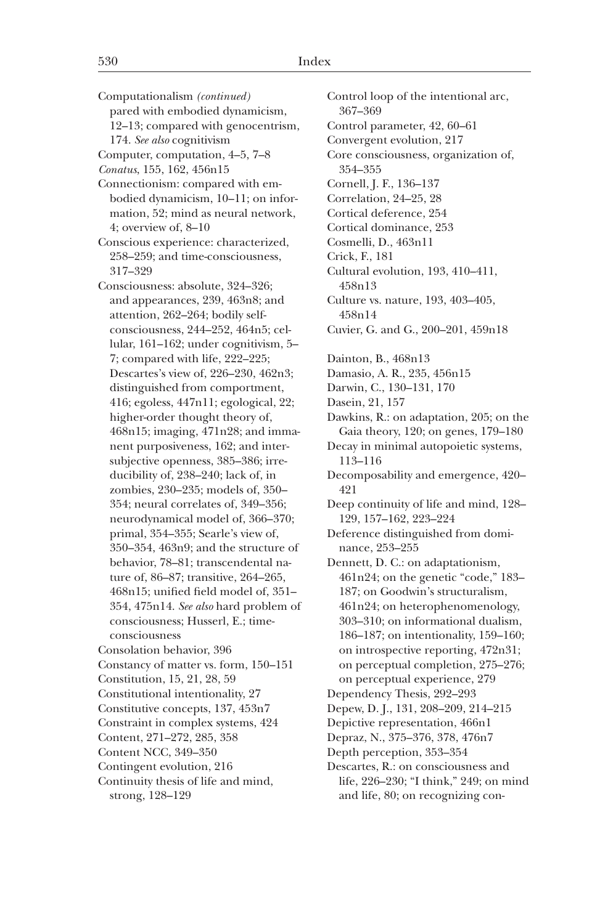Computationalism *(continued)* pared with embodied dynamicism, 12–13; compared with genocentrism, 174. *See also* cognitivism Computer, computation, 4–5, 7–8 *Conatus*, 155, 162, 456n15 Connectionism: compared with embodied dynamicism, 10–11; on information, 52; mind as neural network, 4; overview of, 8–10 Conscious experience: characterized, 258–259; and time-consciousness, 317–329 Consciousness: absolute, 324–326; and appearances, 239, 463n8; and attention, 262–264; bodily selfconsciousness, 244–252, 464n5; cellular, 161–162; under cognitivism, 5– 7; compared with life, 222–225; Descartes's view of, 226–230, 462n3; distinguished from comportment, 416; egoless, 447n11; egological, 22; higher-order thought theory of, 468n15; imaging, 471n28; and immanent purposiveness, 162; and intersubjective openness, 385–386; irreducibility of, 238–240; lack of, in zombies, 230–235; models of, 350– 354; neural correlates of, 349–356; neurodynamical model of, 366–370; primal, 354–355; Searle's view of, 350–354, 463n9; and the structure of behavior, 78–81; transcendental nature of, 86–87; transitive, 264–265, 468n15; unified field model of, 351– 354, 475n14. *See also* hard problem of consciousness; Husserl, E.; timeconsciousness Consolation behavior, 396 Constancy of matter vs. form, 150–151 Constitution, 15, 21, 28, 59 Constitutional intentionality, 27 Constitutive concepts, 137, 453n7 Constraint in complex systems, 424 Content, 271–272, 285, 358 Content NCC, 349–350 Contingent evolution, 216 Continuity thesis of life and mind, strong, 128–129

Control loop of the intentional arc, 367–369 Control parameter, 42, 60–61 Convergent evolution, 217 Core consciousness, organization of, 354–355 Cornell, J. F., 136–137 Correlation, 24–25, 28 Cortical deference, 254 Cortical dominance, 253 Cosmelli, D., 463n11 Crick, F., 181 Cultural evolution, 193, 410–411, 458n13 Culture vs. nature, 193, 403–405, 458n14 Cuvier, G. and G., 200–201, 459n18 Dainton, B., 468n13 Damasio, A. R., 235, 456n15 Darwin, C., 130–131, 170 Dasein, 21, 157 Dawkins, R.: on adaptation, 205; on the Gaia theory, 120; on genes, 179–180 Decay in minimal autopoietic systems, 113–116 Decomposability and emergence, 420– 421 Deep continuity of life and mind, 128– 129, 157–162, 223–224 Deference distinguished from dominance, 253–255 Dennett, D. C.: on adaptationism, 461n24; on the genetic "code," 183– 187; on Goodwin's structuralism, 461n24; on heterophenomenology, 303–310; on informational dualism, 186–187; on intentionality, 159–160; on introspective reporting, 472n31; on perceptual completion, 275–276; on perceptual experience, 279 Dependency Thesis, 292–293 Depew, D. J., 131, 208–209, 214–215 Depictive representation, 466n1 Depraz, N., 375–376, 378, 476n7 Depth perception, 353–354 Descartes, R.: on consciousness and life, 226–230; "I think," 249; on mind and life, 80; on recognizing con-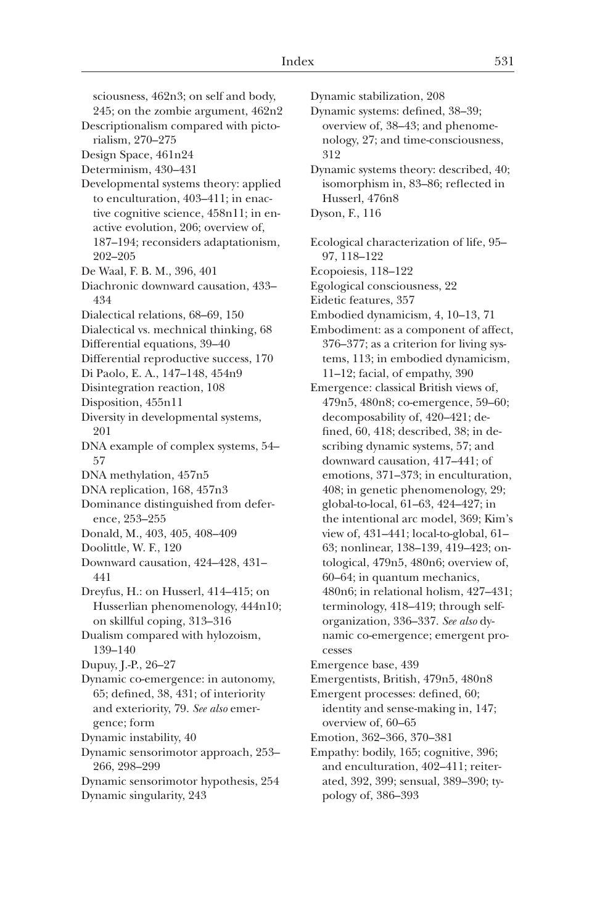sciousness, 462n3; on self and body, 245; on the zombie argument, 462n2 Descriptionalism compared with pictorialism, 270–275 Design Space, 461n24 Determinism, 430–431 Developmental systems theory: applied to enculturation, 403–411; in enactive cognitive science, 458n11; in enactive evolution, 206; overview of, 187–194; reconsiders adaptationism, 202–205 De Waal, F. B. M., 396, 401 Diachronic downward causation, 433– 434 Dialectical relations, 68–69, 150 Dialectical vs. mechnical thinking, 68 Differential equations, 39–40 Differential reproductive success, 170 Di Paolo, E. A., 147–148, 454n9 Disintegration reaction, 108 Disposition, 455n11 Diversity in developmental systems, 201 DNA example of complex systems, 54–  $57$ DNA methylation, 457n5 DNA replication, 168, 457n3 Dominance distinguished from deference, 253–255 Donald, M., 403, 405, 408–409 Doolittle, W. F., 120 Downward causation, 424–428, 431– 441 Dreyfus, H.: on Husserl, 414–415; on Husserlian phenomenology, 444n10; on skillful coping, 313–316 Dualism compared with hylozoism, 139–140 Dupuy, J.-P., 26–27 Dynamic co-emergence: in autonomy, 65; defined, 38, 431; of interiority and exteriority, 79. *See also* emergence; form Dynamic instability, 40 Dynamic sensorimotor approach, 253– 266, 298–299 Dynamic sensorimotor hypothesis, 254 Dynamic singularity, 243

Dynamic stabilization, 208 Dynamic systems: defined, 38–39; overview of, 38–43; and phenomenology, 27; and time-consciousness, 312 Dynamic systems theory: described, 40; isomorphism in, 83–86; reflected in Husserl, 476n8 Dyson, F., 116

- Ecological characterization of life, 95– 97, 118–122
- Ecopoiesis, 118–122
- Egological consciousness, 22
- Eidetic features, 357
- Embodied dynamicism, 4, 10–13, 71

Embodiment: as a component of affect, 376–377; as a criterion for living systems, 113; in embodied dynamicism, 11–12; facial, of empathy, 390

- Emergence: classical British views of, 479n5, 480n8; co-emergence, 59–60; decomposability of, 420–421; defined, 60, 418; described, 38; in describing dynamic systems, 57; and downward causation, 417–441; of emotions, 371–373; in enculturation, 408; in genetic phenomenology, 29; global-to-local, 61–63, 424–427; in the intentional arc model, 369; Kim's view of, 431–441; local-to-global, 61– 63; nonlinear, 138–139, 419–423; ontological, 479n5, 480n6; overview of, 60–64; in quantum mechanics, 480n6; in relational holism, 427–431; terminology, 418–419; through selforganization, 336–337. *See also* dynamic co-emergence; emergent processes
- Emergence base, 439
- Emergentists, British, 479n5, 480n8
- Emergent processes: defined, 60; identity and sense-making in, 147; overview of, 60–65
- Emotion, 362–366, 370–381
- Empathy: bodily, 165; cognitive, 396; and enculturation, 402–411; reiterated, 392, 399; sensual, 389–390; typology of, 386–393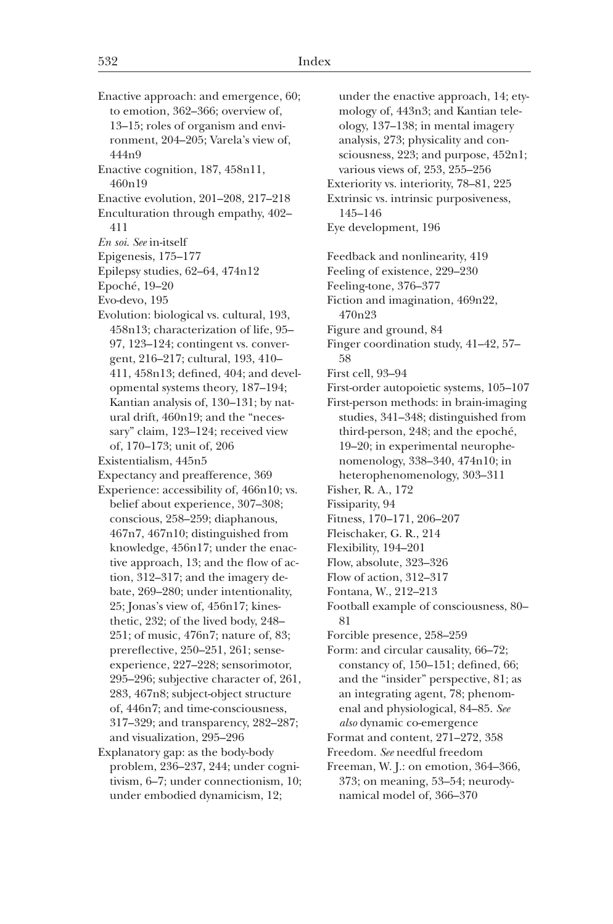Enactive approach: and emergence, 60; to emotion, 362–366; overview of, 13–15; roles of organism and environment, 204–205; Varela's view of, 444n9 Enactive cognition, 187, 458n11, 460n19 Enactive evolution, 201–208, 217–218 Enculturation through empathy, 402– 411 *En soi*. *See* in-itself Epigenesis, 175–177 Epilepsy studies, 62–64, 474n12 Epoché, 19–20 Evo-devo, 195 Evolution: biological vs. cultural, 193, 458n13; characterization of life, 95– 97, 123–124; contingent vs. convergent, 216–217; cultural, 193, 410– 411, 458n13; defined, 404; and developmental systems theory, 187–194; Kantian analysis of, 130–131; by natural drift, 460n19; and the "necessary" claim, 123–124; received view of, 170–173; unit of, 206 Existentialism, 445n5 Expectancy and preafference, 369 Experience: accessibility of, 466n10; vs. belief about experience, 307–308; conscious, 258–259; diaphanous, 467n7, 467n10; distinguished from knowledge, 456n17; under the enactive approach, 13; and the flow of action, 312–317; and the imagery debate, 269–280; under intentionality, 25; Jonas's view of, 456n17; kinesthetic, 232; of the lived body, 248– 251; of music, 476n7; nature of, 83; prereflective, 250–251, 261; senseexperience, 227–228; sensorimotor, 295–296; subjective character of, 261, 283, 467n8; subject-object structure of, 446n7; and time-consciousness, 317–329; and transparency, 282–287; and visualization, 295–296

Explanatory gap: as the body-body problem, 236–237, 244; under cognitivism, 6–7; under connectionism, 10; under embodied dynamicism, 12;

under the enactive approach, 14; etymology of, 443n3; and Kantian teleology, 137–138; in mental imagery analysis, 273; physicality and consciousness, 223; and purpose, 452n1; various views of, 253, 255–256 Exteriority vs. interiority, 78–81, 225 Extrinsic vs. intrinsic purposiveness, 145–146 Eye development, 196 Feedback and nonlinearity, 419 Feeling of existence, 229–230 Feeling-tone, 376–377 Fiction and imagination, 469n22, 470n23 Figure and ground, 84 Finger coordination study, 41–42, 57– 58 First cell, 93–94 First-order autopoietic systems, 105–107 First-person methods: in brain-imaging studies, 341–348; distinguished from third-person, 248; and the epoché, 19–20; in experimental neurophenomenology, 338–340, 474n10; in heterophenomenology, 303–311 Fisher, R. A., 172 Fissiparity, 94 Fitness, 170–171, 206–207 Fleischaker, G. R., 214 Flexibility, 194–201 Flow, absolute, 323–326 Flow of action, 312–317 Fontana, W., 212–213 Football example of consciousness, 80– 81 Forcible presence, 258–259 Form: and circular causality, 66–72; constancy of, 150–151; defined, 66; and the "insider" perspective, 81; as an integrating agent, 78; phenomenal and physiological, 84–85. *See also* dynamic co-emergence Format and content, 271–272, 358 Freedom. *See* needful freedom Freeman, W. J.: on emotion, 364–366, 373; on meaning, 53–54; neurodynamical model of, 366–370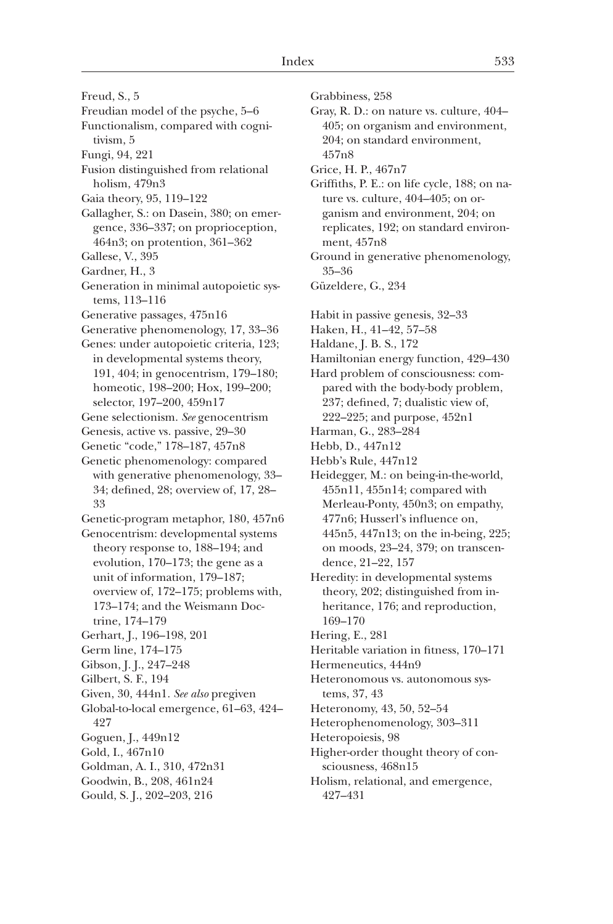Freud, S., 5 Freudian model of the psyche, 5–6 Functionalism, compared with cognitivism, 5 Fungi, 94, 221 Fusion distinguished from relational holism, 479n3 Gaia theory, 95, 119–122 Gallagher, S.: on Dasein, 380; on emergence, 336–337; on proprioception, 464n3; on protention, 361–362 Gallese, V., 395 Gardner, H., 3 Generation in minimal autopoietic systems, 113–116 Generative passages, 475n16 Generative phenomenology, 17, 33–36 Genes: under autopoietic criteria, 123; in developmental systems theory, 191, 404; in genocentrism, 179–180; homeotic, 198–200; Hox, 199–200; selector, 197–200, 459n17 Gene selectionism. *See* genocentrism Genesis, active vs. passive, 29–30 Genetic "code," 178–187, 457n8 Genetic phenomenology: compared with generative phenomenology, 33– 34; defined, 28; overview of, 17, 28– 33 Genetic-program metaphor, 180, 457n6 Genocentrism: developmental systems theory response to, 188–194; and evolution, 170–173; the gene as a unit of information, 179–187; overview of, 172–175; problems with, 173–174; and the Weismann Doctrine, 174–179 Gerhart, J., 196–198, 201 Germ line, 174–175 Gibson, J. J., 247–248 Gilbert, S. F., 194 Given, 30, 444n1. *See also* pregiven Global-to-local emergence, 61–63, 424– 427 Goguen, J., 449n12 Gold, I., 467n10 Goldman, A. I., 310, 472n31 Goodwin, B., 208, 461n24 Gould, S. J., 202–203, 216

Grabbiness, 258

- Gray, R. D.: on nature vs. culture, 404– 405; on organism and environment, 204; on standard environment, 457n8
- Grice, H. P., 467n7

Griffiths, P. E.: on life cycle, 188; on nature vs. culture, 404–405; on organism and environment, 204; on replicates, 192; on standard environment, 457n8

- Ground in generative phenomenology, 35–36
- Güzeldere, G., 234
- Habit in passive genesis, 32–33
- Haken, H., 41–42, 57–58
- Haldane, J. B. S., 172
- Hamiltonian energy function, 429–430
- Hard problem of consciousness: compared with the body-body problem, 237; defined, 7; dualistic view of, 222–225; and purpose, 452n1
- Harman, G., 283–284
- Hebb, D., 447n12
- Hebb's Rule, 447n12
- Heidegger, M.: on being-in-the-world, 455n11, 455n14; compared with Merleau-Ponty, 450n3; on empathy, 477n6; Husserl's influence on, 445n5, 447n13; on the in-being, 225; on moods, 23–24, 379; on transcendence, 21–22, 157
- Heredity: in developmental systems theory, 202; distinguished from inheritance, 176; and reproduction, 169–170
- Hering, E., 281
- Heritable variation in fitness, 170–171
- Hermeneutics, 444n9
- Heteronomous vs. autonomous systems, 37, 43
- Heteronomy, 43, 50, 52–54
- Heterophenomenology, 303–311
- Heteropoiesis, 98
- Higher-order thought theory of consciousness, 468n15
- Holism, relational, and emergence, 427–431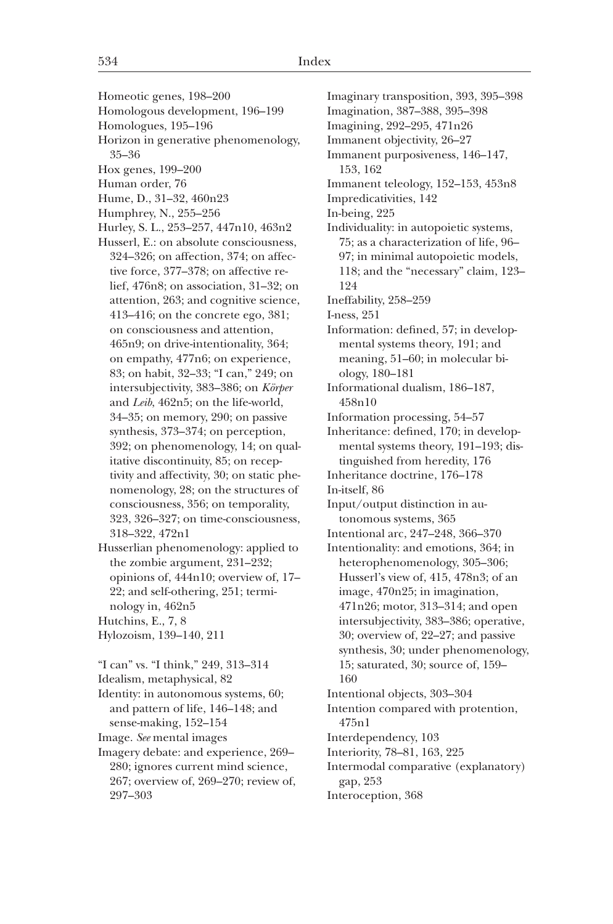- Homeotic genes, 198–200
- Homologous development, 196–199
- Homologues, 195–196
- Horizon in generative phenomenology, 35–36
- Hox genes, 199–200
- Human order, 76
- Hume, D., 31–32, 460n23
- Humphrey, N., 255–256
- Hurley, S. L., 253–257, 447n10, 463n2
- Husserl, E.: on absolute consciousness, 324–326; on affection, 374; on affective force, 377–378; on affective relief, 476n8; on association, 31–32; on attention, 263; and cognitive science, 413–416; on the concrete ego, 381; on consciousness and attention, 465n9; on drive-intentionality, 364; on empathy, 477n6; on experience, 83; on habit, 32–33; "I can," 249; on intersubjectivity, 383–386; on *Körper* and *Leib*, 462n5; on the life-world, 34–35; on memory, 290; on passive synthesis, 373–374; on perception, 392; on phenomenology, 14; on qualitative discontinuity, 85; on receptivity and affectivity, 30; on static phenomenology, 28; on the structures of consciousness, 356; on temporality, 323, 326–327; on time-consciousness, 318–322, 472n1
- Husserlian phenomenology: applied to the zombie argument, 231–232; opinions of, 444n10; overview of, 17– 22; and self-othering, 251; terminology in, 462n5 Hutchins, E., 7, 8
- Hylozoism, 139–140, 211
- "I can" vs. "I think," 249, 313–314 Idealism, metaphysical, 82 Identity: in autonomous systems, 60;
- and pattern of life, 146–148; and sense-making, 152–154
- Image. *See* mental images
- Imagery debate: and experience, 269– 280; ignores current mind science, 267; overview of, 269–270; review of, 297–303

Imaginary transposition, 393, 395–398 Imagination, 387–388, 395–398 Imagining, 292–295, 471n26 Immanent objectivity, 26–27 Immanent purposiveness, 146–147, 153, 162 Immanent teleology, 152–153, 453n8 Impredicativities, 142 In-being, 225 Individuality: in autopoietic systems, 75; as a characterization of life, 96– 97; in minimal autopoietic models, 118; and the "necessary" claim, 123– 124 Ineffability, 258–259 I-ness, 251 Information: defined, 57; in developmental systems theory, 191; and meaning, 51–60; in molecular biology, 180–181 Informational dualism, 186–187, 458n10 Information processing, 54–57 Inheritance: defined, 170; in developmental systems theory, 191–193; distinguished from heredity, 176 Inheritance doctrine, 176–178 In-itself, 86 Input/output distinction in autonomous systems, 365 Intentional arc, 247–248, 366–370 Intentionality: and emotions, 364; in heterophenomenology, 305–306; Husserl's view of, 415, 478n3; of an image, 470n25; in imagination, 471n26; motor, 313–314; and open intersubjectivity, 383–386; operative, 30; overview of, 22–27; and passive synthesis, 30; under phenomenology, 15; saturated, 30; source of, 159– 160 Intentional objects, 303–304 Intention compared with protention, 475n1 Interdependency, 103 Interiority, 78–81, 163, 225 Intermodal comparative (explanatory) gap, 253 Interoception, 368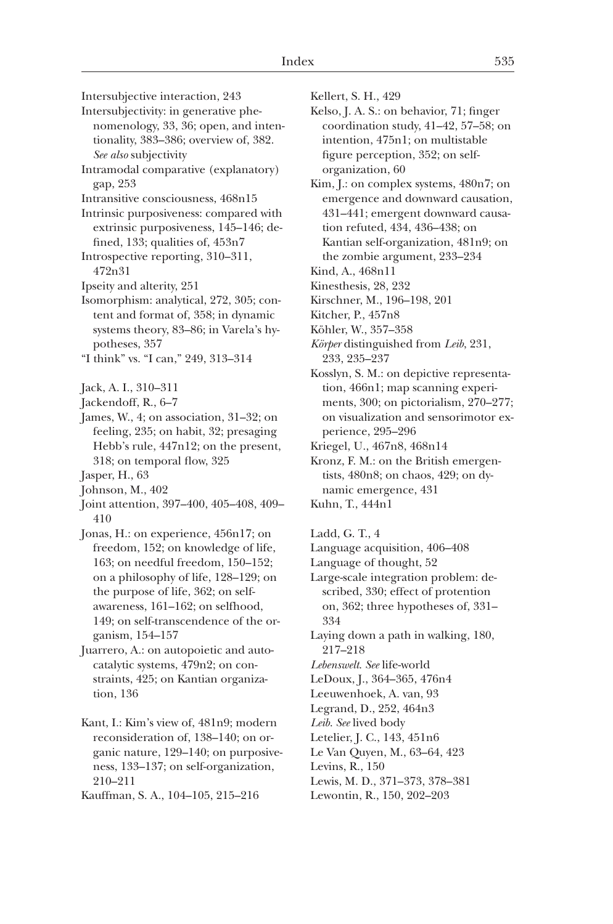- Intersubjective interaction, 243
- Intersubjectivity: in generative phenomenology, 33, 36; open, and intentionality, 383–386; overview of, 382. *See also* subjectivity
- Intramodal comparative (explanatory) gap, 253
- Intransitive consciousness, 468n15
- Intrinsic purposiveness: compared with extrinsic purposiveness, 145–146; defined, 133; qualities of, 453n7
- Introspective reporting, 310–311, 472n31
- Ipseity and alterity, 251
- Isomorphism: analytical, 272, 305; content and format of, 358; in dynamic systems theory, 83–86; in Varela's hypotheses, 357
- "I think" vs. "I can," 249, 313–314
- Jack, A. I., 310–311
- Jackendoff, R., 6–7
- James, W., 4; on association, 31–32; on feeling, 235; on habit, 32; presaging Hebb's rule, 447n12; on the present, 318; on temporal flow, 325
- Jasper, H., 63
- Johnson, M., 402
- Joint attention, 397–400, 405–408, 409– 410
- Jonas, H.: on experience, 456n17; on freedom, 152; on knowledge of life, 163; on needful freedom, 150–152; on a philosophy of life, 128–129; on the purpose of life, 362; on selfawareness, 161–162; on selfhood, 149; on self-transcendence of the organism, 154–157
- Juarrero, A.: on autopoietic and autocatalytic systems, 479n2; on constraints, 425; on Kantian organization, 136
- Kant, I.: Kim's view of, 481n9; modern reconsideration of, 138–140; on organic nature, 129–140; on purposiveness, 133–137; on self-organization, 210–211
- Kauffman, S. A., 104–105, 215–216

Kellert, S. H., 429

- Kelso, J. A. S.: on behavior, 71; finger coordination study, 41–42, 57–58; on intention, 475n1; on multistable figure perception, 352; on selforganization, 60
- Kim, J.: on complex systems, 480n7; on emergence and downward causation, 431–441; emergent downward causation refuted, 434, 436–438; on Kantian self-organization, 481n9; on the zombie argument, 233–234
- Kind, A., 468n11
- Kinesthesis, 28, 232
- Kirschner, M., 196–198, 201
- Kitcher, P., 457n8
- Köhler, W., 357–358
- *Körper* distinguished from *Leib*, 231, 233, 235–237
- Kosslyn, S. M.: on depictive representation, 466n1; map scanning experiments, 300; on pictorialism, 270–277; on visualization and sensorimotor experience, 295–296
- Kriegel, U., 467n8, 468n14

Kronz, F. M.: on the British emergentists, 480n8; on chaos, 429; on dynamic emergence, 431

- Kuhn, T., 444n1
- Ladd, G. T., 4
- Language acquisition, 406–408
- Language of thought, 52

Large-scale integration problem: described, 330; effect of protention on, 362; three hypotheses of, 331– 334

- Laying down a path in walking, 180, 217–218
- *Lebenswelt*. *See* life-world
- LeDoux, J., 364–365, 476n4
- Leeuwenhoek, A. van, 93
- Legrand, D., 252, 464n3
- *Leib*. *See* lived body
- Letelier, J. C., 143, 451n6
- Le Van Quyen, M., 63–64, 423
- Levins, R., 150
- Lewis, M. D., 371–373, 378–381
- Lewontin, R., 150, 202–203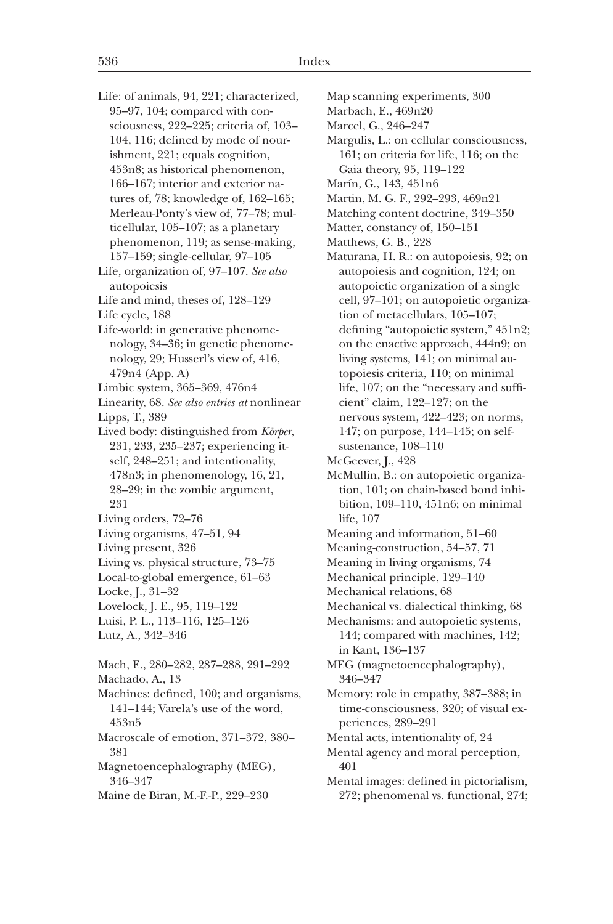| Life: of animals, 94, 221; characterized,<br>95-97, 104; compared with con-<br>sciousness, 222-225; criteria of, 103-<br>104, 116; defined by mode of nour-<br>ishment, 221; equals cognition,<br>453n8; as historical phenomenon,<br>166-167; interior and exterior na-<br>tures of, 78; knowledge of, 162-165;<br>Merleau-Ponty's view of, 77-78; mul-<br>ticellular, 105-107; as a planetary<br>phenomenon, 119; as sense-making,<br>157-159; single-cellular, 97-105 |
|--------------------------------------------------------------------------------------------------------------------------------------------------------------------------------------------------------------------------------------------------------------------------------------------------------------------------------------------------------------------------------------------------------------------------------------------------------------------------|
| Life, organization of, 97-107. See also                                                                                                                                                                                                                                                                                                                                                                                                                                  |
| autopoiesis                                                                                                                                                                                                                                                                                                                                                                                                                                                              |
| Life and mind, theses of, 128-129                                                                                                                                                                                                                                                                                                                                                                                                                                        |
| Life cycle, 188                                                                                                                                                                                                                                                                                                                                                                                                                                                          |
| Life-world: in generative phenome-                                                                                                                                                                                                                                                                                                                                                                                                                                       |
| nology, 34-36; in genetic phenome-                                                                                                                                                                                                                                                                                                                                                                                                                                       |
| nology, 29; Husserl's view of, 416,                                                                                                                                                                                                                                                                                                                                                                                                                                      |
| 479n4 (App. A)                                                                                                                                                                                                                                                                                                                                                                                                                                                           |
| Limbic system, 365-369, 476n4<br>Linearity, 68. See also entries at nonlinear                                                                                                                                                                                                                                                                                                                                                                                            |
|                                                                                                                                                                                                                                                                                                                                                                                                                                                                          |
| Lipps, T., 389<br>Lived body: distinguished from Körper,                                                                                                                                                                                                                                                                                                                                                                                                                 |
| 231, 233, 235-237; experiencing it-                                                                                                                                                                                                                                                                                                                                                                                                                                      |
| self, 248-251; and intentionality,                                                                                                                                                                                                                                                                                                                                                                                                                                       |
| 478n3; in phenomenology, 16, 21,                                                                                                                                                                                                                                                                                                                                                                                                                                         |
| 28-29; in the zombie argument,                                                                                                                                                                                                                                                                                                                                                                                                                                           |
| 231                                                                                                                                                                                                                                                                                                                                                                                                                                                                      |
| Living orders, 72-76                                                                                                                                                                                                                                                                                                                                                                                                                                                     |
| Living organisms, 47-51, 94                                                                                                                                                                                                                                                                                                                                                                                                                                              |
| Living present, 326                                                                                                                                                                                                                                                                                                                                                                                                                                                      |
| Living vs. physical structure, 73-75                                                                                                                                                                                                                                                                                                                                                                                                                                     |
| Local-to-global emergence, 61-63                                                                                                                                                                                                                                                                                                                                                                                                                                         |
| Locke, J., 31-32                                                                                                                                                                                                                                                                                                                                                                                                                                                         |
| Lovelock, J. E., 95, 119-122                                                                                                                                                                                                                                                                                                                                                                                                                                             |
| Luisi, P. L., 113-116, 125-126                                                                                                                                                                                                                                                                                                                                                                                                                                           |
| Lutz, A., 342-346                                                                                                                                                                                                                                                                                                                                                                                                                                                        |
| Mach, E., 280-282, 287-288, 291-292                                                                                                                                                                                                                                                                                                                                                                                                                                      |
| Machado, A., 13                                                                                                                                                                                                                                                                                                                                                                                                                                                          |
| Machines: defined, 100; and organisms,                                                                                                                                                                                                                                                                                                                                                                                                                                   |
| 141-144; Varela's use of the word,                                                                                                                                                                                                                                                                                                                                                                                                                                       |
| 453n5                                                                                                                                                                                                                                                                                                                                                                                                                                                                    |
| Macroscale of emotion, 371-372, 380-                                                                                                                                                                                                                                                                                                                                                                                                                                     |
| 381                                                                                                                                                                                                                                                                                                                                                                                                                                                                      |
| Magnetoencephalography (MEG),                                                                                                                                                                                                                                                                                                                                                                                                                                            |
| 346-347                                                                                                                                                                                                                                                                                                                                                                                                                                                                  |

Maine de Biran, M.-F.-P., 229–230

Map scanning experiments, 300

Marbach, E., 469n20

Marcel, G., 246–247

Margulis, L.: on cellular consciousness, 161; on criteria for life, 116; on the Gaia theory, 95, 119–122

Marín, G., 143, 451n6

Martin, M. G. F., 292–293, 469n21

Matching content doctrine, 349–350

Matter, constancy of, 150–151

Matthews, G. B., 228

Maturana, H. R.: on autopoiesis, 92; on autopoiesis and cognition, 124; on autopoietic organization of a single cell, 97–101; on autopoietic organization of metacellulars, 105–107; defining "autopoietic system," 451n2; on the enactive approach, 444n9; on living systems, 141; on minimal autopoiesis criteria, 110; on minimal life, 107; on the "necessary and sufficient" claim, 122–127; on the nervous system, 422–423; on norms, 147; on purpose, 144–145; on selfsustenance, 108–110

McGeever, J., 428

- McMullin, B.: on autopoietic organization, 101; on chain-based bond inhibition, 109–110, 451n6; on minimal life, 107
- Meaning and information, 51–60
- Meaning-construction, 54–57, 71
- Meaning in living organisms, 74
- Mechanical principle, 129–140
- Mechanical relations, 68

Mechanical vs. dialectical thinking, 68

- Mechanisms: and autopoietic systems, 144; compared with machines, 142; in Kant, 136–137
- MEG (magnetoencephalography), 346–347

Memory: role in empathy, 387–388; in time-consciousness, 320; of visual experiences, 289–291

- Mental acts, intentionality of, 24
- Mental agency and moral perception, 401
- Mental images: defined in pictorialism, 272; phenomenal vs. functional, 274;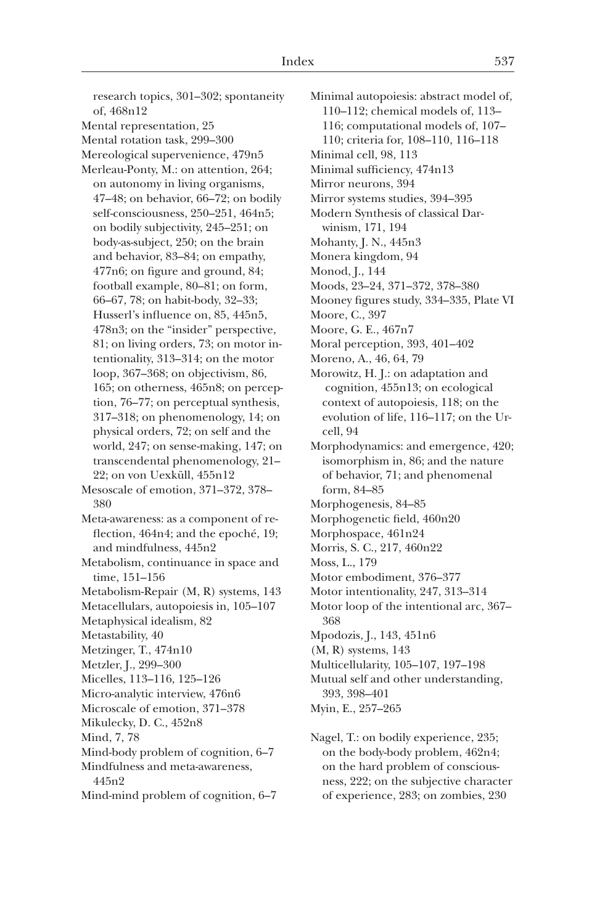research topics, 301–302; spontaneity of, 468n12

Mental representation, 25

- Mental rotation task, 299–300
- Mereological supervenience, 479n5
- Merleau-Ponty, M.: on attention, 264; on autonomy in living organisms, 47–48; on behavior, 66–72; on bodily self-consciousness, 250–251, 464n5; on bodily subjectivity, 245–251; on body-as-subject, 250; on the brain and behavior, 83–84; on empathy, 477n6; on figure and ground, 84; football example, 80–81; on form, 66–67, 78; on habit-body, 32–33; Husserl's influence on, 85, 445n5, 478n3; on the "insider" perspective, 81; on living orders, 73; on motor intentionality, 313–314; on the motor loop, 367–368; on objectivism, 86, 165; on otherness, 465n8; on perception, 76–77; on perceptual synthesis, 317–318; on phenomenology, 14; on physical orders, 72; on self and the world, 247; on sense-making, 147; on transcendental phenomenology, 21– 22; on von Uexküll, 455n12
- Mesoscale of emotion, 371–372, 378– 380
- Meta-awareness: as a component of reflection, 464n4; and the epoché, 19; and mindfulness, 445n2
- Metabolism, continuance in space and time, 151–156
- Metabolism-Repair (M, R) systems, 143
- Metacellulars, autopoiesis in, 105–107
- Metaphysical idealism, 82
- Metastability, 40
- Metzinger, T., 474n10
- Metzler, J., 299–300
- Micelles, 113–116, 125–126
- Micro-analytic interview, 476n6
- Microscale of emotion, 371–378
- Mikulecky, D. C., 452n8
- Mind, 7, 78
- Mind-body problem of cognition, 6–7 Mindfulness and meta-awareness,
- 445n2
- Mind-mind problem of cognition, 6–7

Minimal autopoiesis: abstract model of, 110–112; chemical models of, 113– 116; computational models of, 107– 110; criteria for, 108–110, 116–118

- Minimal cell, 98, 113
- Minimal sufficiency, 474n13
- Mirror neurons, 394
- Mirror systems studies, 394–395
- Modern Synthesis of classical Dar-
- winism, 171, 194
- Mohanty, J. N., 445n3
- Monera kingdom, 94
- Monod, J., 144
- Moods, 23–24, 371–372, 378–380
- Mooney figures study, 334–335, Plate VI
- Moore, C., 397
- Moore, G. E., 467n7
- Moral perception, 393, 401–402
- Moreno, A., 46, 64, 79
- Morowitz, H. J.: on adaptation and cognition, 455n13; on ecological context of autopoiesis, 118; on the evolution of life, 116–117; on the Urcell, 94
- Morphodynamics: and emergence, 420; isomorphism in, 86; and the nature of behavior, 71; and phenomenal form, 84–85
- Morphogenesis, 84–85
- Morphogenetic field, 460n20
- Morphospace, 461n24
- Morris, S. C., 217, 460n22
- Moss, L., 179
- Motor embodiment, 376–377
- Motor intentionality, 247, 313–314
- Motor loop of the intentional arc, 367– 368
- Mpodozis, J., 143, 451n6
- (M, R) systems, 143
- Multicellularity, 105–107, 197–198
- Mutual self and other understanding, 393, 398–401
- Myin, E., 257–265
- Nagel, T.: on bodily experience, 235; on the body-body problem, 462n4; on the hard problem of consciousness, 222; on the subjective character of experience, 283; on zombies, 230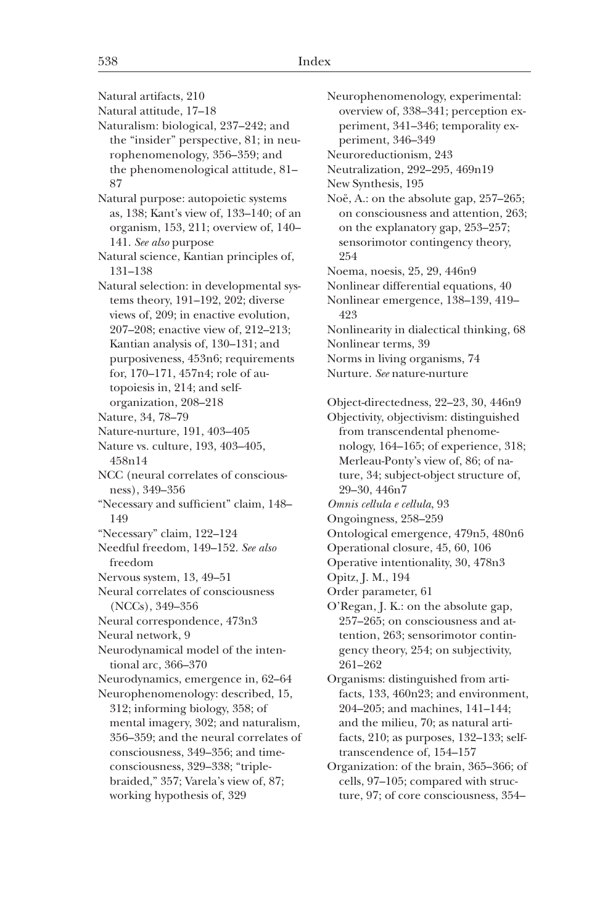Natural artifacts, 210 Natural attitude, 17–18 Naturalism: biological, 237–242; and the "insider" perspective, 81; in neurophenomenology, 356–359; and the phenomenological attitude, 81– 87 Natural purpose: autopoietic systems as, 138; Kant's view of, 133–140; of an organism, 153, 211; overview of, 140– 141. *See also* purpose Natural science, Kantian principles of, 131–138 Natural selection: in developmental systems theory, 191–192, 202; diverse views of, 209; in enactive evolution, 207–208; enactive view of, 212–213; Kantian analysis of, 130–131; and purposiveness, 453n6; requirements for, 170–171, 457n4; role of autopoiesis in, 214; and selforganization, 208–218 Nature, 34, 78–79 Nature-nurture, 191, 403–405 Nature vs. culture, 193, 403–405, 458n14 NCC (neural correlates of consciousness), 349–356 "Necessary and sufficient" claim, 148– 149 "Necessary" claim, 122–124 Needful freedom, 149–152. *See also* freedom Nervous system, 13, 49–51 Neural correlates of consciousness (NCCs), 349–356 Neural correspondence, 473n3 Neural network, 9 Neurodynamical model of the intentional arc, 366–370 Neurodynamics, emergence in, 62–64 Neurophenomenology: described, 15, 312; informing biology, 358; of mental imagery, 302; and naturalism, 356–359; and the neural correlates of consciousness, 349–356; and timeconsciousness, 329–338; "triplebraided," 357; Varela's view of, 87; working hypothesis of, 329

Neurophenomenology, experimental: overview of, 338–341; perception experiment, 341–346; temporality experiment, 346–349 Neuroreductionism, 243 Neutralization, 292–295, 469n19 New Synthesis, 195 Noë, A.: on the absolute gap, 257–265; on consciousness and attention, 263; on the explanatory gap, 253–257; sensorimotor contingency theory, 254 Noema, noesis, 25, 29, 446n9 Nonlinear differential equations, 40 Nonlinear emergence, 138–139, 419– 423 Nonlinearity in dialectical thinking, 68 Nonlinear terms, 39 Norms in living organisms, 74 Nurture. *See* nature-nurture Object-directedness, 22–23, 30, 446n9 Objectivity, objectivism: distinguished from transcendental phenomenology, 164–165; of experience, 318; Merleau-Ponty's view of, 86; of nature, 34; subject-object structure of, 29–30, 446n7 *Omnis cellula e cellula*, 93 Ongoingness, 258–259 Ontological emergence, 479n5, 480n6 Operational closure, 45, 60, 106 Operative intentionality, 30, 478n3 Opitz, J. M., 194 Order parameter, 61 O'Regan, J. K.: on the absolute gap, 257–265; on consciousness and attention, 263; sensorimotor contingency theory, 254; on subjectivity, 261–262 Organisms: distinguished from artifacts, 133, 460n23; and environment, 204–205; and machines, 141–144; and the milieu, 70; as natural artifacts, 210; as purposes, 132–133; selftranscendence of, 154–157

Organization: of the brain, 365–366; of cells, 97–105; compared with structure, 97; of core consciousness, 354–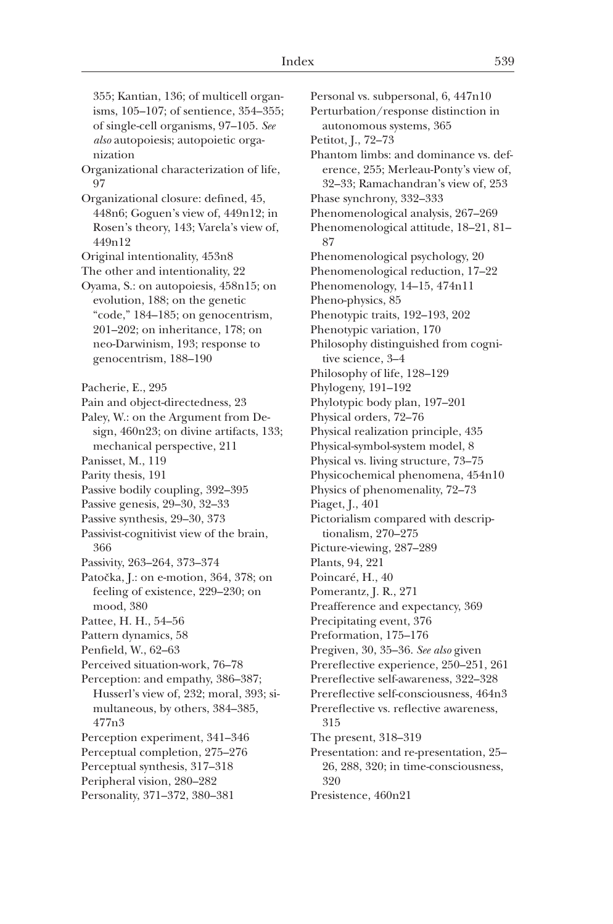| 355; Kantian, 136; of multicell organ-   | Pei            |
|------------------------------------------|----------------|
| isms, 105–107; of sentience, 354–355;    | Pei            |
| of single-cell organisms, 97–105. See    |                |
| also autopoiesis; autopoietic orga-      | Pe             |
| nization                                 | Ph             |
| Organizational characterization of life, | $\epsilon$     |
| 97                                       |                |
| Organizational closure: defined, 45,     | Ph             |
| 448n6; Goguen's view of, 449n12; in      | Ph             |
| Rosen's theory, 143; Varela's view of,   | Ph             |
| 449n12                                   | Ş              |
| Original intentionality, 453n8           | Ph             |
| The other and intentionality, 22         | Ph             |
| Oyama, S.: on autopoiesis, 458n15; on    | Ph             |
| evolution, 188; on the genetic           | Ph             |
| "code," 184-185; on genocentrism,        | Ph             |
| 201–202; on inheritance, 178; on         | Ph             |
| neo-Darwinism, 193; response to          | Ph             |
| genocentrism, 188-190                    | $\mathfrak{t}$ |
|                                          | Ph             |
| Pacherie, E., 295                        | Ph             |
| Pain and object-directedness, 23         | Ph             |
| Paley, W.: on the Argument from De-      | Ph             |
|                                          |                |
| sign, 460n23; on divine artifacts, 133;  | Ph             |
| mechanical perspective, 211              | Ph             |
| Panisset, M., 119                        | Ph             |
| Parity thesis, 191                       | Ph             |
| Passive bodily coupling, 392-395         | Ph             |
| Passive genesis, 29-30, 32-33            | Pia            |
| Passive synthesis, 29–30, 373            | Pic            |
| Passivist-cognitivist view of the brain, | t              |
| 366                                      | Pic            |
| Passivity, 263–264, 373–374              | Pla            |
| Patočka, J.: on e-motion, 364, 378; on   | Po             |
| feeling of existence, 229-230; on        | $P_{O}$        |
| mood, 380                                | Pr             |
| Pattee, H. H., 54–56                     | Pre            |
| Pattern dynamics, 58                     | Pre            |
| Penfield, W., 62–63                      | Pre            |
| Perceived situation-work, 76–78          | Pre            |
| Perception: and empathy, 386–387;        | Pre            |
| Husserl's view of, 232; moral, 393; si-  | Pre            |
| multaneous, by others, 384-385,          | Pre            |
| 477n3                                    |                |
| Perception experiment, 341-346           | Th             |
| Perceptual completion, 275–276           | Pre            |
| Perceptual synthesis, 317-318            |                |
| Peripheral vision, 280-282               |                |

Personality, 371–372, 380–381

rsonal vs. subpersonal, 6, 447n10 rturbation/response distinction in autonomous systems, 365 itot, J., 72–73 antom limbs: and dominance vs. deference, 255; Merleau-Ponty's view of, 32–33; Ramachandran's view of, 253 ase synchrony, 332–333 enomenological analysis, 267–269 enomenological attitude, 18–21, 81– 87 enomenological psychology, 20 enomenological reduction, 17–22  $enomenology, 14–15, 474n11$ eno-physics, 85 enotypic traits, 192–193, 202 enotypic variation, 170 ilosophy distinguished from cognitive science, 3-4 ilosophy of life, 128–129 vlogeny, 191–192 ylotypic body plan, 197–201 ysical orders, 72–76 ysical realization principle, 435 vsical-symbol-system model, 8 Physical vs. living structure, 73–75 ysicochemical phenomena, 454n10 ysics of phenomenality, 72–73 Piaget, J., 401 torialism compared with descriptionalism, 270–275 ture-viewing, 287–289 ints, 94, 221 incaré, H., 40 merantz, J. R., 271 eafference and expectancy, 369 ecipitating event, 376 eformation, 175–176 Pregiven, 30, 35–36. *See also* given ereflective experience, 250–251, 261 ereflective self-awareness, 322-328 ereflective self-consciousness, 464n3 ereflective vs. reflective awareness, 315 ne present, 318–319 esentation: and re-presentation, 25– 26, 288, 320; in time-consciousness, 320

Presistence, 460n21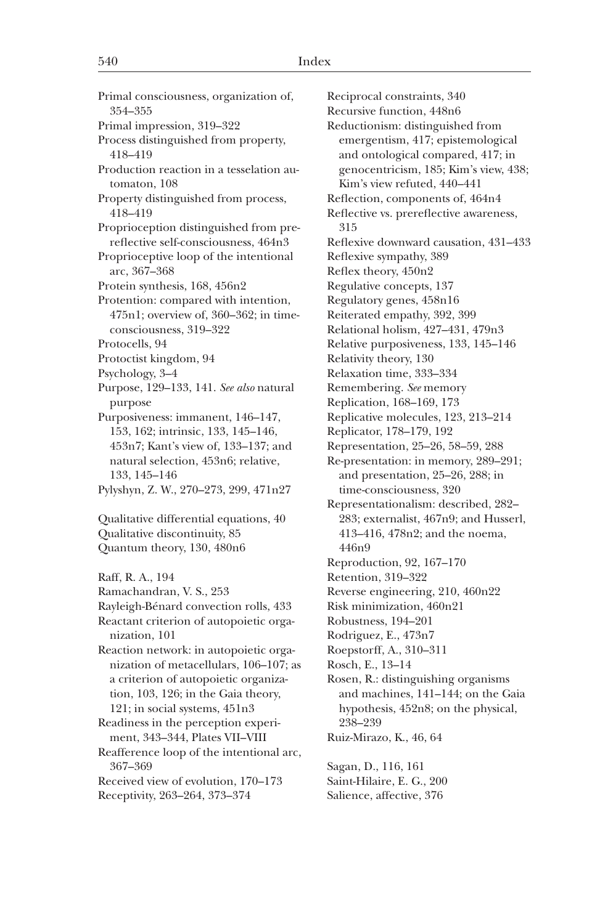Primal consciousness, organization of, 354–355 Primal impression, 319–322 Process distinguished from property, 418–419 Production reaction in a tesselation automaton, 108 Property distinguished from process, 418–419 Proprioception distinguished from prereflective self-consciousness, 464n3 Proprioceptive loop of the intentional arc, 367–368 Protein synthesis, 168, 456n2 Protention: compared with intention, 475n1; overview of, 360–362; in timeconsciousness, 319–322 Protocells, 94 Protoctist kingdom, 94 Psychology, 3–4 Purpose, 129–133, 141. *See also* natural purpose Purposiveness: immanent, 146–147, 153, 162; intrinsic, 133, 145–146, 453n7; Kant's view of, 133–137; and natural selection, 453n6; relative, 133, 145–146 Pylyshyn, Z. W., 270–273, 299, 471n27 Qualitative differential equations, 40 Qualitative discontinuity, 85 Quantum theory, 130, 480n6 Raff, R. A., 194 Ramachandran, V. S., 253 Rayleigh-Bénard convection rolls, 433 Reactant criterion of autopoietic organization, 101 Reaction network: in autopoietic organization of metacellulars, 106–107; as a criterion of autopoietic organization, 103, 126; in the Gaia theory, 121; in social systems, 451n3 Readiness in the perception experiment, 343–344, Plates VII–VIII Reafference loop of the intentional arc, 367–369 Received view of evolution, 170–173 Receptivity, 263–264, 373–374

Reciprocal constraints, 340 Recursive function, 448n6 Reductionism: distinguished from emergentism, 417; epistemological and ontological compared, 417; in genocentricism, 185; Kim's view, 438; Kim's view refuted, 440–441 Reflection, components of, 464n4 Reflective vs. prereflective awareness, 315 Reflexive downward causation, 431–433 Reflexive sympathy, 389 Reflex theory, 450n2 Regulative concepts, 137 Regulatory genes, 458n16 Reiterated empathy, 392, 399 Relational holism, 427–431, 479n3 Relative purposiveness, 133, 145–146 Relativity theory, 130 Relaxation time, 333–334 Remembering. *See* memory Replication, 168–169, 173 Replicative molecules, 123, 213–214 Replicator, 178–179, 192 Representation, 25–26, 58–59, 288 Re-presentation: in memory, 289–291; and presentation, 25–26, 288; in time-consciousness, 320 Representationalism: described, 282– 283; externalist, 467n9; and Husserl, 413–416, 478n2; and the noema, 446n9 Reproduction, 92, 167–170 Retention, 319–322 Reverse engineering, 210, 460n22 Risk minimization, 460n21 Robustness, 194–201 Rodriguez, E., 473n7 Roepstorff, A., 310–311 Rosch, E., 13–14 Rosen, R.: distinguishing organisms and machines, 141–144; on the Gaia hypothesis, 452n8; on the physical, 238–239 Ruiz-Mirazo, K., 46, 64 Sagan, D., 116, 161

Saint-Hilaire, E. G., 200 Salience, affective, 376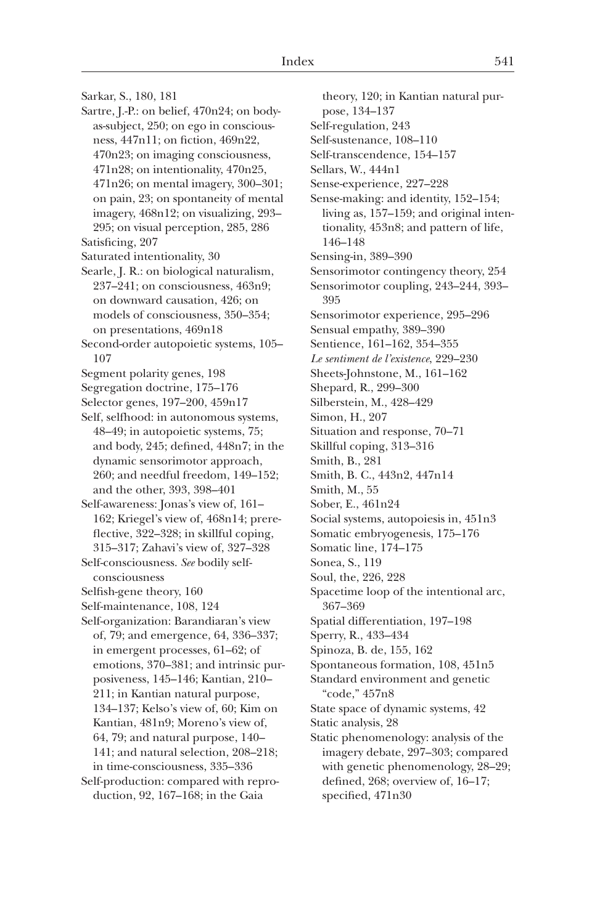Sarkar, S., 180, 181

Sartre, J.-P.: on belief, 470n24; on bodyas-subject, 250; on ego in consciousness, 447n11; on fiction, 469n22, 470n23; on imaging consciousness, 471n28; on intentionality, 470n25, 471n26; on mental imagery, 300–301; on pain, 23; on spontaneity of mental imagery, 468n12; on visualizing, 293– 295; on visual perception, 285, 286 Satisficing, 207

Saturated intentionality, 30

- Searle, J. R.: on biological naturalism, 237–241; on consciousness, 463n9; on downward causation, 426; on models of consciousness, 350–354; on presentations, 469n18
- Second-order autopoietic systems, 105– 107
- Segment polarity genes, 198
- Segregation doctrine, 175–176
- Selector genes, 197–200, 459n17
- Self, selfhood: in autonomous systems, 48–49; in autopoietic systems, 75; and body, 245; defined, 448n7; in the dynamic sensorimotor approach, 260; and needful freedom, 149–152; and the other, 393, 398–401
- Self-awareness: Jonas's view of, 161– 162; Kriegel's view of, 468n14; prereflective, 322–328; in skillful coping, 315–317; Zahavi's view of, 327–328
- Self-consciousness. *See* bodily selfconsciousness
- Selfish-gene theory, 160
- Self-maintenance, 108, 124
- Self-organization: Barandiaran's view of, 79; and emergence, 64, 336–337; in emergent processes, 61–62; of emotions, 370–381; and intrinsic purposiveness, 145–146; Kantian, 210– 211; in Kantian natural purpose, 134–137; Kelso's view of, 60; Kim on Kantian, 481n9; Moreno's view of, 64, 79; and natural purpose, 140– 141; and natural selection, 208–218; in time-consciousness, 335–336
- Self-production: compared with reproduction, 92, 167–168; in the Gaia

theory, 120; in Kantian natural purpose, 134–137 Self-regulation, 243 Self-sustenance, 108–110 Self-transcendence, 154–157 Sellars, W., 444n1 Sense-experience, 227–228 Sense-making: and identity, 152–154; living as, 157–159; and original intentionality, 453n8; and pattern of life, 146–148 Sensing-in, 389–390 Sensorimotor contingency theory, 254 Sensorimotor coupling, 243–244, 393– 395 Sensorimotor experience, 295–296 Sensual empathy, 389–390 Sentience, 161–162, 354–355 *Le sentiment de l'existence*, 229–230 Sheets-Johnstone, M., 161–162 Shepard, R., 299–300 Silberstein, M., 428–429 Simon, H., 207 Situation and response, 70–71 Skillful coping, 313–316 Smith, B., 281 Smith, B. C., 443n2, 447n14 Smith, M., 55 Sober, E., 461n24 Social systems, autopoiesis in, 451n3 Somatic embryogenesis, 175–176 Somatic line, 174–175 Sonea, S., 119 Soul, the, 226, 228 Spacetime loop of the intentional arc, 367–369 Spatial differentiation, 197–198 Sperry, R., 433–434 Spinoza, B. de, 155, 162 Spontaneous formation, 108, 451n5 Standard environment and genetic "code," 457n8 State space of dynamic systems, 42 Static analysis, 28 Static phenomenology: analysis of the imagery debate, 297–303; compared with genetic phenomenology, 28–29; defined, 268; overview of, 16–17; specified, 471n30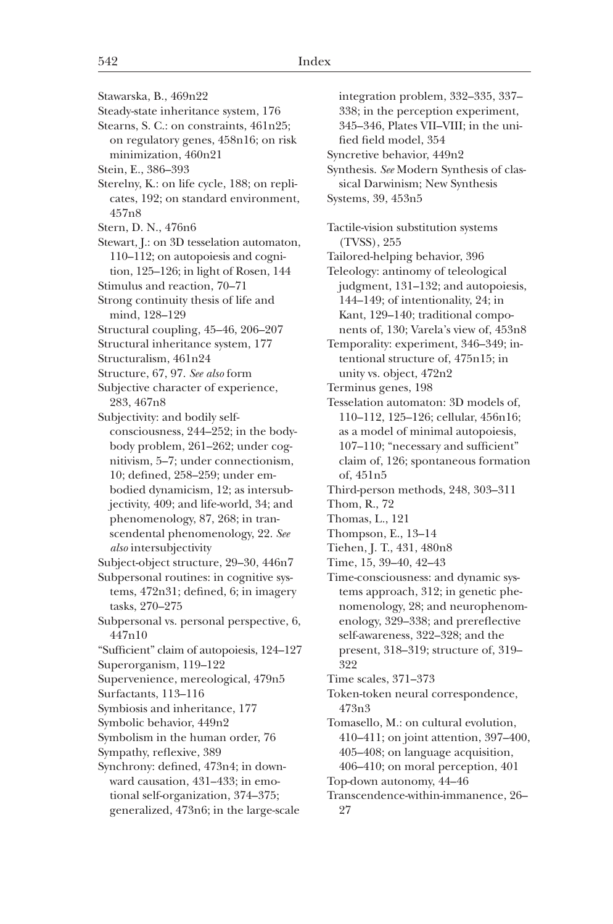- Stawarska, B., 469n22
- Steady-state inheritance system, 176
- Stearns, S. C.: on constraints, 461n25; on regulatory genes, 458n16; on risk minimization, 460n21
- Stein, E., 386–393
- Sterelny, K.: on life cycle, 188; on replicates, 192; on standard environment, 457n8
- Stern, D. N., 476n6
- Stewart, J.: on 3D tesselation automaton, 110–112; on autopoiesis and cognition, 125–126; in light of Rosen, 144
- Stimulus and reaction, 70–71
- Strong continuity thesis of life and mind, 128–129
- Structural coupling, 45–46, 206–207
- Structural inheritance system, 177
- Structuralism, 461n24
- Structure, 67, 97. *See also* form
- Subjective character of experience, 283, 467n8
- Subjectivity: and bodily selfconsciousness, 244–252; in the bodybody problem, 261–262; under cognitivism, 5–7; under connectionism, 10; defined, 258–259; under embodied dynamicism, 12; as intersubjectivity, 409; and life-world, 34; and phenomenology, 87, 268; in transcendental phenomenology, 22. *See also* intersubjectivity
- Subject-object structure, 29–30, 446n7
- Subpersonal routines: in cognitive systems, 472n31; defined, 6; in imagery tasks, 270–275
- Subpersonal vs. personal perspective, 6, 447n10
- "Sufficient" claim of autopoiesis, 124–127 Superorganism, 119–122
- Supervenience, mereological, 479n5
- Surfactants, 113–116
- Symbiosis and inheritance, 177
- Symbolic behavior, 449n2
- Symbolism in the human order, 76
- Sympathy, reflexive, 389
- Synchrony: defined, 473n4; in downward causation, 431–433; in emotional self-organization, 374–375; generalized, 473n6; in the large-scale
- integration problem, 332–335, 337–
- 338; in the perception experiment,
- 345–346, Plates VII–VIII; in the uni-
- fied field model, 354
- Syncretive behavior, 449n2
- Synthesis. *See* Modern Synthesis of classical Darwinism; New Synthesis
- Systems, 39, 453n5

Tactile-vision substitution systems (TVSS), 255 Tailored-helping behavior, 396 Teleology: antinomy of teleological judgment, 131–132; and autopoiesis, 144–149; of intentionality, 24; in Kant, 129–140; traditional components of, 130; Varela's view of, 453n8 Temporality: experiment, 346–349; intentional structure of, 475n15; in

- unity vs. object, 472n2 Terminus genes, 198
- 
- Tesselation automaton: 3D models of, 110–112, 125–126; cellular, 456n16; as a model of minimal autopoiesis, 107–110; "necessary and sufficient" claim of, 126; spontaneous formation of, 451n5
- Third-person methods, 248, 303–311
- Thom, R., 72
- Thomas, L., 121
- Thompson, E., 13–14
- Tiehen, J. T., 431, 480n8
- Time, 15, 39–40, 42–43
- Time-consciousness: and dynamic systems approach, 312; in genetic phenomenology, 28; and neurophenomenology, 329–338; and prereflective self-awareness, 322–328; and the present, 318–319; structure of, 319– 399
- Time scales, 371–373
- Token-token neural correspondence, 473n3
- Tomasello, M.: on cultural evolution, 410–411; on joint attention, 397–400, 405–408; on language acquisition, 406–410; on moral perception, 401
- Top-down autonomy, 44–46
- Transcendence-within-immanence, 26– 27